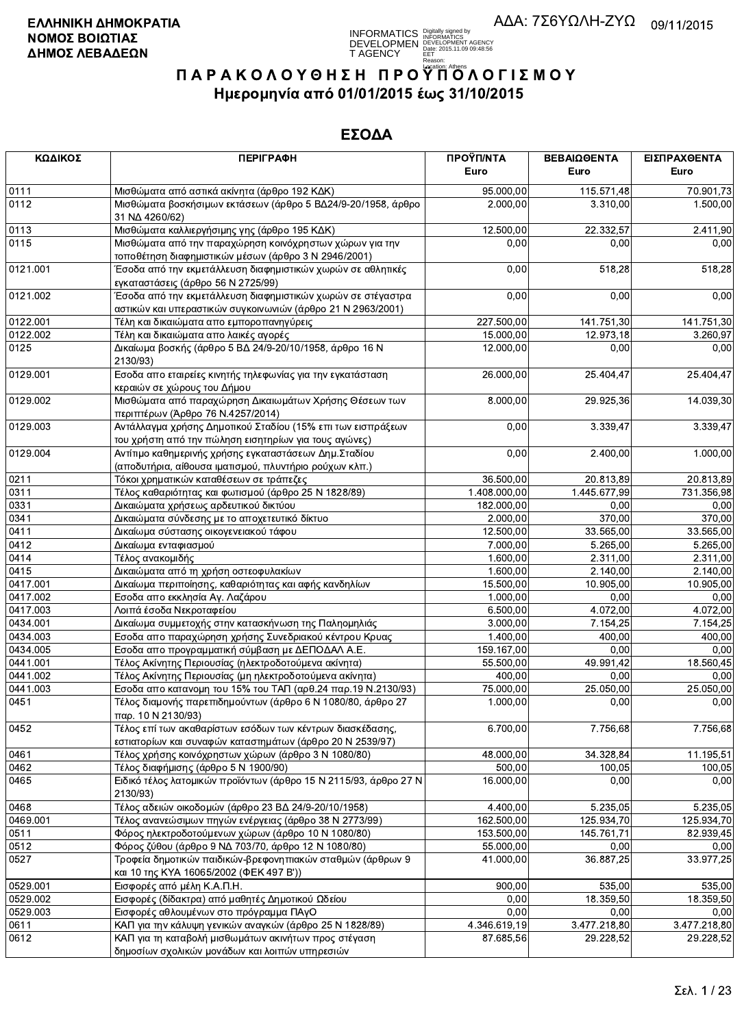# **INFORMATICS** Digitally signed by<br>DEVELOPMEN DEVELOPMENT AGENCY<br>T AGENCY PERPART 2015.11.09 09:48:56<br>T AGENCY PERPARTMENT RESPONDENCE

# ΠΑΡΑΚΟΛΟΥΘΗΣΗ ΠΡΟΥΠΌΛΟΓΙΣΜΟΥ Ημερομηνία από 01/01/2015 έως 31/10/2015

| ΚΩΔΙΚΟΣ          | <b>ПЕРІГРАФН</b>                                                                                                            | ΠΡΟΫΠ/ΝΤΑ             | ΒΕΒΑΙΩΘΕΝΤΑ           | ΕΙΣΠΡΑΧΘΕΝΤΑ      |
|------------------|-----------------------------------------------------------------------------------------------------------------------------|-----------------------|-----------------------|-------------------|
|                  |                                                                                                                             | Euro                  | Euro                  | Euro              |
| 0111             | Μισθώματα από αστικά ακίνητα (άρθρο 192 ΚΔΚ)                                                                                | 95.000,00             | 115.571,48            | 70.901,73         |
| 0112             | Μισθώματα βοσκήσιμων εκτάσεων (άρθρο 5 ΒΔ24/9-20/1958, άρθρο<br>31 NA 4260/62)                                              | 2.000,00              | 3.310,00              | 1.500,00          |
| 0113             | Μισθώματα καλλιεργήσιμης γης (άρθρο 195 ΚΔΚ)                                                                                | 12.500,00             | 22.332,57             | 2.411,90          |
| 0115             | Μισθώματα από την παραχώρηση κοινόχρηστων χώρων για την<br>τοποθέτηση διαφημιστικών μέσων (άρθρο 3 Ν 2946/2001)             | 0,00                  | 0,00                  | 0,00              |
| 0121.001         | Έσοδα από την εκμετάλλευση διαφημιστικών χωρών σε αθλητικές                                                                 | 0,00                  | 518,28                | 518,28            |
|                  | εγκαταστάσεις (άρθρο 56 Ν 2725/99)                                                                                          |                       |                       |                   |
| 0121.002         | Έσοδα από την εκμετάλλευση διαφημιστικών χωρών σε στέγαστρα                                                                 | 0,00                  | 0,00                  | 0,00              |
|                  | αστικών και υπεραστικών συγκοινωνιών (άρθρο 21 Ν 2963/2001)                                                                 |                       |                       |                   |
| 0122.001         | Τέλη και δικαιώματα απο εμποροπανηγύρεις                                                                                    | 227.500,00            | 141.751,30            | 141.751,30        |
| 0122.002         | Τέλη και δικαιώματα απο λαικές αγορές                                                                                       | 15.000,00             | 12.973,18             | 3.260,97          |
| 0125             | Δικαίωμα βοσκής (άρθρο 5 ΒΔ 24/9-20/10/1958, άρθρο 16 Ν<br>2130/93)                                                         | 12.000,00             | 0,00                  | 0,00              |
| 0129.001         | Εσοδα απο εταιρείες κινητής τηλεφωνίας για την εγκατάσταση<br>κεραιών σε χώρους του Δήμου                                   | 26.000,00             | 25.404,47             | 25.404,47         |
| 0129.002         | Μισθώματα από παραχώρηση Δικαιωμάτων Χρήσης Θέσεων των                                                                      | 8.000,00              | 29.925,36             | 14.039,30         |
|                  | περιπτέρων (Άρθρο 76 Ν.4257/2014)                                                                                           |                       |                       |                   |
| 0129.003         | Αντάλλαγμα χρήσης Δημοτικού Σταδίου (15% επι των εισπράξεων<br>του χρήστη από την πώληση εισητηρίων για τους αγώνες)        | 0,00                  | 3.339,47              | 3.339,47          |
| 0129.004         | Αντίτιμο καθημερινής χρήσης εγκαταστάσεων Δημ. Σταδίου<br>(αποδυτήρια, αίθουσα ιματισμού, πλυντήριο ρούχων κλπ.)            | 0,00                  | 2.400,00              | 1.000,00          |
| 0211             | Τόκοι χρηματικών καταθέσεων σε τράπεζες                                                                                     | 36.500,00             | 20.813,89             | 20.813,89         |
| 0311             | Τέλος καθαριότητας και φωτισμού (άρθρο 25 Ν 1828/89)                                                                        | 1.408.000,00          | 1.445.677,99          | 731.356,98        |
| 0331             | Δικαιώματα χρήσεως αρδευτικού δικτύου                                                                                       | 182.000,00            | 0,00                  | 0,00              |
| 0341             | Δικαιώματα σύνδεσης με το αποχετευτικό δίκτυο                                                                               | 2.000,00              | 370,00                | 370,00            |
| 0411             | Δικαίωμα σύστασης οικογενειακού τάφου                                                                                       | 12.500,00             | 33.565,00             | 33.565,00         |
| 0412             | Δικαίωμα ενταφιασμού                                                                                                        | 7.000,00              | $\overline{5.265,00}$ | 5.265,00          |
| 0414             | Τέλος ανακομιδής                                                                                                            | 1.600,00              | 2.311,00              | 2.311,00          |
| 0415             | Δικαιώματα από τη χρήση οστεοφυλακίων                                                                                       | 1.600,00              | 2.140,00              | 2.140,00          |
| 0417.001         | Δικαίωμα περιποίησης, καθαριότητας και αφής κανδηλίων                                                                       | 15.500,00             | 10.905,00             | 10.905,00         |
| 0417.002         | Εσοδα απο εκκλησία Αγ. Λαζάρου                                                                                              | 1.000,00              | 0,00                  | 0,00              |
| 0417.003         | Λοιπά έσοδα Νεκροταφείου                                                                                                    | 6.500,00              | 4.072,00              | 4.072,00          |
| 0434.001         | Δικαίωμα συμμετοχής στην κατασκήνωση της Παληομηλιάς                                                                        | 3.000,00              | 7.154,25              | 7.154,25          |
| 0434.003         | Εσοδα απο παραχώρηση χρήσης Συνεδριακού κέντρου Κρυας                                                                       | 1.400,00              | 400,00                | 400,00            |
| 0434.005         | Εσοδα απο προγραμματική σύμβαση με ΔΕΠΟΔΑΛ Α.Ε.                                                                             | 159.167,00            | 0,00                  | 0,00              |
| 0441.001         | Τέλος Ακίνητης Περιουσίας (ηλεκτροδοτούμενα ακίνητα)                                                                        | 55.500,00             | 49.991,42             | 18.560,45         |
| 0441.002         | Τέλος Ακίνητης Περιουσίας (μη ηλεκτροδοτούμενα ακίνητα)                                                                     | 400,00                | 0,00                  | 0,00              |
| 0441.003<br>0451 | Εσοδα απο κατανομη του 15% του ΤΑΠ (αρθ.24 παρ.19 Ν.2130/93)<br>Τέλος διαμονής παρεπιδημούντων (άρθρο 6 Ν 1080/80, άρθρο 27 | 75.000.00<br>1.000,00 | 25.050,00<br>0,00     | 25.050,00<br>0,00 |
| 0452             | παρ. 10 Ν 2130/93)<br>Τέλος επί των ακαθαρίστων εσόδων των κέντρων διασκέδασης,                                             | 6.700,00              | 7.756,68              | 7.756,68          |
|                  | εστιατορίων και συναφών καταστημάτων (άρθρο 20 Ν 2539/97)                                                                   |                       |                       |                   |
| 0461             | Τέλος χρήσης κοινόχρηστων χώρων (άρθρο 3 Ν 1080/80)                                                                         | 48.000,00             | 34.328,84             | 11.195,51         |
| 0462             | Τέλος διαφήμισης (άρθρο 5 Ν 1900/90)                                                                                        | 500,00                | 100,05                | 100,05            |
| 0465             | Ειδικό τέλος λατομικών προϊόντων (άρθρο 15 Ν 2115/93, άρθρο 27 Ν<br>2130/93)                                                | 16.000,00             | 0,00                  | 0,00              |
| 0468             | Τέλος αδειών οικοδομών (άρθρο 23 ΒΔ 24/9-20/10/1958)                                                                        | 4.400,00              | 5.235,05              | 5.235,05          |
| 0469.001         | Τέλος ανανεώσιμων πηγών ενέργειας (άρθρο 38 Ν 2773/99)                                                                      | 162.500,00            | 125.934,70            | 125.934,70        |
| 0511             | Φόρος ηλεκτροδοτούμενων χώρων (άρθρο 10 Ν 1080/80)                                                                          | 153.500,00            | 145.761,71            | 82.939,45         |
| 0512             | Φόρος ζύθου (άρθρο 9 ΝΔ 703/70, άρθρο 12 Ν 1080/80)                                                                         | 55.000,00             | 0,00                  | 0,00              |
| 0527             | Τροφεία δημοτικών παιδικών-βρεφονηπιακών σταθμών (άρθρων 9<br>και 10 της ΚΥΑ 16065/2002 (ΦΕΚ 497 Β'))                       | 41.000,00             | 36.887,25             | 33.977,25         |
| 0529.001         | Εισφορές από μέλη Κ.Α.Π.Η.                                                                                                  | 900,00                | 535,00                | 535,00            |
| 0529.002         | Εισφορές (δίδακτρα) από μαθητές Δημοτικού Ωδείου                                                                            | 0,00                  | 18.359,50             | 18.359,50         |
| 0529.003         | Εισφορές αθλουμένων στο πρόγραμμα ΠΑγΟ                                                                                      | 0,00                  | 0,00                  | 0,00              |
| 0611             | ΚΑΠ για την κάλυψη γενικών αναγκών (άρθρο 25 Ν 1828/89)                                                                     | 4.346.619,19          | 3.477.218,80          | 3.477.218,80      |
| 0612             | ΚΑΠ για τη καταβολή μισθωμάτων ακινήτων προς στέγαση                                                                        | 87.685,56             | 29.228,52             | 29.228,52         |
|                  | δημοσίων σχολικών μονάδων και λοιπών υπηρεσιών                                                                              |                       |                       |                   |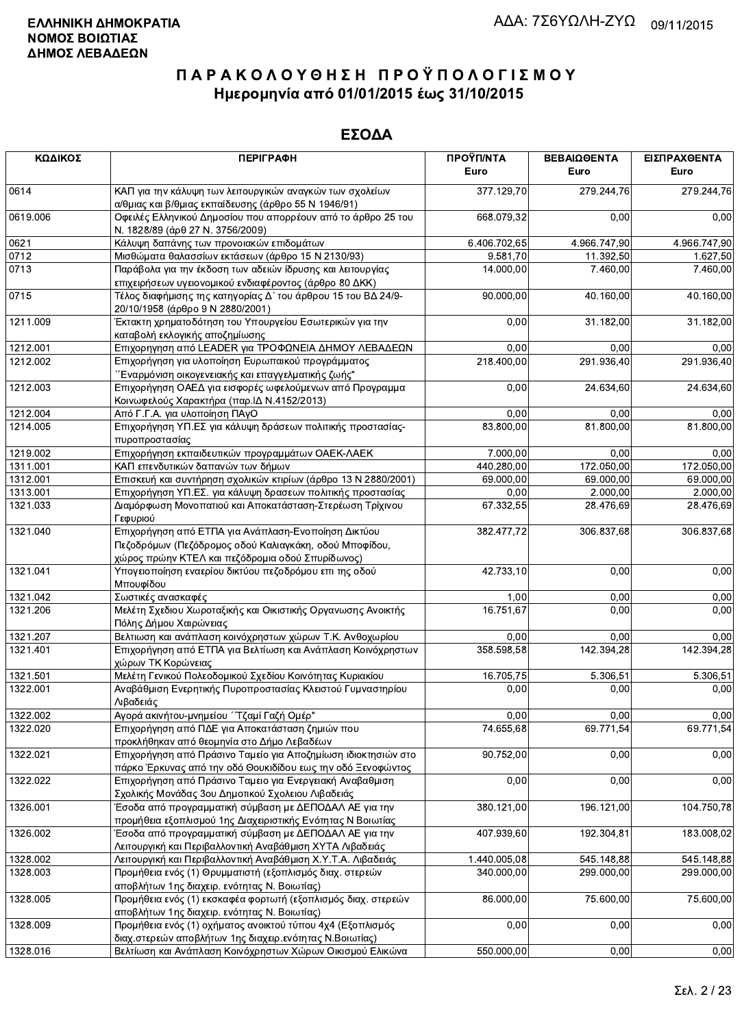| ΚΩΔΙΚΟΣ  | <b>ПЕРІГРАФН</b>                                                                                                                                                  | ΠΡΟΫΠ/ΝΤΑ<br>Euro | ΒΕΒΑΙΩΘΕΝΤΑ<br>Euro | ΕΙΣΠΡΑΧΘΕΝΤΑ<br>Euro |
|----------|-------------------------------------------------------------------------------------------------------------------------------------------------------------------|-------------------|---------------------|----------------------|
| 0614     | ΚΑΠ για την κάλυψη των λειτουργικών αναγκών των σχολείων<br>α/θμιας και β/θμιας εκπαίδευσης (άρθρο 55 Ν 1946/91)                                                  | 377.129,70        | 279.244,76          | 279.244,76           |
| 0619.006 | Οφειλές Ελληνικού Δημοσίου που απορρέουν από το άρθρο 25 του<br>Ν. 1828/89 (άρθ 27 Ν. 3756/2009)                                                                  | 668.079,32        | 0,00                | 0,00                 |
| 0621     | Κάλυψη δαπάνης των προνοιακών επιδομάτων                                                                                                                          | 6.406.702,65      | 4.966.747,90        | 4.966.747,90         |
| 0712     | Μισθώματα θαλασσίων εκτάσεων (άρθρο 15 Ν 2130/93)                                                                                                                 | 9.581,70          | 11.392,50           | 1.627,50             |
| 0713     | Παράβολα για την έκδοση των αδειών ίδρυσης και λειτουργίας                                                                                                        | 14.000,00         | 7.460,00            | 7.460,00             |
|          | επιχειρήσεων υγειονομικού ενδιαφέροντος (άρθρο 80 ΔΚΚ)                                                                                                            |                   |                     |                      |
| 0715     | Τέλος διαφήμισης της κατηγορίας Δ΄ του άρθρου 15 του ΒΔ 24/9-<br>20/10/1958 (άρθρο 9 Ν 2880/2001)                                                                 | 90.000,00         | 40.160,00           | 40.160,00            |
| 1211.009 | Έκτακτη χρηματοδότηση του Υπουργείου Εσωτερικών για την<br>καταβολή εκλογικής αποζημίωσης                                                                         | 0,00              | 31.182,00           | 31.182,00            |
| 1212.001 | Επιχορηγηση από LEADER για ΤΡΟΦΩΝΕΙΑ ΔΗΜΟΥ ΛΕΒΑΔΕΩΝ                                                                                                               | 0,00              | 0,00                | 0,00                 |
| 1212.002 | Επιχορήγηση για υλοποίηση Ευρωπαικού προγράμματος<br>Έναρμόνιση οικογενειακής και επαγγελματικής ζωής"                                                            | 218.400,00        | 291.936,40          | 291.936,40           |
| 1212.003 | Επιχορήγηση ΟΑΕΔ για εισφορές ωφελούμενων από Προγραμμα<br>Κοινωφελούς Χαρακτήρα (παρ. ΙΔ Ν.4152/2013)                                                            | 0,00              | 24.634,60           | 24.634,60            |
| 1212.004 | Από Γ.Γ.Α. για υλοποίηση ΠΑγΟ                                                                                                                                     | 0,00              | 0,00                | 0,00                 |
| 1214.005 | Επιχορήγηση ΥΠ.ΕΣ για κάλυψη δράσεων πολιτικής προστασίας-<br>πυροπροστασίας                                                                                      | 83.800,00         | 81.800.00           | 81.800,00            |
| 1219.002 | Επιχορήγηση εκπαιδευτικών προγραμμάτων ΟΑΕΚ-ΛΑΕΚ                                                                                                                  | 7.000,00          | 0,00                | 0,00                 |
| 1311.001 | ΚΑΠ επενδυτικών δαπανών των δήμων                                                                                                                                 | 440.280,00        | 172.050,00          | 172.050,00           |
| 1312.001 | Επισκευή και συντήρηση σχολικών κτιρίων (άρθρο 13 Ν 2880/2001)                                                                                                    | 69.000,00         | 69.000,00           | 69.000,00            |
| 1313.001 | Επιχορήγηση ΥΠ.ΕΣ. για κάλυψη δρασεων πολιτικής προστασίας                                                                                                        | 0,00              | 2.000,00            | 2.000,00             |
| 1321.033 | Διαμόρφωση Μονοπατιού και Αποκατάσταση-Στερέωση Τρίχινου<br>Γεφυριού                                                                                              | 67.332,55         | 28.476,69           | 28.476,69            |
| 1321.040 | Επιχορήγηση από ΕΤΠΑ για Ανάπλαση-Ενοποίηση Δικτύου<br>Πεζοδρόμων (Πεζόδρομος οδού Καλιαγκάκη, οδού Μποφίδου,<br>χώρος πρώην ΚΤΕΛ και πεζόδρομια οδού Σπυρίδωνος) | 382.477,72        | 306.837,68          | 306.837,68           |
| 1321.041 | Υπογειοποίηση εναερίου δικτύου πεζοδρόμου επι της οδού<br>Μπουφίδου                                                                                               | 42.733,10         | 0,00                | 0,00                 |
| 1321.042 | Σωστικές ανασκαφές                                                                                                                                                | 1,00              | 0,00                | 0,00                 |
| 1321.206 | Μελέτη Σχεδιου Χωροταξικής και Οικιστικής Οργανωσης Ανοικτής<br>Πόλης Δήμου Χαιρώνειας                                                                            | 16.751,67         | 0,00                | 0,00                 |
| 1321.207 | Βελτιωση και ανάπλαση κοινόχρηστων χώρων Τ.Κ. Ανθοχωρίου                                                                                                          | 0,00              | 0,00                | 0,00                 |
| 1321.401 | Επιχορήγηση από ΕΤΠΑ για Βελτίωση και Ανάπλαση Κοινόχρηστων<br>χώρων ΤΚ Κορώνειας                                                                                 | 358.598,58        | 142.394,28          | 142.394,28           |
| 1321.501 | Μελέτη Γενικού Πολεοδομικού Σχεδίου Κοινότητας Κυριακίου                                                                                                          | 16.705,75         | 5.306,51            | 5.306,51             |
| 1322.001 | Αναβάθμιση Ενερητικής Πυροπροστασίας Κλειστού Γυμναστηρίου<br>Λιβαδειάς                                                                                           | 0,00              | 0,00                | 0,00                 |
| 1322.002 | Αγορά ακινήτου-μνημείου ΄΄ Τζαμί Γαζή Ομέρ"                                                                                                                       | 0,00              | 0,00                | 0,00                 |
| 1322.020 | Επιχορήγηση από ΠΔΕ για Αποκατάσταση ζημιών που<br>προκλήθηκαν από θεομηνία στο Δήμο Λεβαδέων                                                                     | 74.655,68         | 69.771,54           | 69.771,54            |
| 1322.021 | Επιχορήγηση από Πράσινο Ταμείο για Αποζημίωση ιδιοκτησιών στο<br>πάρκο Έρκυνας από την οδό Θουκιδίδου εως την οδό Ξενοφώντος                                      | 90.752,00         | 0,00                | 0,00                 |
| 1322.022 | Επιχορήγηση από Πράσινο Ταμειο για Ενεργειακή Αναβαθμιση<br>Σχολικής Μονάδας 3ου Δημοτικού Σχολειου Λιβαδειάς                                                     | 0,00              | 0,00                | 0,00                 |
| 1326.001 | Έσοδα από προγραμματική σύμβαση με ΔΕΠΟΔΑΛ ΑΕ για την<br>προμήθεια εξοπλισμού 1ης Διαχειριστικής Ενότητας Ν Βοιωτίας                                              | 380.121,00        | 196.121,00          | 104.750,78           |
| 1326.002 | Έσοδα από προγραμματική σύμβαση με ΔΕΠΟΔΑΛ ΑΕ για την<br>Λειτουργική και Περιβαλλοντική Αναβάθμιση ΧΥΤΑ Λιβαδειάς                                                 | 407.939,60        | 192.304,81          | 183.008,02           |
| 1328.002 | Λειτουργική και Περιβαλλοντική Αναβάθμιση Χ.Υ.Τ.Α. Λιβαδειάς                                                                                                      | 1.440.005,08      | 545.148,88          | 545.148,88           |
| 1328.003 | Προμήθεια ενός (1) Θρυμματιστή (εξοπλισμός διαχ. στερεών<br>αποβλήτων 1ης διαχειρ. ενότητας Ν. Βοιωτίας)                                                          | 340.000,00        | 299.000,00          | 299.000,00           |
| 1328.005 | Προμήθεια ενός (1) εκσκαφέα φορτωτή (εξοπλισμός διαχ. στερεών<br>αποβλήτων 1ης διαχειρ. ενότητας Ν. Βοιωτίας)                                                     | 86.000,00         | 75.600,00           | 75.600,00            |
| 1328.009 | Προμήθεια ενός (1) οχήματος ανοικτού τύπου 4χ4 (Εξοπλισμός<br>διαχ.στερεών αποβλήτων 1ης διαχειρ.ενότητας Ν.Βοιωτίας)                                             | 0,00              | 0,00                | 0,00                 |
| 1328.016 | Βελτίωση και Ανάπλαση Κοινόχρηστων Χώρων Οικισμού Ελικώνα                                                                                                         | 550.000,00        | 0,00                | 0,00                 |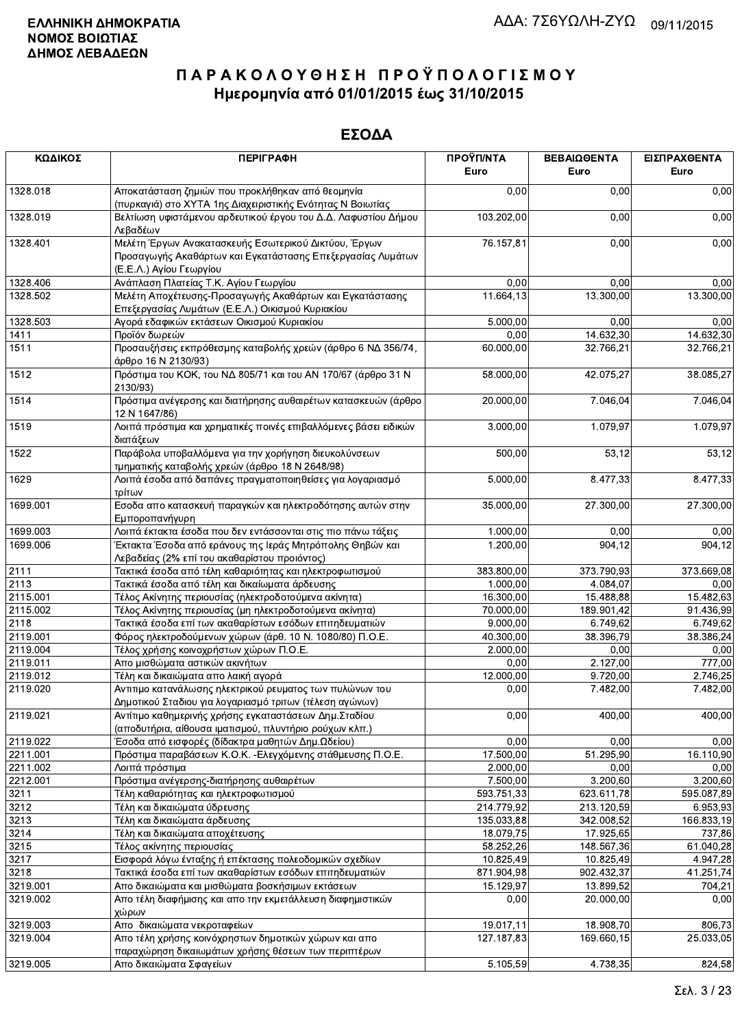| ΚΩΔΙΚΟΣ  | <b>ПЕРІГРАФН</b>                                                                                                                              | ΠΡΟΫΠ/ΝΤΑ<br>Euro | ΒΕΒΑΙΩΘΕΝΤΑ<br>Euro | ΕΙΣΠΡΑΧΘΕΝΤΑ<br>Euro |
|----------|-----------------------------------------------------------------------------------------------------------------------------------------------|-------------------|---------------------|----------------------|
| 1328.018 | Αποκατάσταση ζημιών που προκλήθηκαν από θεομηνία<br>(πυρκαγιά) στο ΧΥΤΑ 1ης Διαχειριστικής Ενότητας Ν Βοιωτίας                                | 0,00              | 0,00                | 0,00                 |
| 1328.019 | Βελτίωση υφιστάμενου αρδευτικού έργου του Δ.Δ. Λαφυστίου Δήμου<br>Λεβαδέων                                                                    | 103.202,00        | 0,00                | 0,00                 |
| 1328.401 | Μελέτη Έργων Ανακατασκευής Εσωτερικού Δικτύου, Έργων<br>Προσαγωγής Ακαθάρτων και Εγκατάστασης Επεξεργασίας Λυμάτων<br>(Ε.Ε.Λ.) Αγίου Γεωργίου | 76.157,81         | 0,00                | 0,00                 |
| 1328.406 | Ανάπλαση Πλατείας Τ.Κ. Αγίου Γεωργίου                                                                                                         | 0,00              | 0,00                | 0,00                 |
| 1328.502 | Μελέτη Αποχέτευσης-Προσαγωγής Ακαθάρτων και Εγκατάστασης<br>Επεξεργασίας Λυμάτων (Ε.Ε.Λ.) Οικισμού Κυριακίου                                  | 11.664,13         | 13.300,00           | 13.300,00            |
| 1328.503 | Αγορά εδαφικών εκτάσεων Οικισμού Κυριακίου                                                                                                    | 5.000,00          | 0,00                | 0,00                 |
| 1411     | Προϊόν δωρεών                                                                                                                                 | 0,00              | 14.632,30           | 14.632,30            |
| 1511     | Προσαυξήσεις εκπρόθεσμης καταβολής χρεών (άρθρο 6 ΝΔ 356/74,<br>άρθρο 16 Ν 2130/93)                                                           | 60.000,00         | 32.766,21           | 32.766,21            |
| 1512     | Πρόστιμα του ΚΟΚ, του ΝΔ 805/71 και του ΑΝ 170/67 (άρθρο 31 Ν<br>2130/93)                                                                     | 58.000,00         | 42.075,27           | 38.085,27            |
| 1514     | Πρόστιμα ανέγερσης και διατήρησης αυθαιρέτων κατασκευών (άρθρο<br>12 N 1647/86)                                                               | 20.000,00         | 7.046,04            | 7.046,04             |
| 1519     | Λοιπά πρόστιμα και χρηματικές ποινές επιβαλλόμενες βάσει ειδικών<br>διατάξεων                                                                 | 3.000,00          | 1.079,97            | 1.079,97             |
| 1522     | Παράβολα υποβαλλόμενα για την χορήγηση διευκολύνσεων<br>τμηματικής καταβολής χρεών (άρθρο 18 Ν 2648/98)                                       | 500,00            | 53,12               | 53,12                |
| 1629     | Λοιπά έσοδα από δαπάνες πραγματοποιηθείσες για λογαριασμό<br>τρίτων                                                                           | 5.000,00          | 8.477,33            | 8.477,33             |
| 1699.001 | Εσοδα απο κατασκευή παραγκών και ηλεκτροδότησης αυτών στην<br>Εμποροπανήγυρη                                                                  | 35.000,00         | 27.300,00           | 27.300,00            |
| 1699.003 | Λοιπά έκτακτα έσοδα που δεν εντάσσονται στις πιο πάνω τάξεις                                                                                  | 1.000,00          | 0,00                | 0,00                 |
| 1699.006 | Έκτακτα Έσοδα από εράνους της Ιεράς Μητρόπολης Θηβών και<br>Λεβαδείας (2% επί του ακαθαρίστου προιόντος)                                      | 1.200,00          | 904,12              | 904,12               |
| 2111     | Τακτικά έσοδα από τέλη καθαριότητας και ηλεκτροφωτισμού                                                                                       | 383.800,00        | 373.790,93          | 373.669,08           |
| 2113     | Τακτικά έσοδα από τέλη και δικαίωματα άρδευσης                                                                                                | 1.000,00          | 4.084,07            | 0,00                 |
| 2115.001 | Τέλος Ακίνητης περιουσίας (ηλεκτροδοτούμενα ακίνητα)                                                                                          | 16.300,00         | 15.488,88           | 15.482,63            |
| 2115.002 | Τέλος Ακίνητης περιουσίας (μη ηλεκτροδοτούμενα ακίνητα)                                                                                       | 70.000,00         | 189.901,42          | 91.436,99            |
| 2118     | Τακτικά έσοδα επί των ακαθαρίστων εσόδων επιτηδευματιών                                                                                       | 9.000,00          | 6.749,62            | 6.749,62             |
| 2119.001 | Φόρος ηλεκτροδούμενων χώρων (άρθ. 10 Ν. 1080/80) Π.Ο.Ε.                                                                                       | 40.300,00         | 38.396,79           | 38.386,24            |
| 2119.004 | Τέλος χρήσης κοινοχρήστων χώρων Π.Ο.Ε.                                                                                                        | 2.000,00          | 0,00                | 0,00                 |
| 2119.011 | Απο μισθώματα αστικών ακινήτων                                                                                                                | 0,00              | 2.127,00            | 777,00               |
| 2119.012 | Τέλη και δικαιώματα απο λαική αγορά                                                                                                           | 12.000,00         | 9.720,00            | 2.746,25             |
| 2119.020 | Αντιτιμο κατανάλωσης ηλεκτρικού ρευματος των πυλώνων του<br>Δημοτικού Σταδιου για λογαριασμό τριτων (τέλεση αγώνων)                           | 0,00              | 7.482,00            | 7.482,00             |
| 2119.021 | Αντίτιμο καθημερινής χρήσης εγκαταστάσεων Δημ.Σταδίου<br>(αποδυτήρια, αίθουσα ιματισμού, πλυντήριο ρούχων κλπ.)                               | 0,00              | 400.00              | 400,00               |
| 2119.022 | Έσοδα από εισφορές (δίδακτρα μαθητών Δημ.Ωδείου)                                                                                              | 0,00              | 0,00                | 0,00                 |
| 2211.001 | Πρόστιμα παραβάσεων Κ.Ο.Κ. - Ελεγχόμενης στάθμευσης Π.Ο.Ε.                                                                                    | 17.500,00         | 51.295,90           | 16.110,90            |
| 2211.002 | Λοιπά πρόστιμα                                                                                                                                | 2.000,00          | 0,00                | 0,00                 |
| 2212.001 | Πρόστιμα ανέγερσης-διατήρησης αυθαιρέτων                                                                                                      | 7.500,00          | 3.200,60            | 3.200,60             |
| 3211     | Τέλη καθαριότητας και ηλεκτροφωτισμού                                                                                                         | 593.751,33        | 623.611,78          | 595.087,89           |
| 3212     | Τέλη και δικαιώματα ύδρευσης                                                                                                                  | 214.779,92        | 213.120,59          | 6.953,93             |
| 3213     | Τέλη και δικαιώματα άρδευσης                                                                                                                  | 135.033,88        | 342.008,52          | 166.833,19           |
| 3214     | Τέλη και δικαιώματα αποχέτευσης                                                                                                               | 18.079,75         | 17.925,65           | 737,86               |
| 3215     | Τέλος ακίνητης περιουσίας                                                                                                                     | 58.252,26         | 148.567,36          | 61.040,28            |
| 3217     | Εισφορά λόγω ένταξης ή επέκτασης πολεοδομικών σχεδίων                                                                                         | 10.825,49         | 10.825,49           | 4.947,28             |
| 3218     | Τακτικά έσοδα επί των ακαθαρίστων εσόδων επιτηδευματιών                                                                                       | 871.904,98        | 902.432,37          | 41.251,74            |
| 3219.001 | Απο δικαιώματα και μισθώματα βοσκήσιμων εκτάσεων                                                                                              | 15.129,97         | 13.899,52           | 704,21               |
| 3219.002 | Απο τέλη διαφήμισης και απο την εκμετάλλευση διαφημιστικών<br>χώρων                                                                           | 0,00              | 20.000,00           | 0,00                 |
| 3219.003 | Απο δικαιώματα νεκροταφείων                                                                                                                   | 19.017,11         | 18.908,70           | 806,73               |
| 3219.004 | Απο τέλη χρήσης κοινόχρηστων δημοτικών χώρων και απο<br>παραχώρηση δικαιωμάτων χρήσης θέσεων των περιπτέρων                                   | 127.187,83        | 169.660,15          | 25.033,05            |
| 3219.005 | Απο δικαιώματα Σφανείων                                                                                                                       | 5.105.59          | 4.738.35            | 824.58               |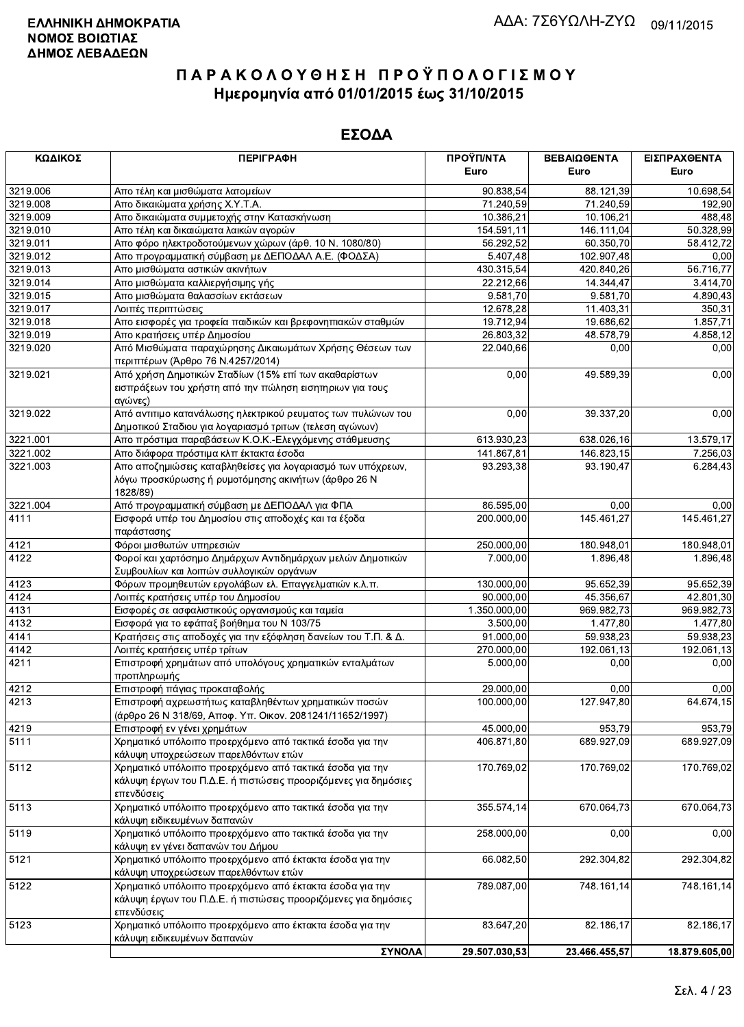| ΚΩΔΙΚΟΣ  | <b>ПЕРІГРАФН</b>                                                                                                                         | ΠΡΟΫΠ/ΝΤΑ     | ΒΕΒΑΙΩΘΕΝΤΑ   | ΕΙΣΠΡΑΧΘΕΝΤΑ            |
|----------|------------------------------------------------------------------------------------------------------------------------------------------|---------------|---------------|-------------------------|
|          |                                                                                                                                          | Euro          | Euro          | Euro                    |
| 3219.006 | Απο τέλη και μισθώματα λατομείων                                                                                                         | 90.838,54     | 88.121,39     | 10.698,54               |
| 3219.008 | Απο δικαιώματα χρήσης Χ.Υ.Τ.Α.                                                                                                           | 71.240,59     | 71.240,59     | 192,90                  |
| 3219.009 | Απο δικαιώματα συμμετοχής στην Κατασκήνωση                                                                                               | 10.386,21     | 10.106,21     | 488,48                  |
| 3219.010 | Απο τέλη και δικαιώματα λαικών αγορών                                                                                                    | 154.591,11    | 146.111,04    | 50.328,99               |
| 3219.011 | Απο φόρο ηλεκτροδοτούμενων χώρων (άρθ. 10 Ν. 1080/80)                                                                                    | 56.292,52     | 60.350,70     | 58.412,72               |
| 3219.012 | Απο προγραμματική σύμβαση με ΔΕΠΟΔΑΛ Α.Ε. (ΦΟΔΣΑ)                                                                                        | 5.407,48      | 102.907,48    | 0,00                    |
| 3219.013 | Απο μισθώματα αστικών ακινήτων                                                                                                           | 430.315,54    | 420.840,26    | 56.716,77               |
| 3219.014 | Απο μισθώματα καλλιεργήσιμης γής                                                                                                         | 22.212,66     | 14.344,47     | 3.414,70                |
| 3219.015 | Απο μισθώματα θαλασσίων εκτάσεων                                                                                                         | 9.581,70      | 9.581,70      | 4.890,43                |
| 3219.017 | Λοιπές περιπτώσεις                                                                                                                       | 12.678,28     | 11.403,31     | 350,31                  |
| 3219.018 | Απο εισφορές για τροφεία παιδικών και βρεφονηπιακών σταθμών                                                                              | 19.712,94     | 19.686,62     | 1.857,71                |
| 3219.019 | Απο κρατήσεις υπέρ Δημοσίου                                                                                                              | 26.803,32     | 48.578,79     | 4.858,12                |
| 3219.020 | Από Μισθώματα παραχώρησης Δικαιωμάτων Χρήσης Θέσεων των<br>περιπτέρων (Άρθρο 76 Ν.4257/2014)                                             | 22.040,66     | 0,00          | 0,00                    |
| 3219.021 | Από χρήση Δημοτικών Σταδίων (15% επί των ακαθαρίστων<br>εισπράξεων του χρήστη από την πώληση εισητηριων για τους<br>αγώνες)              | 0,00          | 49.589,39     | 0,00                    |
| 3219.022 | Από αντιτιμο κατανάλωσης ηλεκτρικού ρευματος των πυλώνων του<br>Δημοτικού Σταδιου για λογαριασμό τριτων (τελεση αγώνων)                  | 0,00          | 39.337,20     | 0,00                    |
| 3221.001 | Απο πρόστιμα παραβάσεων Κ.Ο.Κ.-Ελεγχόμενης στάθμευσης                                                                                    | 613.930,23    | 638.026,16    | 13.579,17               |
| 3221.002 | Απο διάφορα πρόστιμα κλπ έκτακτα έσοδα                                                                                                   | 141.867,81    | 146.823,15    | 7.256,03                |
| 3221.003 | Απο αποζημιώσεις καταβληθείσες για λογαριασμό των υπόχρεων,<br>λόγω προσκύρωσης ή ρυμοτόμησης ακινήτων (άρθρο 26 Ν<br>1828/89)           | 93.293,38     | 93.190,47     | 6.284,43                |
| 3221.004 | Από προγραμματική σύμβαση με ΔΕΠΟΔΑΛ για ΦΠΑ                                                                                             | 86.595,00     | 0,00          | 0,00                    |
| 4111     | Εισφορά υπέρ του Δημοσίου στις αποδοχές και τα έξοδα<br>παράστασης                                                                       | 200.000,00    | 145.461,27    | 145.461,27              |
| 4121     | Φόροι μισθωτών υπηρεσιών                                                                                                                 | 250.000,00    | 180.948,01    | 180.948,01              |
| 4122     | Φοροί και χαρτόσημο Δημάρχων Αντιδημάρχων μελών Δημοτικών                                                                                | 7.000,00      | 1.896,48      | 1.896,48                |
|          | Συμβουλίων και λοιπών συλλογικών οργάνων                                                                                                 |               |               |                         |
| 4123     | Φόρων προμηθευτών εργολάβων ελ. Επαγγελματιών κ.λ.π.                                                                                     | 130.000,00    | 95.652,39     | 95.652,39               |
| 4124     | Λοιπές κρατήσεις υπέρ του Δημοσίου                                                                                                       | 90.000,00     | 45.356,67     | 42.801,30               |
| 4131     | Εισφορές σε ασφαλιστικούς οργανισμούς και ταμεία                                                                                         | 1.350.000,00  | 969.982,73    | 969.982,73              |
| 4132     | Εισφορά για το εφάπαξ βοήθημα του Ν 103/75                                                                                               | 3.500,00      | 1.477,80      | 1.477,80                |
| 4141     | Κρατήσεις στις αποδοχές για την εξόφληση δανείων του Τ.Π. & Δ.                                                                           | 91.000,00     | 59.938,23     | 59.938,23               |
| 4142     | Λοιπές κρατήσεις υπέρ τρίτων                                                                                                             | 270.000,00    | 192.061,13    | 192.061,13              |
| 4211     | Επιστροφή χρημάτων από υπολόγους χρηματικών ενταλμάτων                                                                                   | 5.000,00      | 0,00          | 0,00                    |
|          | προπληρωμής                                                                                                                              |               |               |                         |
| 4212     | Επιστροφή πάγιας προκαταβολής                                                                                                            | 29.000,00     | 0,00          | 0,00                    |
| 4213     | Επιστροφή αχρεωστήτως καταβληθέντων χρηματικών ποσών<br>(άρθρο 26 Ν 318/69, Αποφ. Υπ. Οικον. 2081241/11652/1997)                         | 100.000,00    | 127.947,80    | $\overline{64.674, 15}$ |
| 4219     | Επιστροφή εν γένει χρημάτων                                                                                                              | 45.000,00     | 953,79        | 953.79                  |
| 5111     | Χρηματικό υπόλοιπο προερχόμενο από τακτικά έσοδα για την<br>κάλυψη υποχρεώσεων παρελθόντων ετών                                          | 406.871,80    | 689.927,09    | 689.927,09              |
| 5112     | Χρηματικό υπόλοιπο προερχόμενο από τακτικά έσοδα για την<br>κάλυψη έργων του Π.Δ.Ε. ή πιστώσεις προοριζόμενες για δημόσιες<br>επενδύσεις | 170.769,02    | 170.769,02    | 170.769,02              |
| 5113     | Χρηματικό υπόλοιπο προερχόμενο απο τακτικά έσοδα για την<br>κάλυψη ειδικευμένων δαπανών                                                  | 355.574,14    | 670.064,73    | 670.064,73              |
| 5119     | Χρηματικό υπόλοιπο προερχόμενο απο τακτικά έσοδα για την<br>κάλυψη εν γένει δαπανών του Δήμου                                            | 258.000,00    | 0,00          | 0,00                    |
| 5121     | Χρηματικό υπόλοιπο προερχόμενο από έκτακτα έσοδα για την<br>κάλυψη υποχρεώσεων παρελθόντων ετών                                          | 66.082,50     | 292.304,82    | 292.304,82              |
| 5122     | Χρηματικό υπόλοιπο προερχόμενο από έκτακτα έσοδα για την<br>κάλυψη έργων του Π.Δ.Ε. ή πιστώσεις προοριζόμενες για δημόσιες<br>επενδύσεις | 789.087,00    | 748.161,14    | 748.161,14              |
| 5123     | Χρηματικό υπόλοιπο προερχόμενο απο έκτακτα έσοδα για την<br>κάλυψη ειδικευμένων δαπανών                                                  | 83.647,20     | 82.186,17     | 82.186,17               |
|          | ΣΥΝΟΛΑ                                                                                                                                   | 29.507.030,53 | 23.466.455,57 | 18.879.605,00           |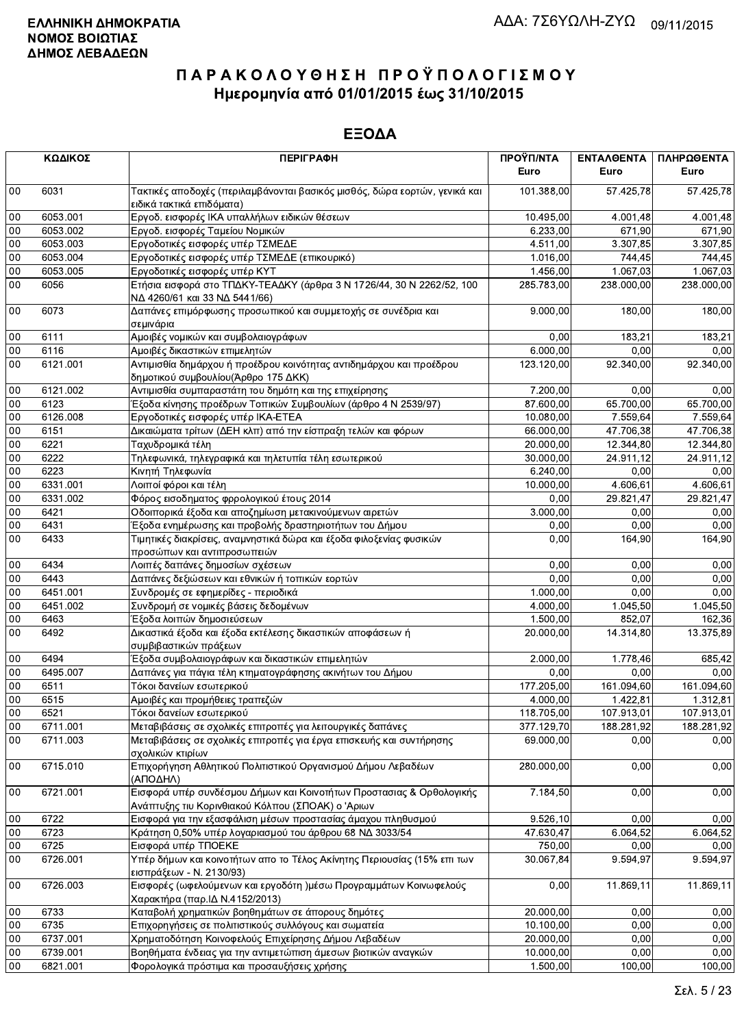|        | ΚΩΔΙΚΟΣ  | <b>ПЕРІГРАФН</b>                                                                                                          | ΠΡΟΫΠ/ΝΤΑ<br>Euro      | ΕΝΤΑΛΘΕΝΤΑ<br>Euro | ΠΛΗΡΩΘΕΝΤΑ<br>Euro |
|--------|----------|---------------------------------------------------------------------------------------------------------------------------|------------------------|--------------------|--------------------|
|        |          |                                                                                                                           |                        |                    |                    |
| $00\,$ | 6031     | Τακτικές αποδοχές (περιλαμβάνονται βασικός μισθός, δώρα εορτών, γενικά και<br>ειδικά τακτικά επιδόματα)                   | 101.388,00             | 57.425,78          | 57.425,78          |
| 00     | 6053.001 | Εργοδ. εισφορές ΙΚΑ υπαλλήλων ειδικών θέσεων                                                                              | 10.495,00              | 4.001,48           | 4.001,48           |
| 00     | 6053.002 | Εργοδ. εισφορές Ταμείου Νομικών                                                                                           | 6.233,00               | 671,90             | 671,90             |
| 00     | 6053.003 | Εργοδοτικές εισφορές υπέρ ΤΣΜΕΔΕ                                                                                          | 4.511,00               | 3.307,85           | 3.307.85           |
| 00     | 6053.004 | Εργοδοτικές εισφορές υπέρ ΤΣΜΕΔΕ (επικουρικό)                                                                             | 1.016,00               | 744,45             | 744,45             |
| 00     | 6053.005 | Εργοδοτικές εισφορές υπέρ ΚΥΤ                                                                                             | 1.456,00               | 1.067,03           | 1.067,03           |
| 00     | 6056     | Ετήσια εισφορά στο ΤΠΔΚΥ-ΤΕΑΔΚΥ (άρθρα 3 Ν 1726/44, 30 Ν 2262/52, 100                                                     | 285.783,00             | 238.000,00         | 238.000,00         |
| $00\,$ | 6073     | ΝΔ 4260/61 και 33 ΝΔ 5441/66)<br>Δαπάνες επιμόρφωσης προσωπικού και συμμετοχής σε συνέδρια και                            | 9.000,00               | 180,00             | 180,00             |
|        |          | σεμινάρια                                                                                                                 |                        |                    |                    |
| 00     | 6111     | Αμοιβές νομικών και συμβολαιογράφων                                                                                       | 0,00                   | 183,21             | 183,21             |
| 00     | 6116     | Αμοιβές δικαστικών επιμελητών                                                                                             | 6.000,00               | 0.00               | 0,00               |
| 00     | 6121.001 | Αντιμισθία δημάρχου ή προέδρου κοινότητας αντιδημάρχου και προέδρου<br>δημοτικού συμβουλίου (Άρθρο 175 ΔΚΚ)               | 123.120,00             | 92.340,00          | 92.340,00          |
| 00     | 6121.002 | Αντιμισθία συμπαραστάτη του δημότη και της επιχείρησης                                                                    | 7.200,00               | 0.00               | 0,00               |
| 00     | 6123     | Έξοδα κίνησης προέδρων Τοπικών Συμβουλίων (άρθρο 4 Ν 2539/97)                                                             | 87.600,00              | 65.700,00          | 65.700,00          |
| 00     | 6126.008 | Εργοδοτικές εισφορές υπέρ ΙΚΑ-ΕΤΕΑ                                                                                        | 10.080,00              | 7.559,64           | 7.559,64           |
| 00     | 6151     | Δικαιώματα τρίτων (ΔΕΗ κλπ) από την είσπραξη τελών και φόρων                                                              | $\overline{6}6.000,00$ | 47.706,38          | 47.706,38          |
| 00     | 6221     | Ταχυδρομικά τέλη                                                                                                          | 20.000,00              | 12.344,80          | 12.344,80          |
| $00\,$ | 6222     | Τηλεφωνικά, τηλεγραφικά και τηλετυπία τέλη εσωτερικού                                                                     | 30.000,00              | 24.911,12          | 24.911,12          |
| 00     | 6223     | Κινητή Τηλεφωνία                                                                                                          | 6.240,00               | 0,00               | 0,00               |
| 00     | 6331.001 | Λοιποί φόροι και τέλη                                                                                                     | 10.000,00              | 4.606,61           | 4.606,61           |
| 00     | 6331.002 | Φόρος εισοδηματος φρρολογικού έτους 2014                                                                                  | 0,00                   | 29.821,47          | 29.821,47          |
| 00     | 6421     | Οδοιπορικά έξοδα και αποζημίωση μετακινούμενων αιρετών                                                                    | 3.000,00               | 0,00               |                    |
|        |          |                                                                                                                           |                        |                    | 0,00               |
| $00\,$ | 6431     | Έξοδα ενημέρωσης και προβολής δραστηριοτήτων του Δήμου                                                                    | 0,00                   | 0,00               | 0,00               |
| 00     | 6433     | Τιμητικές διακρίσεις, αναμνηστικά δώρα και έξοδα φιλοξενίας φυσικών<br>προσώπων και αντιπροσωπειών                        | 0,00                   | 164,90             | 164,90             |
| 00     | 6434     | Λοιπές δαπάνες δημοσίων σχέσεων                                                                                           | 0,00                   | 0,00               | 0,00               |
| 00     | 6443     | Δαπάνες δεξιώσεων και εθνικών ή τοπικών εορτών                                                                            | 0,00                   | 0,00               | 0,00               |
| 00     | 6451.001 | Συνδρομές σε εφημερίδες - περιοδικά                                                                                       | 1.000,00               | 0,00               | 0,00               |
| 00     | 6451.002 | Συνδρομή σε νομικές βάσεις δεδομένων                                                                                      | 4.000,00               | 1.045,50           | 1.045,50           |
| 00     | 6463     | Έξοδα λοιπών δημοσιεύσεων                                                                                                 | 1.500,00               | 852,07             | 162,36             |
| 00     | 6492     | Δικαστικά έξοδα και έξοδα εκτέλεσης δικαστικών αποφάσεων ή<br>συμβιβαστικών πράξεων                                       | 20.000,00              | 14.314,80          | 13.375,89          |
| 00     | 6494     | Έξοδα συμβολαιογράφων και δικαστικών επιμελητών                                                                           | 2.000,00               | 1.778,46           | 685,42             |
| 00     | 6495.007 | Δαπάνες για πάγια τέλη κτηματογράφησης ακινήτων του Δήμου                                                                 | 0,00                   | 0,00               | 0,00               |
| 00     | 6511     | Τόκοι δανείων εσωτερικού                                                                                                  | 177.205,00             | 161.094,60         | 161.094,60         |
| 00     | 6515     | Αμοιβές και προμήθειες τραπεζών                                                                                           | 4.000,00               | 1.422,81           | 1.312,81           |
| $00\,$ | 6521     |                                                                                                                           | 118.705,00             | 107.913,01         | 107.913,01         |
| 00     |          | Τόκοι δανείων εσωτερικού                                                                                                  |                        | 188.281,92         |                    |
|        | 6711.001 | Μεταβιβάσεις σε σχολικές επιτροπές για λειτουργικές δαπάνες                                                               | 377.129,70             |                    | 188.281,92         |
| 00     | 6711.003 | Μεταβιβάσεις σε σχολικές επιτροπές για έργα επισκευής και συντήρησης<br>σχολικών κτιρίων                                  | 69.000,00              | 0,00               | 0,00               |
| $00\,$ | 6715.010 | Επιχορήγηση Αθλητικού Πολιτιστικού Οργανισμού Δήμου Λεβαδέων<br>(ΑΠΟΔΗΛ)                                                  | 280.000,00             | 0,00               | 0,00               |
| $00\,$ | 6721.001 | Εισφορά υπέρ συνδέσμου Δήμων και Κοινοτήτων Προστασιας & Ορθολογικής<br>Ανάπτυξης τιυ Κορινθιακού Κόλπου (ΣΠΟΑΚ) ο 'Αριων | 7.184,50               | 0,00               | 0,00               |
| 00     | 6722     | Εισφορά για την εξασφάλιση μέσων προστασίας άμαχου πληθυσμού                                                              | 9.526,10               | 0,00               | 0,00               |
| 00     | 6723     | Κράτηση 0,50% υπέρ λογαριασμού του άρθρου 68 ΝΔ 3033/54                                                                   | 47.630,47              | 6.064,52           | 6.064,52           |
| $00\,$ | 6725     | Εισφορά υπέρ ΤΠΟΕΚΕ                                                                                                       | 750,00                 | 0,00               | 0,00               |
| 00     | 6726.001 | Υπέρ δήμων και κοινοτήτων απο το Τέλος Ακίνητης Περιουσίας (15% επι των                                                   | 30.067,84              | 9.594,97           | 9.594,97           |
|        |          | εισπράξεων - Ν. 2130/93)                                                                                                  |                        |                    |                    |
| $00\,$ | 6726.003 | Εισφορές (ωφελούμενων και εργοδότη )μέσω Προγραμμάτων Κοινωφελούς<br>Χαρακτήρα (παρ. ΙΔ Ν.4152/2013)                      | 0,00                   | 11.869,11          | 11.869,11          |
| $00\,$ | 6733     | Καταβολή χρηματικών βοηθημάτων σε άπορους δημότες                                                                         | 20.000,00              | 0.00               | 0,00               |
| 00     | 6735     | Επιχορηγήσεις σε πολιτιστικούς συλλόγους και σωματεία                                                                     | 10.100,00              | 0,00               | 0,00               |
| 00     | 6737.001 | Χρηματοδότηση Κοινοφελούς Επιχείρησης Δήμου Λεβαδέων                                                                      | 20.000,00              | 0,00               | 0,00               |
| 00     | 6739.001 | Βοηθήματα ένδειας για την αντιμετώπιση άμεσων βιοτικών αναγκών                                                            | 10.000,00              | 0,00               | 0,00               |
| 00     | 6821.001 | Φορολογικά πρόστιμα και προσαυξήσεις χρήσης                                                                               | 1.500,00               | 100,00             | 100,00             |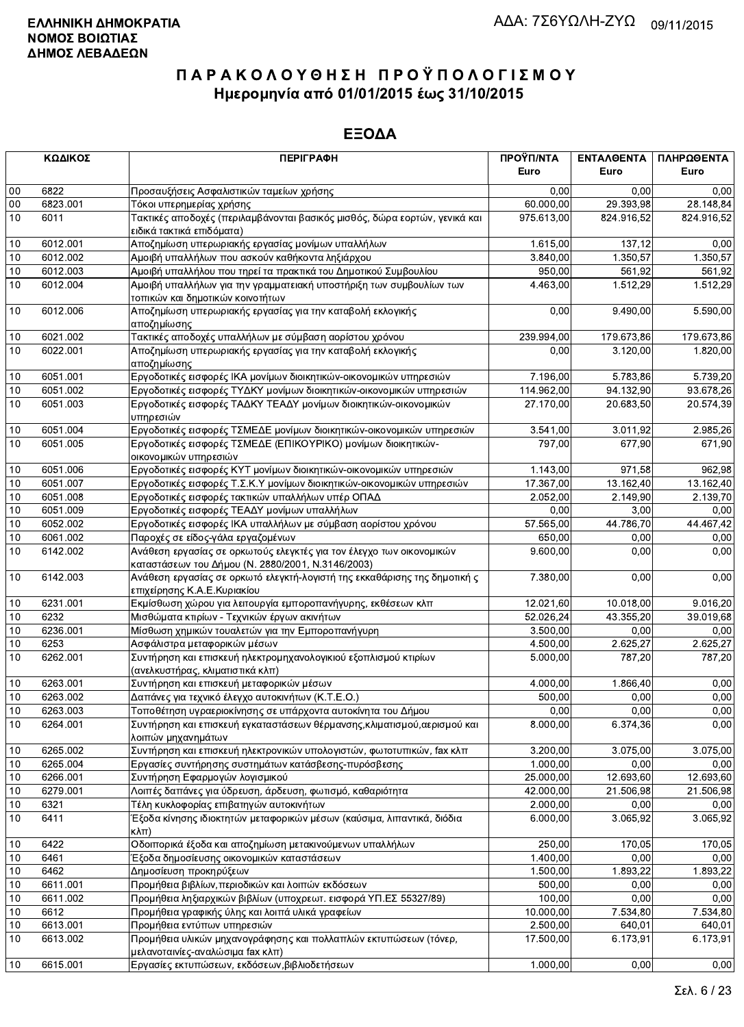|        | ΚΩΔΙΚΟΣ  | <b>ПЕРІГРАФН</b>                                                                                                          | ΠΡΟΫΠ/ΝΤΑ  | ΕΝΤΑΛΘΕΝΤΑ | ΠΛΗΡΩΘΕΝΤΑ            |
|--------|----------|---------------------------------------------------------------------------------------------------------------------------|------------|------------|-----------------------|
|        |          |                                                                                                                           | Euro       | Euro       | Euro                  |
| $00\,$ | 6822     | Προσαυξήσεις Ασφαλιστικών ταμείων χρήσης                                                                                  | 0.00       | 0.00       | 0,00                  |
| $00\,$ | 6823.001 | Τόκοι υπερημερίας χρήσης                                                                                                  | 60.000,00  | 29.393,98  | 28.148,84             |
| 10     | 6011     | Τακτικές αποδοχές (περιλαμβάνονται βασικός μισθός, δώρα εορτών, γενικά και<br>ειδικά τακτικά επιδόματα)                   | 975.613,00 | 824.916,52 | 824.916,52            |
| 10     | 6012.001 | Αποζημίωση υπερωριακής εργασίας μονίμων υπαλλήλων                                                                         | 1.615,00   | 137,12     | 0,00                  |
| 10     | 6012.002 | Αμοιβή υπαλλήλων που ασκούν καθήκοντα ληξιάρχου                                                                           | 3.840,00   | 1.350,57   | 1.350,57              |
| 10     | 6012.003 | Αμοιβή υπαλλήλου που τηρεί τα πρακτικά του Δημοτικού Συμβουλίου                                                           | 950,00     | 561,92     | 561,92                |
| 10     | 6012.004 | Αμοιβή υπαλλήλων για την γραμματειακή υποστήριξη των συμβουλίων των<br>τοπικών και δημοτικών κοινοτήτων                   | 4.463,00   | 1.512,29   | 1.512,29              |
| 10     | 6012.006 | Αποζημίωση υπερωριακής εργασίας για την καταβολή εκλογικής<br>αποζημίωσης                                                 | 0,00       | 9.490,00   | $\overline{5.590,00}$ |
| 10     | 6021.002 | Τακτικές αποδοχές υπαλλήλων με σύμβαση αορίστου χρόνου                                                                    | 239.994,00 | 179.673,86 | 179.673,86            |
| 10     | 6022.001 | Αποζημίωση υπερωριακής εργασίας για την καταβολή εκλογικής<br>αποζημίωσης                                                 | 0,00       | 3.120,00   | 1.820,00              |
| 10     | 6051.001 | Εργοδοτικές εισφορές ΙΚΑ μονίμων διοικητικών-οικονομικών υπηρεσιών                                                        | 7.196,00   | 5.783,86   | 5.739,20              |
| 10     | 6051.002 | Εργοδοτικές εισφορές ΤΥΔΚΥ μονίμων διοικητικών-οικονομικών υπηρεσιών                                                      | 114.962,00 | 94.132,90  | 93.678,26             |
| 10     | 6051.003 | Εργοδοτικές εισφορές ΤΑΔΚΥ ΤΕΑΔΥ μονίμων διοικητικών-οικονομικών<br>υπηρεσιών                                             | 27.170,00  | 20.683,50  | 20.574,39             |
| 10     | 6051.004 | Εργοδοτικές εισφορές ΤΣΜΕΔΕ μονίμων διοικητικών-οικονομικών υπηρεσιών                                                     | 3.541,00   | 3.011.92   | 2.985,26              |
| 10     | 6051.005 | Εργοδοτικές εισφορές ΤΣΜΕΔΕ (ΕΠΙΚΟΥΡΙΚΟ) μονίμων διοικητικών-<br>οικονομικών υπηρεσιών                                    | 797,00     | 677,90     | 671,90                |
| 10     | 6051.006 | Εργοδοτικές εισφορές ΚΥΤ μονίμων διοικητικών-οικονομικών υπηρεσιών                                                        | 1.143,00   | 971,58     | 962,98                |
| 10     | 6051.007 | Εργοδοτικές εισφορές Τ.Σ.Κ.Υ μονίμων διοικητικών-οικονομικών υπηρεσιών                                                    | 17.367,00  | 13.162,40  | 13.162,40             |
| 10     | 6051.008 | Εργοδοτικές εισφορές τακτικών υπαλλήλων υπέρ ΟΠΑΔ                                                                         | 2.052,00   | 2.149,90   | 2.139,70              |
| 10     | 6051.009 | Εργοδοτικές εισφορές ΤΕΑΔΥ μονίμων υπαλλήλων                                                                              | 0,00       | 3,00       | 0,00                  |
| 10     | 6052.002 | Εργοδοτικές εισφορές ΙΚΑ υπαλλήλων με σύμβαση αορίστου χρόνου                                                             | 57.565,00  | 44.786,70  | 44.467,42             |
| 10     | 6061.002 | Παροχές σε είδος-γάλα εργαζομένων                                                                                         | 650,00     | 0,00       | 0,00                  |
| 10     | 6142.002 | Ανάθεση εργασίας σε ορκωτούς ελεγκτές για τον έλεγχο των οικονομικών<br>καταστάσεων του Δήμου (Ν. 2880/2001, Ν.3146/2003) | 9.600,00   | 0,00       | 0,00                  |
| 10     | 6142.003 | Ανάθεση εργασίας σε ορκωτό ελεγκτή-λογιστή της εκκαθάρισης της δημοτική ς<br>επιχείρησης Κ.Α.Ε.Κυριακίου                  | 7.380,00   | 0,00       | 0,00                  |
| 10     | 6231.001 | Εκμίσθωση χώρου για λειτουργία εμποροπανήγυρης, εκθέσεων κλπ                                                              | 12.021,60  | 10.018,00  | 9.016,20              |
| 10     | 6232     | Μισθώματα κτιρίων - Τεχνικών έργων ακινήτων                                                                               | 52.026,24  | 43.355,20  | 39.019,68             |
| 10     | 6236.001 | Μίσθωση χημικών τουαλετών για την Εμποροπανήγυρη                                                                          | 3.500,00   | 0,00       | 0,00                  |
| 10     | 6253     | Ασφάλιστρα μεταφορικών μέσων                                                                                              | 4.500,00   | 2.625,27   | 2.625,27              |
| 10     | 6262.001 | Συντήρηση και επισκευή ηλεκτρομηχανολογικιού εξοπλισμού κτιρίων<br>(ανελκυστήρας, κλιματιστικά κλπ)                       | 5.000,00   | 787,20     | 787,20                |
| 10     | 6263.001 | Συντήρηση και επισκευή μεταφορικών μέσων                                                                                  | 4.000,00   | 1.866,40   | 0,00                  |
| 10     | 6263.002 | Δαπάνες για τεχνικό έλεγχο αυτοκινήτων (Κ.Τ.Ε.Ο.)                                                                         | 500,00     | 0,00       | 0,00                  |
| $10$   | 6263.003 | Τοποθέτηση υγραεριοκίνησης σε υπάρχοντα αυτοκίνητα του Δήμου                                                              | 0,00       | 0,00       | 0,00                  |
| 10     | 6264.001 | Συντήρηση και επισκευή εγκαταστάσεων θέρμανσης, κλιματισμού, αερισμού και<br>λοιπών μηχανημάτων                           | 8.000,00   | 6.374,36   | 0,00                  |
| 10     | 6265.002 | Συντήρηση και επισκευή ηλεκτρονικών υπολογιστών, φωτοτυπικών, fax κλπ                                                     | 3.200,00   | 3.075,00   | 3.075,00              |
| 10     | 6265.004 | Εργασίες συντήρησης συστημάτων κατάσβεσης-πυρόσβεσης                                                                      | 1.000,00   | 0,00       | 0,00                  |
| 10     | 6266.001 | Συντήρηση Εφαρμογών λογισμικού                                                                                            | 25.000,00  | 12.693,60  | 12.693,60             |
| 10     | 6279.001 | Λοιπές δαπάνες για ύδρευση, άρδευση, φωτισμό, καθαριότητα                                                                 | 42.000,00  | 21.506,98  | 21.506,98             |
| 10     | 6321     | Τέλη κυκλοφορίας επιβατηγών αυτοκινήτων                                                                                   | 2.000,00   | 0,00       | 0,00                  |
| 10     | 6411     | Έξοδα κίνησης ιδιοκτητών μεταφορικών μέσων (καύσιμα, λιπαντικά, διόδια<br>$\kappa\lambda\pi$                              | 6.000,00   | 3.065,92   | 3.065,92              |
| 10     | 6422     | Οδοιπορικά έξοδα και αποζημίωση μετακινούμενων υπαλλήλων                                                                  | 250,00     | 170,05     | 170,05                |
| 10     | 6461     | Έξοδα δημοσίευσης οικονομικών καταστάσεων                                                                                 | 1.400,00   | 0,00       | 0,00                  |
| 10     | 6462     | Δημοσίευση προκηρύξεων                                                                                                    | 1.500,00   | 1.893,22   | 1.893,22              |
| 10     | 6611.001 | Προμήθεια βιβλίων, περιοδικών και λοιπών εκδόσεων                                                                         | 500,00     | 0,00       | 0,00                  |
| 10     | 6611.002 | Προμήθεια ληξιαρχικών βιβλίων (υποχρεωτ. εισφορά ΥΠ.ΕΣ 55327/89)                                                          | 100,00     | 0,00       | 0,00                  |
| 10     | 6612     | Προμήθεια γραφικής ύλης και λοιπά υλικά γραφείων                                                                          | 10.000,00  | 7.534,80   | 7.534,80              |
| 10     | 6613.001 | Προμήθεια εντύπων υπηρεσιών                                                                                               | 2.500,00   | 640.01     | 640,01                |
| 10     | 6613.002 | Προμήθεια υλικών μηχανογράφησης και πολλαπλών εκτυπώσεων (τόνερ,<br>μελανοταινίες-αναλώσιμα fax κλπ)                      | 17.500,00  | 6.173,91   | 6.173,91              |
| 10     | 6615.001 | Εργασίες εκτυπώσεων, εκδόσεων, βιβλιοδετήσεων                                                                             | 1.000,00   | 0,00       | 0,00                  |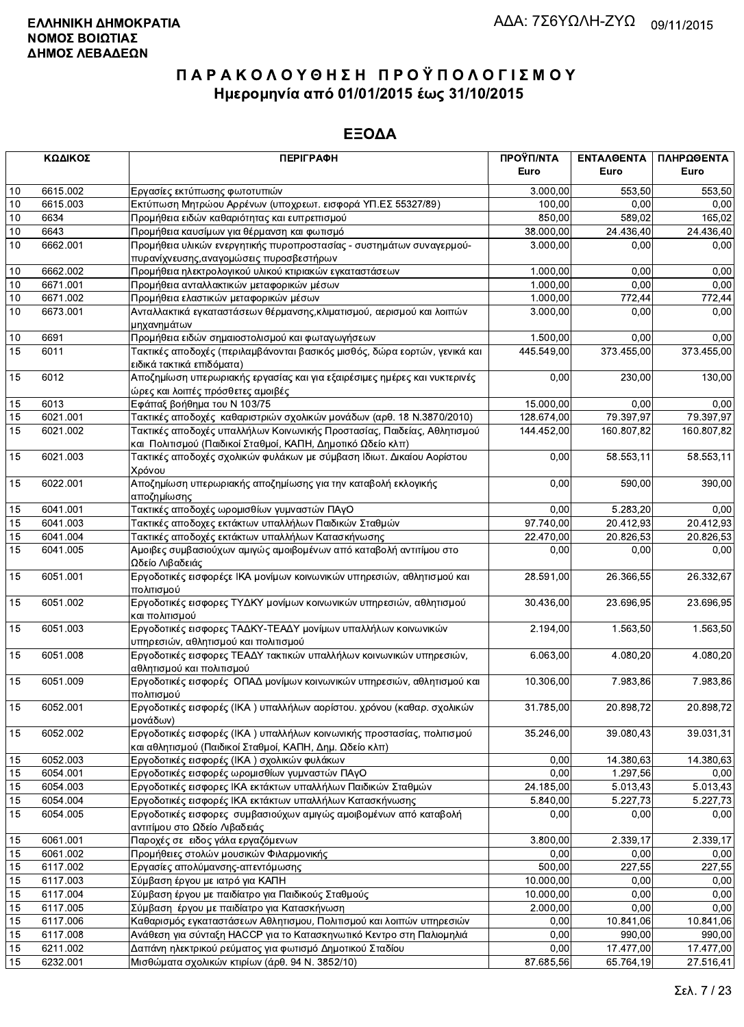|                 | ΚΩΔΙΚΟΣ              | <b>ПЕРІГРАФН</b>                                                                                                                 | ΠΡΟΫΠ/ΝΤΑ            | ΕΝΤΑΛΘΕΝΤΑ          | ΠΛΗΡΩΘΕΝΤΑ             |
|-----------------|----------------------|----------------------------------------------------------------------------------------------------------------------------------|----------------------|---------------------|------------------------|
|                 |                      |                                                                                                                                  | Euro                 | Euro                | Euro                   |
| $10$            | 6615.002             | Εργασίες εκτύπωσης φωτοτυπιών                                                                                                    | 3.000,00             | 553.50              | 553,50                 |
| 10              | 6615.003             | Εκτύπωση Μητρώου Αρρένων (υποχρεωτ. εισφορά ΥΠ.ΕΣ 55327/89)                                                                      | 100,00               | 0.00                | 0,00                   |
| 10              | 6634                 | Προμήθεια ειδών καθαριότητας και ευπρεπισμού                                                                                     | 850,00               | 589.02              | 165,02                 |
| 10              | 6643                 | Προμήθεια καυσίμων για θέρμανση και φωτισμό                                                                                      | 38.000,00            | 24.436,40           | 24.436,40              |
| 10              | 6662.001             | Προμήθεια υλικών ενεργητικής πυροπροστασίας - συστημάτων συναγερμού-                                                             | 3.000,00             | 0,00                | 0,00                   |
|                 |                      | πυρανίχνευσης, αναγομώσεις πυροσβεστήρων                                                                                         |                      |                     |                        |
| 10              | 6662.002             | Προμήθεια ηλεκτρολογικού υλικού κτιριακών εγκαταστάσεων                                                                          | 1.000,00             | 0,00                | 0,00                   |
| 10<br>10        | 6671.001<br>6671.002 | Προμήθεια ανταλλακτικών μεταφορικών μέσων<br>Προμήθεια ελαστικών μεταφορικών μέσων                                               | 1.000,00<br>1.000,00 | 0,00                | 0,00                   |
| 10              | 6673.001             | Ανταλλακτικά εγκαταστάσεων θέρμανσης, κλιματισμού, αερισμού και λοιπών                                                           | 3.000,00             | 772,44<br>0,00      | 772,44<br>0,00         |
|                 |                      | μηχανημάτων                                                                                                                      |                      |                     |                        |
| $10$            | 6691                 | Προμήθεια ειδών σημαιοστολισμού και φωταγωγήσεων                                                                                 | 1.500,00             | 0.00                | 0,00                   |
| $\overline{15}$ | 6011                 | Τακτικές αποδοχές (περιλαμβάνονται βασικός μισθός, δώρα εορτών, γενικά και                                                       | 445.549,00           | 373.455,00          | 373.455,00             |
|                 |                      | ειδικά τακτικά επιδόματα)                                                                                                        |                      |                     |                        |
| 15              | 6012                 | Αποζημίωση υπερωριακής εργασίας και για εξαιρέσιμες ημέρες και νυκτερινές                                                        | 0,00                 | 230,00              | 130,00                 |
|                 |                      | ώρες και λοιπές πρόσθετες αμοιβές                                                                                                |                      |                     |                        |
| 15              | 6013                 | Εφάπαξ βοήθημα του Ν 103/75                                                                                                      | 15.000,00            | 0,00                | 0,00                   |
| 15              | 6021.001             | Τακτικές αποδοχές καθαριστριών σχολικών μονάδων (αρθ. 18 Ν.3870/2010)                                                            | 128.674,00           | 79.397,97           | 79.397,97              |
| 15              | 6021.002             | Τακτικές αποδοχές υπαλλήλων Κοινωνικής Προστασίας, Παιδείας, Αθλητισμού                                                          | 144.452,00           | 160.807,82          | 160.807,82             |
|                 |                      | και Πολιτισμού (Παιδικοί Σταθμοί, ΚΑΠΗ, Δημοτικό Ωδείο κλπ)                                                                      |                      |                     |                        |
| 15              | 6021.003             | Τακτικές αποδοχές σχολικών φυλάκων με σύμβαση Ιδιωτ. Δικαίου Αορίστου<br>Χρόνου                                                  | 0,00                 | 58.553.11           | 58.553,11              |
| 15              | 6022.001             | Αποζημίωση υπερωριακής αποζημίωσης για την καταβολή εκλογικής                                                                    | 0,00                 | 590,00              | 390,00                 |
|                 |                      | αποζημίωσης                                                                                                                      |                      |                     |                        |
| 15              | 6041.001             | Τακτικές αποδοχές ωρομισθίων γυμναστών ΠΑγΟ                                                                                      | 0.00                 | 5.283,20            | 0,00                   |
| 15              | 6041.003             | Τακτικές αποδοχες εκτάκτων υπαλλήλων Παιδικών Σταθμών                                                                            | 97.740,00            | 20.412,93           | 20.412,93              |
| 15              | 6041.004             | Τακτικές αποδοχές εκτάκτων υπαλλήλων Κατασκήνωσης                                                                                | 22.470,00            | 20.826,53           | 20.826,53              |
| $\overline{15}$ | 6041.005             | Αμοιβες συμβασιούχων αμιγώς αμοιβομένων από καταβολή αντιτίμου στο                                                               | 0,00                 | 0,00                | 0,00                   |
|                 |                      | Ωδείο Λιβαδειάς                                                                                                                  |                      |                     |                        |
| 15              | 6051.001             | Εργοδοτικές εισφορέςε ΙΚΑ μονίμων κοινωνικών υπηρεσιών, αθλητισμού και<br>πολιτισμού                                             | 28.591,00            | 26.366,55           | 26.332,67              |
| 15              | 6051.002             | Εργοδοτικές εισφορες ΤΥΔΚΥ μονίμων κοινωνικών υπηρεσιών, αθλητισμού<br>και πολιτισμού                                            | 30.436,00            | 23.696,95           | 23.696,95              |
| 15              | 6051.003             | Εργοδοτικές εισφορες ΤΑΔΚΥ-ΤΕΑΔΥ μονίμων υπαλλήλων κοινωνικών                                                                    | 2.194,00             | 1.563,50            | 1.563,50               |
|                 |                      | υπηρεσιών, αθλητισμού και πολιτισμού                                                                                             |                      |                     |                        |
| 15              | 6051.008             | Εργοδοτικές εισφορες ΤΕΑΔΥ τακτικών υπαλλήλων κοινωνικών υπηρεσιών,                                                              | 6.063,00             | 4.080,20            | 4.080,20               |
|                 |                      | αθλητισμού και πολιτισμού                                                                                                        |                      |                     |                        |
| 15              | 6051.009             | Εργοδοτικές εισφορές ΟΠΑΔ μονίμων κοινωνικών υπηρεσιών, αθλητισμού και                                                           | 10.306,00            | 7.983,86            | 7.983,86               |
|                 |                      | πολιτισμού                                                                                                                       |                      |                     |                        |
| 15              | 6052.001             | Εργοδοτικές εισφορές (ΙΚΑ) υπαλλήλων αορίστου. χρόνου (καθαρ. σχολικών<br>μονάδων)                                               | 31.785,00            | 20.898,72           | 20.898.72              |
| 15              | 6052.002             | Εργοδοτικές εισφορές (ΙΚΑ) υπαλλήλων κοινωνικής προστασίας, πολιτισμού                                                           | 35.246,00            | 39.080,43           | 39.031,31              |
|                 |                      | και αθλητισμού (Παιδικοί Σταθμοί, ΚΑΠΗ, Δημ. Ωδείο κλπ)                                                                          |                      |                     |                        |
| 15              | 6052.003             | Εργοδοτικές εισφορές (ΙΚΑ) σχολικών φυλάκων                                                                                      | 0,00                 | 14.380,63           | 14.380,63              |
| 15              | 6054.001             | Εργοδοτικές εισφορές ωρομισθίων γυμναστών ΠΑγΟ                                                                                   | 0,00                 | 1.297,56            | 0,00                   |
| 15              | 6054.003             | Εργοδοτικές εισφορες ΙΚΑ εκτάκτων υπαλλήλων Παιδικών Σταθμών                                                                     | 24.185,00            | 5.013,43            | 5.013,43               |
| 15              | 6054.004             | Εργοδοτικές εισφορές ΙΚΑ εκτάκτων υπαλλήλων Κατασκήνωσης                                                                         | 5.840,00             | 5.227,73            | 5.227,73               |
| 15              | 6054.005             | Εργοδοτικές εισφορες συμβασιούχων αμιγώς αμοιβομένων από καταβολή                                                                | 0.00                 | 0,00                | 0,00                   |
|                 |                      | αντιτίμου στο Ωδείο Λιβαδειάς                                                                                                    |                      |                     |                        |
| 15              | 6061.001             | Παροχές σε ειδος γάλα εργαζόμενων                                                                                                | 3.800,00             | 2.339,17            | 2.339,17               |
| 15              | 6061.002             | Προμήθειες στολών μουσικών Φιλαρμονικής                                                                                          | 0,00                 | 0,00                | 0,00                   |
| 15              | 6117.002             | Εργασίες απολύμανσης-απεντόμωσης                                                                                                 | 500,00               | 227,55              | 227,55                 |
| 15              | 6117.003             | Σύμβαση έργου με ιατρό για ΚΑΠΗ                                                                                                  | 10.000,00            | 0,00                | 0,00                   |
| 15              | 6117.004             | Σύμβαση έργου με παιδίατρο για Παιδικούς Σταθμούς                                                                                | 10.000,00            | 0,00                | 0,00                   |
| 15              | 6117.005             | Σύμβαση έργου με παιδίατρο για Κατασκήνωση                                                                                       | 2.000,00             | 0,00                | 0,00                   |
| 15              | 6117.006             | Καθαρισμός εγκαταστάσεων Αθλητισμου, Πολιτισμού και λοιπών υπηρεσιών                                                             | 0,00                 | 10.841,06           | 10.841,06              |
| 15              | 6117.008             | Ανάθεση για σύνταξη ΗΑCCP για το Κατασκηνωτικό Κεντρο στη Παλιομηλιά<br>Δαπάνη ηλεκτρικού ρεύματος για φωτισμό Δημοτικού Σταδίου | 0,00<br>0,00         | 990,00<br>17.477,00 | 990,00                 |
| 15<br>15        | 6211.002<br>6232.001 | Μισθώματα σχολικών κτιρίων (άρθ. 94 Ν. 3852/10)                                                                                  | 87.685,56            | 65.764,19           | 17.477,00<br>27.516,41 |
|                 |                      |                                                                                                                                  |                      |                     |                        |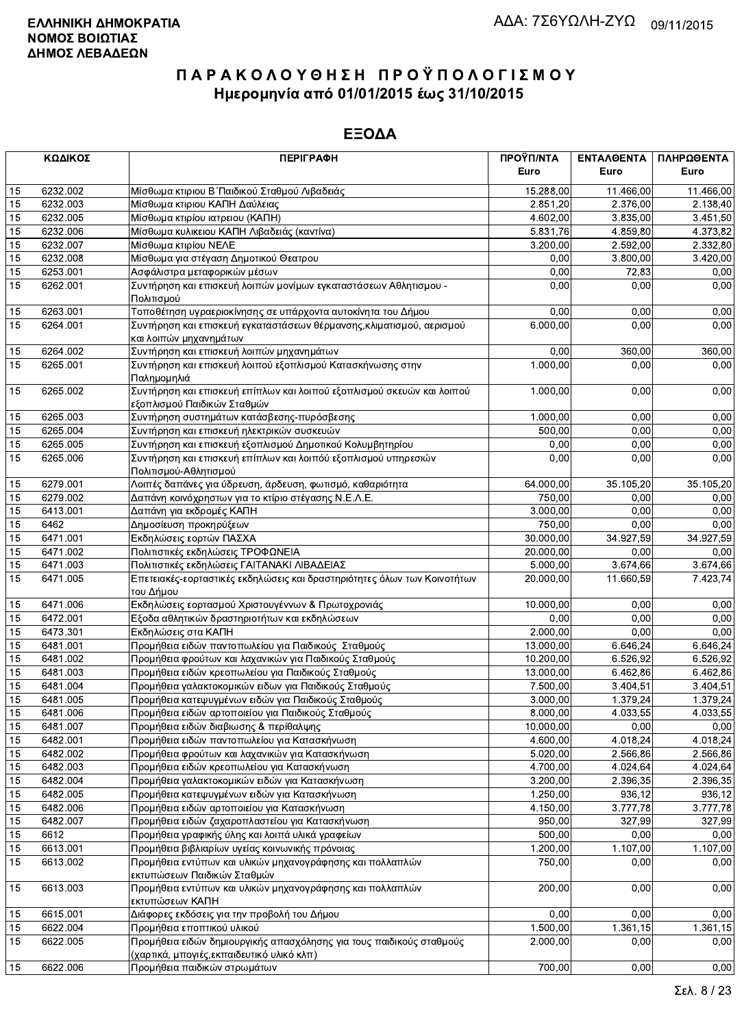|    | ΚΩΔΙΚΟΣ  | <b>ПЕРІГРАФН</b>                                                                                                   | ΠΡΟΫΠ/ΝΤΑ<br>Euro | ΕΝΤΑΛΘΕΝΤΑ<br>Euro | ΠΛΗΡΩΘΕΝΤΑ<br>Euro |
|----|----------|--------------------------------------------------------------------------------------------------------------------|-------------------|--------------------|--------------------|
| 15 | 6232.002 | Μίσθωμα κτιριου Β΄ Παιδικού Σταθμού Λιβαδειάς                                                                      | 15.288,00         | 11.466,00          | 11.466,00          |
| 15 | 6232.003 | Μίσθωμα κτιριου ΚΑΠΗ Δαύλειας                                                                                      | 2.851,20          | 2.376,00           | 2.138,40           |
| 15 | 6232.005 | Μίσθωμα κτιρίου ιατρειου (ΚΑΠΗ)                                                                                    | 4.602,00          | 3.835,00           | 3.451,50           |
| 15 | 6232.006 | Μίσθωμα κυλικειου ΚΑΠΗ Λιβαδειάς (καντίνα)                                                                         | 5.831,76          | 4.859,80           | 4.373,82           |
| 15 | 6232.007 | Μίσθωμα κτιρίου ΝΕΛΕ                                                                                               | 3.200,00          | 2.592,00           | 2.332,80           |
| 15 | 6232.008 | Μίσθωμα για στέγαση Δημοτικού Θεατρου                                                                              | 0.00              | 3.800,00           | 3.420,00           |
| 15 | 6253.001 | Ασφάλιστρα μεταφορικών μέσων                                                                                       | 0,00              | 72,83              | 0,00               |
| 15 | 6262.001 | Συντήρηση και επισκευή λοιπών μονίμων εγκαταστάσεων Αθλητισμου -<br>Πολιτισμού                                     | 0,00              | 0,00               | 0,00               |
| 15 | 6263.001 | Τοποθέτηση υγραεριοκίνησης σε υπάρχοντα αυτοκίνητα του Δήμου                                                       | 0,00              | 0,00               | 0,00               |
| 15 | 6264.001 | Συντήρηση και επισκευή εγκαταστάσεων θέρμανσης, κλιματισμού, αερισμού<br>και λοιπών μηχανημάτων                    | 6.000,00          | 0,00               | 0,00               |
| 15 | 6264.002 | Συντήρηση και επισκευή λοιπών μηχανημάτων                                                                          | 0,00              | 360,00             | 360,00             |
| 15 | 6265.001 | Συντήρηση και επισκευή λοιπού εξοπλισμού Κατασκήνωσης στην<br>Παλημομηλιά                                          | 1.000,00          | 0,00               | 0,00               |
| 15 | 6265.002 | Συντήρηση και επισκευή επίπλων και λοιπού εξοπλισμού σκευών και λοιπού<br>εξοπλισμού Παιδικών Σταθμών              | 1.000,00          | 0,00               | 0,00               |
| 15 | 6265.003 | Συντήρηση συστημάτων κατάσβεσης-πυρόσβεσης                                                                         | 1.000,00          | 0,00               | 0,00               |
| 15 | 6265.004 | Συντήρηση και επισκευή ηλεκτρικών συσκευών                                                                         | 500,00            | 0,00               | 0,00               |
| 15 | 6265.005 | Συντήρηση και επισκευή εξοπλισμού Δημοτικού Κολυμβητηρίου                                                          | 0,00              | 0,00               | 0,00               |
| 15 | 6265.006 | Συντήρηση και επισκευή επίπλων και λοιπόύ εξοπλισμού υπηρεσιών<br>Πολιτισμού-Αθλητισμού                            | 0,00              | 0,00               | 0,00               |
| 15 | 6279.001 | Λοιπές δαπάνες για ύδρευση, άρδευση, φωτισμό, καθαριότητα                                                          | 64.000,00         | 35.105,20          | 35.105,20          |
| 15 | 6279.002 | Δαπάνη κοινόχρηστων για το κτίριο στέγασης Ν.Ε.Λ.Ε.                                                                | 750,00            | 0,00               | 0,00               |
| 15 | 6413.001 | Δαπάνη για εκδρομές ΚΑΠΗ                                                                                           | 3.000,00          | 0,00               | 0,00               |
| 15 | 6462     | Δημοσίευση προκηρύξεων                                                                                             | 750,00            | 0,00               | 0,00               |
| 15 | 6471.001 | Εκδηλώσεις εορτών ΠΑΣΧΑ                                                                                            | 30.000,00         | 34.927,59          | 34.927,59          |
| 15 | 6471.002 | Πολιτιστικές εκδηλώσεις ΤΡΟΦΩΝΕΙΑ                                                                                  | 20.000,00         | 0,00               | 0,00               |
| 15 | 6471.003 | Πολιτιστικές εκδηλώσεις ΓΑΙΤΑΝΑΚΙ ΛΙΒΑΔΕΙΑΣ                                                                        | 5.000,00          | 3.674,66           | 3.674,66           |
| 15 | 6471.005 | Επετειακές-εορταστικές εκδηλώσεις και δραστηριότητες όλων των Κοινοτήτων<br>του Δήμου                              | 20.000,00         | 11.660,59          | 7.423,74           |
| 15 | 6471.006 | Εκδηλώσεις εορτασμού Χριστουγέννων & Πρωτοχρονιάς                                                                  | 10.000,00         | 0,00               | 0,00               |
| 15 | 6472.001 | Εξοδα αθλητικών δραστηριοτήτων και εκδηλώσεων                                                                      | 0,00              | 0.00               | 0,00               |
| 15 | 6473.301 | Εκδηλώσεις στα ΚΑΠΗ                                                                                                | 2.000,00          | 0,00               | 0,00               |
| 15 | 6481.001 | Προμήθεια ειδών παντοπωλείου για Παιδικούς Σταθμούς                                                                | 13.000,00         | 6.646,24           | 6.646,24           |
| 15 | 6481.002 | Προμήθεια φρούτων και λαχανικών για Παιδικούς Σταθμούς                                                             | 10.200,00         | 6.526,92           | 6.526,92           |
| 15 | 6481.003 | Προμήθεια ειδών κρεοπωλείου για Παιδικούς Σταθμούς                                                                 | 13.000,00         | 6.462,86           | 6.462,86           |
| 15 | 6481.004 | Προμήθεια γαλακτοκομικών ειδων για Παιδικούς Σταθμούς                                                              | 7.500,00          | 3.404,51           | 3.404,51           |
| 15 | 6481.005 | Προμήθεια κατεψυγμένων ειδών για Παιδικούς Σταθμούς                                                                | 3.000,00          | 1.379,24           | 1.379,24           |
| 15 | 6481.006 | Προμήθεια ειδών αρτοποιείου για Παιδικούς Σταθμούς                                                                 | 8.000,00          | 4.033,55           | 4.033,55           |
| 15 | 6481.007 | Προμήθεια ειδών διαβιωσης & περίθαλψης                                                                             | 10.000,00         | 0,00               | 0,00               |
| 15 | 6482.001 | Προμήθεια ειδών παντοπωλείου για Κατασκήνωση                                                                       | 4.600,00          | 4.018,24           | 4.018,24           |
| 15 | 6482.002 | Προμήθεια φρούτων και λαχανικών για Κατασκήνωση                                                                    | 5.020,00          | 2.566,86           | 2.566,86           |
| 15 | 6482.003 | Προμήθεια ειδών κρεοπωλείου για Κατασκήνωση                                                                        | 4.700,00          | 4.024,64           | 4.024,64           |
| 15 | 6482.004 | Προμήθεια γαλακτοκομικών ειδών για Κατασκήνωση                                                                     | 3.200,00          | 2.396,35           | 2.396,35           |
| 15 | 6482.005 | Προμήθεια κατεψυγμένων ειδών για Κατασκήνωση                                                                       | 1.250,00          | 936,12             | 936,12             |
| 15 | 6482.006 | Προμήθεια ειδών αρτοποιείου για Κατασκήνωση                                                                        | 4.150,00          | 3.777,78           | 3.777,78           |
| 15 | 6482.007 | Προμήθεια ειδών ζαχαροπλαστείου για Κατασκήνωση                                                                    | 950,00            | 327,99             | 327,99             |
| 15 | 6612     | Προμήθεια γραφικής ύλης και λοιπά υλικά γραφείων                                                                   | 500,00            | 0,00               | 0,00               |
| 15 | 6613.001 | Προμήθεια βιβλιαρίων υγείας κοινωνικής πρόνοιας                                                                    | 1.200,00          | 1.107,00           | 1.107,00           |
| 15 | 6613.002 | Προμήθεια εντύπων και υλικών μηχανογράφησης και πολλαπλών<br>εκτυπώσεων Παιδικών Σταθμών                           | 750,00            | 0,00               | 0,00               |
| 15 | 6613.003 | Προμήθεια εντύπων και υλικών μηχανογράφησης και πολλαπλών<br>εκτυπώσεων ΚΑΠΗ                                       | 200,00            | 0,00               | 0,00               |
| 15 | 6615.001 | Διάφορες εκδόσεις για την προβολή του Δήμου                                                                        | 0,00              | 0,00               | 0,00               |
| 15 | 6622.004 | Προμήθεια εποπτικού υλικού                                                                                         | 1.500,00          | 1.361, 15          | 1.361,15           |
| 15 | 6622.005 | Προμήθεια ειδών δημιουργικής απασχόλησης για τους παιδικούς σταθμούς<br>(χαρτικά, μπογιές, εκπαιδευτικό υλικό κλπ) | 2.000,00          | 0,00               | 0,00               |
| 15 | 6622.006 | Προμήθεια παιδικών στρωμάτων                                                                                       | 700,00            | 0,00               | 0,00               |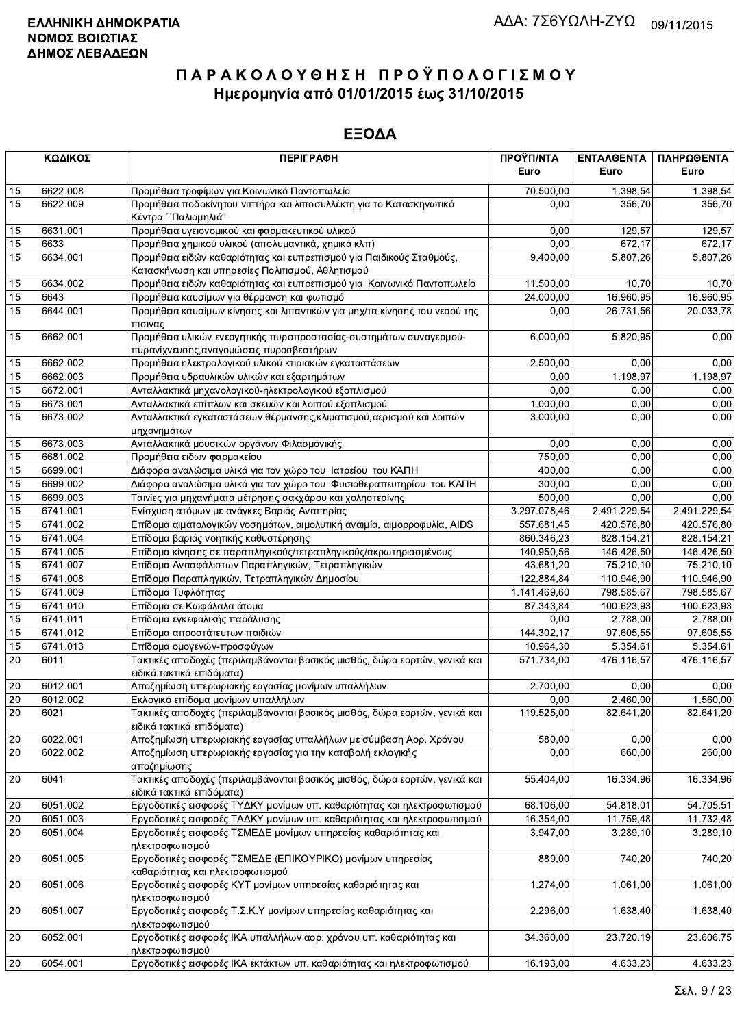|    | ΚΩΔΙΚΟΣ  | <b>ПЕРІГРАФН</b>                                                                                                         | ΠΡΟΫΠ/ΝΤΑ<br>Euro | ΕΝΤΑΛΘΕΝΤΑ<br>Euro | ΠΛΗΡΩΘΕΝΤΑ<br>Euro |
|----|----------|--------------------------------------------------------------------------------------------------------------------------|-------------------|--------------------|--------------------|
| 15 | 6622.008 | Προμήθεια τροφίμων για Κοινωνικό Παντοπωλείο                                                                             | 70.500,00         | 1.398.54           | 1.398,54           |
| 15 | 6622.009 | Προμήθεια ποδοκίνητου νιπτήρα και λιποσυλλέκτη για το Κατασκηνωτικό<br>Κέντρο ΄΄Παλιομηλιά"                              | 0,00              | 356.70             | 356,70             |
| 15 | 6631.001 | Προμήθεια υγειονομικού και φαρμακευτικού υλικού                                                                          | 0,00              | 129,57             | 129,57             |
| 15 | 6633     | Προμήθεια χημικού υλικού (απολυμαντικά, χημικά κλπ)                                                                      | 0,00              | 672,17             | 672,17             |
| 15 | 6634.001 | Προμήθεια ειδών καθαριότητας και ευπρεπισμού για Παιδικούς Σταθμούς,<br>Κατασκήνωση και υπηρεσίες Πολιτισμού, Αθλητισμού | 9.400,00          | 5.807,26           | 5.807,26           |
| 15 | 6634.002 | Προμήθεια ειδών καθαριότητας και ευπρεπισμού για Κοινωνικό Παντοπωλείο                                                   | 11.500,00         | 10,70              | 10,70              |
| 15 | 6643     | Προμήθεια καυσίμων για θέρμανση και φωτισμό                                                                              | 24.000,00         | 16.960,95          | 16.960,95          |
| 15 | 6644.001 | Προμήθεια καυσίμων κίνησης και λιπαντικών για μηχ/τα κίνησης του νερού της<br>πισινας                                    | 0,00              | 26.731,56          | 20.033,78          |
| 15 | 6662.001 | Προμήθεια υλικών ενεργητικής πυροπροστασίας-συστημάτων συναγερμού-<br>πυρανίχνευσης, αναγομώσεις πυροσβεστήρων           | 6.000,00          | 5.820,95           | 0,00               |
| 15 | 6662.002 | Προμήθεια ηλεκτρολογικού υλικού κτιριακών εγκαταστάσεων                                                                  | 2.500,00          | 0.00               | 0,00               |
| 15 | 6662.003 | Προμήθεια υδραυλικών υλικών και εξαρτημάτων                                                                              | 0,00              | 1.198,97           | 1.198,97           |
| 15 | 6672.001 | Ανταλλακτικά μηχανολογικού-ηλεκτρολογικού εξοπλισμού                                                                     | 0,00              | 0,00               | 0,00               |
| 15 | 6673.001 | Ανταλλακτικά επίπλων και σκευών και λοιπού εξοπλισμού                                                                    | 1.000,00          | 0,00               | 0,00               |
| 15 | 6673.002 | Ανταλλακτικά εγκαταστάσεων θέρμανσης, κλιματισμού, αερισμού και λοιπών<br>μηχανημάτων                                    | 3.000,00          | 0,00               | 0,00               |
| 15 | 6673.003 | Ανταλλακτικά μουσικών οργάνων Φιλαρμονικής                                                                               | 0,00              | 0,00               | 0,00               |
| 15 | 6681.002 | Προμήθεια ειδων φαρμακείου                                                                                               | 750,00            | 0,00               | 0,00               |
| 15 | 6699.001 | Διάφορα αναλώσιμα υλικά για τον χώρο του Ιατρείου του ΚΑΠΗ                                                               | 400.00            | 0,00               | 0,00               |
| 15 | 6699.002 | Διάφορα αναλώσιμα υλικά για τον χώρο του Φυσιοθεραπευτηρίου του ΚΑΠΗ                                                     | 300,00            | 0,00               | 0,00               |
| 15 | 6699.003 | Ταινίες για μηχανήματα μέτρησης σακχάρου και χοληστερίνης                                                                | 500,00            | 0,00               | 0,00               |
| 15 | 6741.001 | Ενίσχυση ατόμων με ανάγκες Βαριάς Αναπηρίας                                                                              | 3.297.078,46      | 2.491.229,54       | 2.491.229,54       |
| 15 | 6741.002 | Επίδομα αιματολογικών νοσημάτων, αιμολυτική αναιμία, αιμορροφυλία, AIDS                                                  | 557.681,45        | 420.576,80         | 420.576,80         |
| 15 | 6741.004 | Επίδομα βαριάς νοητικής καθυστέρησης                                                                                     | 860.346,23        | 828.154,21         | 828.154,21         |
| 15 | 6741.005 | Επίδομα κίνησης σε παραπληγικούς/τετραπληγικούς/ακρωτηριασμένους                                                         | 140.950,56        | 146.426,50         | 146.426,50         |
| 15 | 6741.007 | Επίδομα Ανασφάλιστων Παραπληγικών, Τετραπληγικών                                                                         | 43.681,20         | 75.210,10          | 75.210,10          |
| 15 | 6741.008 | Επίδομα Παραπληγικών, Τετραπληγικών Δημοσίου                                                                             | 122.884,84        | 110.946,90         | 110.946,90         |
| 15 | 6741.009 | Επίδομα Τυφλότητας                                                                                                       | 1.141.469,60      | 798.585,67         | 798.585,67         |
| 15 | 6741.010 | Επίδομα σε Κωφάλαλα άτομα                                                                                                | 87.343,84         | 100.623,93         | 100.623,93         |
| 15 | 6741.011 | Επίδομα εγκεφαλικής παράλυσης                                                                                            | 0,00              | 2.788,00           | 2.788,00           |
| 15 | 6741.012 | Επίδομα απροστάτευτων παιδιών                                                                                            | 144.302,17        | 97.605,55          | 97.605,55          |
| 15 | 6741.013 | Επίδομα ομογενών-προσφύγων                                                                                               | 10.964,30         | 5.354,61           | 5.354,61           |
| 20 | 6011     | Τακτικές αποδοχές (περιλαμβάνονται βασικός μισθός, δώρα εορτών, γενικά και<br>ειδικά τακτικά επιδόματα)                  | 571.734,00        | 476.116.57         | 476.116,57         |
| 20 | 6012.001 | Αποζημίωση υπερωριακής εργασίας μονίμων υπαλλήλων                                                                        | 2.700,00          | 0.00               | 0,00               |
| 20 | 6012.002 | Εκλογικό επίδομα μονίμων υπαλλήλων                                                                                       | 0,00              | 2.460,00           | 1.560,00           |
| 20 | 6021     | Τακτικές αποδοχές (περιλαμβάνονται βασικός μισθός, δώρα εορτών, γενικά και<br>ειδικά τακτικά επιδόματα)                  | 119.525,00        | 82.641,20          | 82.641,20          |
| 20 | 6022.001 | Αποζημίωση υπερωριακής εργασίας υπαλλήλων με σύμβαση Αορ. Χρόνου                                                         | 580,00            | 0.00               | 0,00               |
| 20 | 6022.002 | Αποζημίωση υπερωριακής εργασίας για την καταβολή εκλογικής<br>αποζημίωσης                                                | 0,00              | 660,00             | 260,00             |
| 20 | 6041     | Τακτικές αποδοχές (περιλαμβάνονται βασικός μισθός, δώρα εορτών, γενικά και<br>ειδικά τακτικά επιδόματα)                  | 55.404,00         | 16.334,96          | 16.334,96          |
| 20 | 6051.002 | Εργοδοτικές εισφορές ΤΥΔΚΥ μονίμων υπ. καθαριότητας και ηλεκτροφωτισμού                                                  | 68.106,00         | 54.818,01          | 54.705,51          |
| 20 | 6051.003 | Εργοδοτικές εισφορές ΤΑΔΚΥ μονίμων υπ. καθαριότητας και ηλεκτροφωτισμού                                                  | 16.354,00         | 11.759,48          | 11.732,48          |
| 20 | 6051.004 | Εργοδοτικές εισφορές ΤΣΜΕΔΕ μονίμων υπηρεσίας καθαριότητας και<br>ηλεκτροφωτισμού                                        | 3.947,00          | 3.289,10           | 3.289,10           |
| 20 | 6051.005 | Εργοδοτικές εισφορές ΤΣΜΕΔΕ (ΕΠΙΚΟΥΡΙΚΟ) μονίμων υπηρεσίας<br>καθαριότητας και ηλεκτροφωτισμού                           | 889,00            | 740,20             | 740,20             |
| 20 | 6051.006 | Εργοδοτικές εισφορές ΚΥΤ μονίμων υπηρεσίας καθαριότητας και<br>ηλεκτροφωτισμού                                           | 1.274,00          | 1.061,00           | 1.061,00           |
| 20 | 6051.007 | Εργοδοτικές εισφορές Τ.Σ.Κ.Υ μονίμων υπηρεσίας καθαριότητας και<br>ηλεκτροφωτισμού                                       | 2.296,00          | 1.638,40           | 1.638,40           |
| 20 | 6052.001 | Εργοδοτικές εισφορές ΙΚΑ υπαλλήλων αορ. χρόνου υπ. καθαριότητας και<br>ηλεκτροφωτισμού                                   | 34.360,00         | 23.720,19          | 23.606,75          |
| 20 | 6054.001 | Εργοδοτικές εισφορές ΙΚΑ εκτάκτων υπ. καθαριότητας και ηλεκτροφωτισμού                                                   | 16.193,00         | 4.633,23           | 4.633,23           |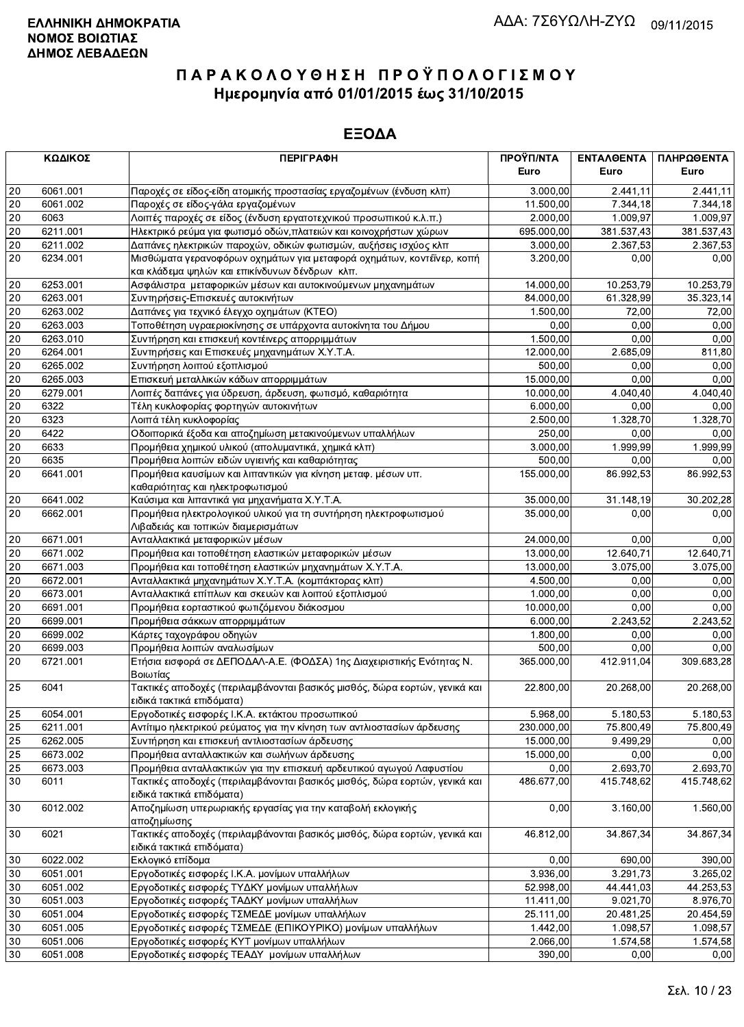|            | ΚΩΔΙΚΟΣ  | <b>ПЕРІГРАФН</b>                                                                  | ΠΡΟΫΠ/ΝΤΑ<br>Euro | ΕΝΤΑΛΘΕΝΤΑ<br>Euro    | ΠΛΗΡΩΘΕΝΤΑ<br>Euro |
|------------|----------|-----------------------------------------------------------------------------------|-------------------|-----------------------|--------------------|
| 20         | 6061.001 | Παροχές σε είδος-είδη ατομικής προστασίας εργαζομένων (ένδυση κλπ)                | 3.000,00          | 2.441,11              | 2.441,11           |
| 20         | 6061.002 | Παροχές σε είδος-γάλα εργαζομένων                                                 | 11.500,00         | 7.344,18              | 7.344,18           |
| 20         | 6063     | Λοιπές παροχές σε είδος (ένδυση εργατοτεχνικού προσωπικού κ.λ.π.)                 | 2.000,00          | 1.009,97              | 1.009,97           |
| 20         | 6211.001 | Ηλεκτρικό ρεύμα για φωτισμό οδών, πλατειών και κοινοχρήστων χώρων                 | 695.000,00        | 381.537,43            | 381.537,43         |
| 20         | 6211.002 | Δαπάνες ηλεκτρικών παροχών, οδικών φωτισμών, αυξήσεις ισχύος κλπ                  | 3.000,00          | 2.367,53              | 2.367,53           |
| 20         | 6234.001 | Μισθώματα γερανοφόρων οχημάτων για μεταφορά οχημάτων, κοντέϊνερ, κοπή             | 3.200,00          | 0,00                  | 0,00               |
|            |          | και κλάδεμα ψηλών και επικίνδυνων δένδρων κλπ.                                    |                   |                       |                    |
| 20         | 6253.001 | Ασφάλιστρα μεταφορικών μέσων και αυτοκινούμενων μηχανημάτων                       | 14.000,00         | 10.253,79             | 10.253,79          |
| 20         | 6263.001 | Συντηρήσεις-Επισκευές αυτοκινήτων                                                 | 84.000,00         | 61.328,99             | 35.323,14          |
| 20         | 6263.002 | Δαπάνες για τεχνικό έλεγχο οχημάτων (ΚΤΕΟ)                                        | 1.500,00          | 72,00                 | 72,00              |
| 20         | 6263.003 | Τοποθέτηση υγραεριοκίνησης σε υπάρχοντα αυτοκίνητα του Δήμου                      | 0,00              | 0,00                  | 0,00               |
| 20         | 6263.010 | Συντήρηση και επισκευή κοντέινερς απορριμμάτων                                    | 1.500,00          | 0,00                  | 0,00               |
| 20         | 6264.001 | Συντηρήσεις και Επισκευές μηχανημάτων Χ.Υ.Τ.Α.                                    | 12.000,00         | 2.685,09              | 811,80             |
| 20         | 6265.002 | Συντήρηση λοιπού εξοπλισμού                                                       | 500,00            | 0,00                  | 0,00               |
| 20         | 6265.003 | Επισκευή μεταλλικών κάδων απορριμμάτων                                            | 15.000,00         | 0,00                  | 0,00               |
| 20         | 6279.001 | Λοιπές δαπάνες για ύδρευση, άρδευση, φωτισμό, καθαριότητα                         | 10.000,00         | 4.040,40              | 4.040,40           |
| 20         | 6322     | Τέλη κυκλοφορίας φορτηγών αυτοκινήτων                                             | 6.000,00          | 0,00                  | 0,00               |
| 20         | 6323     | Λοιπά τέλη κυκλοφορίας                                                            | 2.500,00          | 1.328,70              | 1.328,70           |
| 20         | 6422     | Οδοιπορικά έξοδα και αποζημίωση μετακινούμενων υπαλλήλων                          | 250,00            | 0,00                  | 0,00               |
| 20         | 6633     | Προμήθεια χημικού υλικού (απολυμαντικά, χημικά κλπ)                               | 3.000,00          | 1.999,99              | 1.999,99           |
| 20         | 6635     | Προμήθεια λοιπών ειδών υγιεινής και καθαριότητας                                  | 500,00            | 0,00                  | 0,00               |
| 20         | 6641.001 | Προμήθεια καυσίμων και λιπαντικών για κίνηση μεταφ. μέσων υπ.                     | 155.000,00        | 86.992,53             | 86.992,53          |
|            |          | καθαριότητας και ηλεκτροφωτισμού                                                  |                   |                       |                    |
| $20\,$     | 6641.002 | Καύσιμα και λιπαντικά για μηχανήματα Χ.Υ.Τ.Α.                                     | 35.000,00         | 31.148,19             | 30.202,28          |
| 20         | 6662.001 | Προμήθεια ηλεκτρολογικού υλικού για τη συντήρηση ηλεκτροφωτισμού                  | 35.000,00         | 0.00                  | 0,00               |
|            |          | Λιβαδειάς και τοπικών διαμερισμάτων                                               |                   |                       |                    |
| 20         | 6671.001 | Ανταλλακτικά μεταφορικών μέσων                                                    | 24.000,00         | 0,00                  | 0,00               |
| 20         | 6671.002 | Προμήθεια και τοποθέτηση ελαστικών μεταφορικών μέσων                              | 13.000,00         | 12.640,71             | 12.640,71          |
| 20         | 6671.003 | Προμήθεια και τοποθέτηση ελαστικών μηχανημάτων Χ.Υ.Τ.Α.                           | 13.000,00         | 3.075,00              | 3.075,00           |
| 20         | 6672.001 | Ανταλλακτικά μηχανημάτων Χ.Υ.Τ.Α. (κομπάκτορας κλπ)                               | 4.500,00          | 0,00                  | 0,00               |
| 20         | 6673.001 | Ανταλλακτικά επίπλων και σκευών και λοιπού εξοπλισμού                             | 1.000,00          | 0,00                  | 0,00               |
| 20         | 6691.001 | Προμήθεια εορταστικού φωτιζόμενου διάκοσμου                                       | 10.000,00         | 0,00                  | 0,00               |
| 20         | 6699.001 | Προμήθεια σάκκων απορριμμάτων                                                     | 6.000,00          | 2.243,52              | 2.243,52           |
| 20         | 6699.002 | Κάρτες ταχογράφου οδηγών                                                          | 1.800,00          | 0,00                  | 0,00               |
| $20\,$     | 6699.003 | Προμήθεια λοιπών αναλωσίμων                                                       | 500,00            | 0,00                  | 0,00               |
|            | 6721.001 |                                                                                   |                   | 412.911,04            |                    |
| 20         |          | Ετήσια εισφορά σε ΔΕΠΟΔΑΛ-Α.Ε. (ΦΟΔΣΑ) 1ης Διαχειριστικής Ενότητας Ν.<br>Βοιωτίας | 365.000,00        |                       | 309.683,28         |
| 25         | 6041     | Τακτικές αποδοχές (περιλαμβάνονται βασικός μισθός, δώρα εορτών, γενικά και        | 22.800,00         | 20.268,00             | 20.268,00          |
|            |          | ειδικά τακτικά επιδόματα)                                                         |                   |                       |                    |
| 25         | 6054.001 | Εργοδοτικές εισφορές Ι.Κ.Α. εκτάκτου προσωπικού                                   | 5.968,00          | 5.180,53              | 5.180,53           |
| 25         | 6211.001 | Αντίτιμο ηλεκτρικού ρεύματος για την κίνηση των αντλιοστασίων άρδευσης            | 230.000,00        | 75.800,49             | 75.800,49          |
| 25         | 6262.005 | Συντήρηση και επισκευή αντλιοστασίων άρδευσης                                     | 15.000,00         | 9.499,29              | 0,00               |
| 25         | 6673.002 | Προμήθεια ανταλλακτικών και σωλήνων άρδευσης                                      | 15.000,00         | 0,00                  | 0,00               |
| 25         | 6673.003 | Προμήθεια ανταλλακτικών για την επισκευή αρδευτικού αγωγού Λαφυστίου              | 0,00              | $\overline{2.693,70}$ | 2.693,70           |
| 30         | 6011     | Τακτικές αποδοχές (περιλαμβάνονται βασικός μισθός, δώρα εορτών, γενικά και        | 486.677,00        | 415.748,62            | 415.748,62         |
|            |          | ειδικά τακτικά επιδόματα)                                                         |                   |                       |                    |
| 30         | 6012.002 | Αποζημίωση υπερωριακής εργασίας για την καταβολή εκλογικής                        | 0,00              | 3.160,00              | 1.560,00           |
|            |          | αποζημίωσης                                                                       |                   |                       |                    |
| 30         | 6021     | Τακτικές αποδοχές (περιλαμβάνονται βασικός μισθός, δώρα εορτών, γενικά και        | 46.812,00         | 34.867,34             | 34.867,34          |
|            |          | ειδικά τακτικά επιδόματα)                                                         |                   |                       |                    |
| 30         | 6022.002 | Εκλογικό επίδομα                                                                  | 0,00              | 690,00                | 390,00             |
| 30         | 6051.001 | Εργοδοτικές εισφορές Ι.Κ.Α. μονίμων υπαλλήλων                                     | 3.936,00          | 3.291,73              | 3.265,02           |
| 30         | 6051.002 | Εργοδοτικές εισφορές ΤΥΔΚΥ μονίμων υπαλλήλων                                      | 52.998,00         | 44.441,03             | 44.253,53          |
| 30         | 6051.003 | Εργοδοτικές εισφορές ΤΑΔΚΥ μονίμων υπαλλήλων                                      | 11.411,00         | 9.021,70              | 8.976,70           |
| 30         | 6051.004 | Εργοδοτικές εισφορές ΤΣΜΕΔΕ μονίμων υπαλλήλων                                     | 25.111,00         | 20.481,25             | 20.454,59          |
| 30         | 6051.005 | Εργοδοτικές εισφορές ΤΣΜΕΔΕ (ΕΠΙΚΟΥΡΙΚΟ) μονίμων υπαλλήλων                        | 1.442,00          | 1.098,57              | 1.098,57           |
| 30         | 6051.006 | Εργοδοτικές εισφορές ΚΥΤ μονίμων υπαλλήλων                                        | 2.066,00          | 1.574,58              | 1.574,58           |
| $\vert$ 30 | 6051.008 | Εργοδοτικές εισφορές ΤΕΑΔΥ μονίμων υπαλλήλων                                      | 390,00            | 0,00                  | 0,00               |
|            |          |                                                                                   |                   |                       |                    |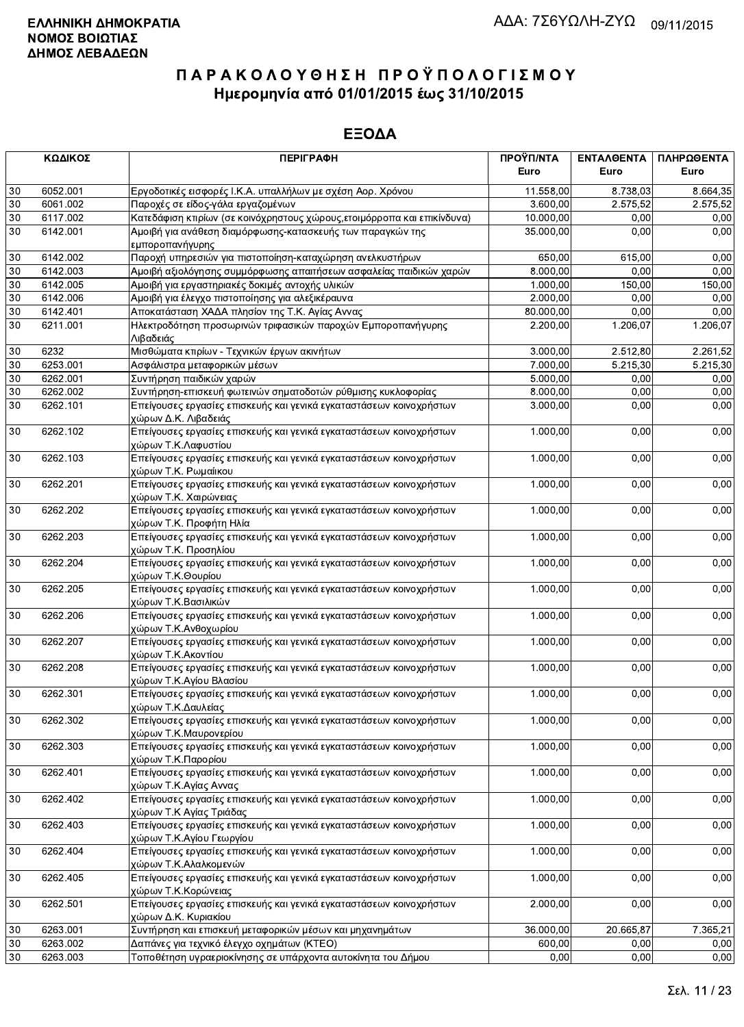|        | ΚΩΔΙΚΟΣ  | <b>ПЕРІГРАФН</b>                                                                                | ΠΡΟΫΠ/ΝΤΑ<br>Euro | ΕΝΤΑΛΘΕΝΤΑ<br>Euro | ΠΛΗΡΩΘΕΝΤΑ<br>Euro |
|--------|----------|-------------------------------------------------------------------------------------------------|-------------------|--------------------|--------------------|
| 30     | 6052.001 | Εργοδοτικές εισφορές Ι.Κ.Α. υπαλλήλων με σχέση Αορ. Χρόνου                                      | 11.558,00         | 8.738,03           | 8.664,35           |
| 30     | 6061.002 | Παροχές σε είδος-γάλα εργαζομένων                                                               | 3.600,00          | 2.575.52           | 2.575,52           |
| 30     | 6117.002 | Κατεδάφιση κτιρίων (σε κοινόχρηστους χώρους, ετοιμόρροπα και επικίνδυνα)                        | 10.000,00         | 0,00               | 0,00               |
| 30     | 6142.001 | Αμοιβή για ανάθεση διαμόρφωσης-κατασκευής των παραγκών της<br>εμποροπανήγυρης                   | 35.000.00         | 0,00               | 0,00               |
| 30     | 6142.002 | Παροχή υπηρεσιών για πιστοποίηση-καταχώρηση ανελκυστήρων                                        | 650,00            | 615,00             | 0,00               |
| 30     | 6142.003 | Αμοιβή αξιολόγησης συμμόρφωσης απαιτήσεων ασφαλείας παιδικών χαρών                              | 8.000,00          | 0.00               | 0,00               |
| 30     | 6142.005 | Αμοιβή για εργαστηριακές δοκιμές αντοχής υλικών                                                 | 1.000,00          | 150,00             | 150,00             |
| 30     | 6142.006 | Αμοιβή για έλεγχο πιστοποίησης για αλεξικέραυνα                                                 | 2.000,00          | 0.00               | 0,00               |
| 30     | 6142.401 | Αποκατάσταση ΧΑΔΑ πλησίον της Τ.Κ. Αγίας Αννας                                                  | 80.000,00         | 0,00               | 0,00               |
| 30     | 6211.001 | Ηλεκτροδότηση προσωρινών τριφασικών παροχών Εμποροπανήγυρης<br>Λιβαδειάς                        | 2.200,00          | 1.206,07           | 1.206,07           |
| 30     | 6232     | Μισθώματα κτιρίων - Τεχνικών έργων ακινήτων                                                     | 3.000,00          | 2.512,80           | 2.261,52           |
| 30     | 6253.001 | Ασφάλιστρα μεταφορικών μέσων                                                                    | 7.000,00          | 5.215,30           | 5.215,30           |
| 30     | 6262.001 | Συντήρηση παιδικών χαρών                                                                        | 5.000,00          | 0,00               | 0,00               |
| 30     | 6262.002 | Συντήρηση-επισκευή φωτεινών σηματοδοτών ρύθμισης κυκλοφορίας                                    | 8.000,00          | 0,00               | 0,00               |
| 30     | 6262.101 | Επείγουσες εργασίες επισκευής και γενικά εγκαταστάσεων κοινοχρήστων<br>χώρων Δ.Κ. Λιβαδειάς     | 3.000,00          | 0,00               | 0,00               |
| $30\,$ | 6262.102 | Επείγουσες εργασίες επισκευής και γενικά εγκαταστάσεων κοινοχρήστων<br>χώρων Τ.Κ.Λαφυστίου      | 1.000,00          | 0,00               | 0,00               |
| 30     | 6262.103 | Επείγουσες εργασίες επισκευής και γενικά εγκαταστάσεων κοινοχρήστων<br>χώρων Τ.Κ. Ρωμαίικου     | 1.000,00          | 0,00               | 0,00               |
| 30     | 6262.201 | Επείγουσες εργασίες επισκευής και γενικά εγκαταστάσεων κοινοχρήστων<br>χώρων Τ.Κ. Χαιρώνειας    | 1.000,00          | 0,00               | 0,00               |
| 30     | 6262.202 | Επείγουσες εργασίες επισκευής και γενικά εγκαταστάσεων κοινοχρήστων<br>χώρων Τ.Κ. Προφήτη Ηλία  | 1.000,00          | 0,00               | 0,00               |
| 30     | 6262.203 | Επείγουσες εργασίες επισκευής και γενικά εγκαταστάσεων κοινοχρήστων<br>χώρων Τ.Κ. Προσηλίου     | 1.000,00          | 0,00               | 0,00               |
| 30     | 6262.204 | Επείγουσες εργασίες επισκευής και γενικά εγκαταστάσεων κοινοχρήστων<br>χώρων Τ.Κ.Θουρίου        | 1.000,00          | 0,00               | 0,00               |
| 30     | 6262.205 | Επείγουσες εργασίες επισκευής και γενικά εγκαταστάσεων κοινοχρήστων<br>χώρων Τ.Κ.Βασιλικών      | 1.000,00          | 0,00               | 0,00               |
| 30     | 6262.206 | Επείγουσες εργασίες επισκευής και γενικά εγκαταστάσεων κοινοχρήστων<br>χώρων Τ.Κ.Ανθοχωρίου     | 1.000,00          | 0,00               | 0,00               |
| 30     | 6262.207 | Επείγουσες εργασίες επισκευής και γενικά εγκαταστάσεων κοινοχρήστων<br>χώρων Τ.Κ.Ακοντίου       | 1.000,00          | 0,00               | 0,00               |
| 30     | 6262.208 | Επείγουσες εργασίες επισκευής και γενικά εγκαταστάσεων κοινοχρήστων<br>χώρων Τ.Κ.Αγίου Βλασίου  | 1.000,00          | 0,00               | 0,00               |
| 30     | 6262.301 | Επείγουσες εργασίες επισκευής και γενικά εγκαταστάσεων κοινοχρήστων<br>χώρων Τ.Κ.Δαυλείας       | 1.000,00          | 0,00               | 0,00               |
| 30     | 6262.302 | Επείγουσες εργασίες επισκευής και γενικά εγκαταστάσεων κοινοχρήστων<br>χώρων Τ.Κ.Μαυρονερίου    | 1.000,00          | 0,00               | 0,00               |
| 30     | 6262.303 | Επείγουσες εργασίες επισκευής και γενικά εγκαταστάσεων κοινοχρήστων<br>χώρων Τ.Κ.Παρορίου       | 1.000,00          | 0,00               | 0,00               |
| 30     | 6262.401 | Επείγουσες εργασίες επισκευής και γενικά εγκαταστάσεων κοινοχρήστων<br>χώρων Τ.Κ.Αγίας Αννας    | 1.000,00          | 0,00               | 0,00               |
| 30     | 6262.402 | Επείγουσες εργασίες επισκευής και γενικά εγκαταστάσεων κοινοχρήστων<br>χώρων Τ.Κ Αγίας Τριάδας  | 1.000,00          | 0,00               | 0,00               |
| 30     | 6262.403 | Επείγουσες εργασίες επισκευής και γενικά εγκαταστάσεων κοινοχρήστων<br>χώρων Τ.Κ.Αγίου Γεωργίου | 1.000,00          | 0,00               | 0,00               |
| 30     | 6262.404 | Επείγουσες εργασίες επισκευής και γενικά εγκαταστάσεων κοινοχρήστων<br>χώρων Τ.Κ.Αλαλκομενών    | 1.000,00          | 0,00               | 0,00               |
| 30     | 6262.405 | Επείγουσες εργασίες επισκευής και γενικά εγκαταστάσεων κοινοχρήστων<br>χώρων Τ.Κ.Κορώνειας      | 1.000,00          | 0,00               | 0,00               |
| 30     | 6262.501 | Επείγουσες εργασίες επισκευής και γενικά εγκαταστάσεων κοινοχρήστων<br>χώρων Δ.Κ. Κυριακίου     | 2.000,00          | 0,00               | 0,00               |
| 30     | 6263.001 | Συντήρηση και επισκευή μεταφορικών μέσων και μηχανημάτων                                        | 36.000,00         | 20.665,87          | 7.365,21           |
| 30     | 6263.002 | Δαπάνες για τεχνικό έλεγχο οχημάτων (ΚΤΕΟ)                                                      | 600,00            | 0,00               | 0,00               |
| 30     | 6263.003 | Τοποθέτηση υγραεριοκίνησης σε υπάρχοντα αυτοκίνητα του Δήμου                                    | 0,00              | 0,00               | 0,00               |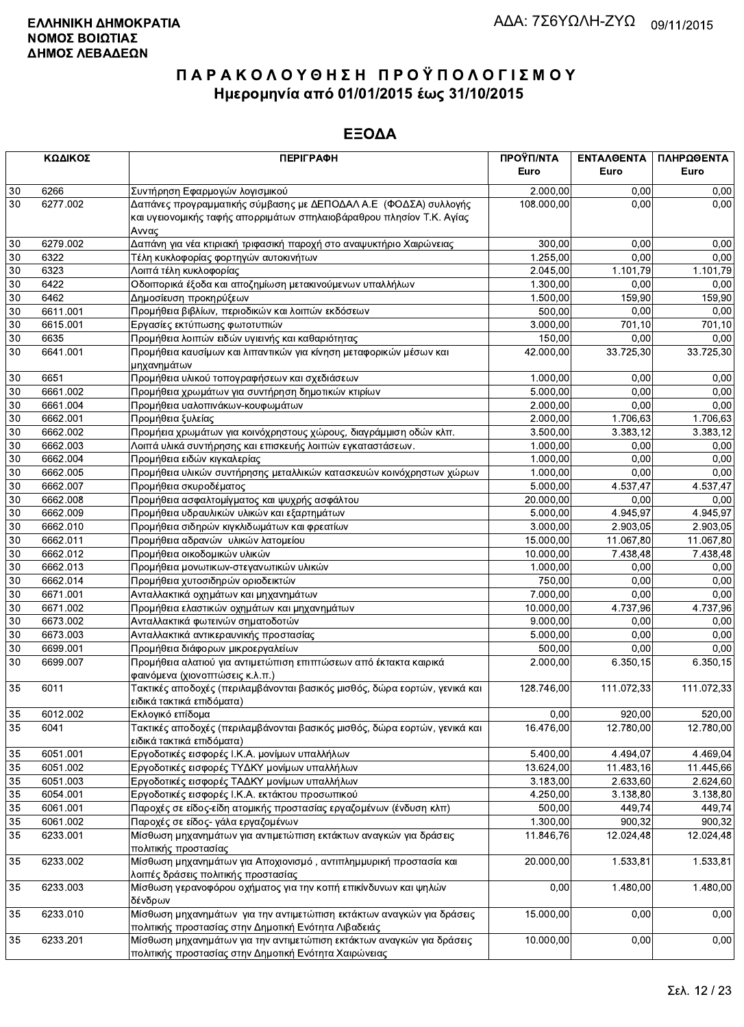|    | ΚΩΔΙΚΟΣ  | <b>ПЕРІГРАФН</b>                                                                                                                                  | ΠΡΟΫΠ/ΝΤΑ<br>Euro | <b>ENTAAGENTA</b><br>Euro | ΠΛΗΡΩΘΕΝΤΑ<br>Euro |
|----|----------|---------------------------------------------------------------------------------------------------------------------------------------------------|-------------------|---------------------------|--------------------|
| 30 | 6266     | Συντήρηση Εφαρμογών λογισμικού                                                                                                                    | 2.000,00          | 0,00                      | 0,00               |
| 30 | 6277.002 | Δαπάνες προγραμματικής σύμβασης με ΔΕΠΟΔΑΛ Α.Ε (ΦΟΔΣΑ) συλλογής<br>και υγειονομικής ταφής απορριμάτων σπηλαιοβάραθρου πλησίον Τ.Κ. Αγίας<br>Αννας | 108.000,00        | 0,00                      | 0,00               |
| 30 | 6279.002 | Δαπάνη για νέα κτιριακή τριφασική παροχή στο αναψυκτήριο Χαιρώνειας                                                                               | 300,00            | 0,00                      | 0,00               |
| 30 | 6322     | Τέλη κυκλοφορίας φορτηγών αυτοκινήτων                                                                                                             | 1.255,00          | 0,00                      | 0,00               |
| 30 | 6323     | Λοιπά τέλη κυκλοφορίας                                                                                                                            | 2.045,00          | 1.101,79                  | 1.101,79           |
| 30 | 6422     | Οδοιπορικά έξοδα και αποζημίωση μετακινούμενων υπαλλήλων                                                                                          | 1.300,00          | 0,00                      | 0,00               |
| 30 | 6462     | Δημοσίευση προκηρύξεων                                                                                                                            | 1.500,00          | 159,90                    | 159,90             |
| 30 | 6611.001 | Προμήθεια βιβλίων, περιοδικών και λοιπών εκδόσεων                                                                                                 | 500,00            | 0.00                      | 0,00               |
| 30 | 6615.001 | Εργασίες εκτύπωσης φωτοτυπιών                                                                                                                     | 3.000,00          | 701,10                    | 701,10             |
| 30 | 6635     | Προμήθεια λοιπών ειδών υγιεινής και καθαριότητας                                                                                                  | 150,00            | 0,00                      | 0,00               |
| 30 | 6641.001 | Προμήθεια καυσίμων και λιπαντικών για κίνηση μεταφορικών μέσων και<br>μηχανημάτων                                                                 | 42.000,00         | 33.725,30                 | 33.725,30          |
| 30 | 6651     | Προμήθεια υλικού τοπογραφήσεων και σχεδιάσεων                                                                                                     | 1.000,00          | 0,00                      | 0,00               |
| 30 | 6661.002 | Προμήθεια χρωμάτων για συντήρηση δημοτικών κτιρίων                                                                                                | 5.000,00          | 0,00                      | 0,00               |
| 30 | 6661.004 | Προμήθεια υαλοπινάκων-κουφωμάτων                                                                                                                  | 2.000,00          | 0,00                      | 0,00               |
| 30 | 6662.001 | Προμήθεια ξυλείας                                                                                                                                 | 2.000,00          | 1.706,63                  | 1.706,63           |
| 30 | 6662.002 | Προμήεια χρωμάτων για κοινόχρηστους χώρους, διαγράμμιση οδών κλπ.                                                                                 | 3.500,00          | 3.383,12                  | 3.383,12           |
| 30 | 6662.003 | Λοιπά υλικά συντήρησης και επισκευής λοιπών εγκαταστάσεων.                                                                                        | 1.000,00          | 0,00                      | 0,00               |
| 30 | 6662.004 | Προμήθεια ειδών κιγκαλερίας                                                                                                                       | 1.000,00          | 0,00                      | 0,00               |
| 30 | 6662.005 | Προμήθεια υλικών συντήρησης μεταλλικών κατασκευών κοινόχρηστων χώρων                                                                              | 1.000,00          | 0,00                      | 0,00               |
| 30 | 6662.007 | Προμήθεια σκυροδέματος                                                                                                                            | 5.000,00          | 4.537,47                  | 4.537,47           |
| 30 | 6662.008 | Προμήθεια ασφαλτομίγματος και ψυχρής ασφάλτου                                                                                                     | 20.000,00         | 0,00                      | 0,00               |
| 30 | 6662.009 | Προμήθεια υδραυλικών υλικών και εξαρτημάτων                                                                                                       | 5.000,00          | 4.945,97                  | 4.945,97           |
| 30 | 6662.010 | Προμήθεια σιδηρών κιγκλιδωμάτων και φρεατίων                                                                                                      | 3.000,00          | 2.903,05                  | 2.903,05           |
| 30 | 6662.011 | Προμήθεια αδρανών υλικών λατομείου                                                                                                                | 15.000,00         | 11.067,80                 | 11.067,80          |
| 30 | 6662.012 | Προμήθεια οικοδομικών υλικών                                                                                                                      | 10.000,00         | 7.438,48                  | 7.438,48           |
| 30 | 6662.013 | Προμήθεια μονωτικων-στεγανωτικών υλικών                                                                                                           | 1.000,00          | 0,00                      | 0,00               |
| 30 | 6662.014 | Προμήθεια χυτοσιδηρών οριοδεικτών                                                                                                                 | 750,00            | 0,00                      | 0,00               |
| 30 | 6671.001 | Ανταλλακτικά οχημάτων και μηχανημάτων                                                                                                             | 7.000,00          | 0.00                      | 0,00               |
| 30 | 6671.002 | Προμήθεια ελαστικών οχημάτων και μηχανημάτων                                                                                                      | 10.000,00         | 4.737,96                  | 4.737,96           |
| 30 | 6673.002 | Ανταλλακτικά φωτεινών σηματοδοτών                                                                                                                 | 9.000,00          | 0,00                      | 0,00               |
| 30 | 6673.003 | Ανταλλακτικά αντικεραυνικής προστασίας                                                                                                            | 5.000,00          | 0,00                      | 0,00               |
| 30 | 6699.001 | Προμήθεια διάφορων μικροεργαλείων                                                                                                                 | 500,00            | 0,00                      | 0,00               |
| 30 | 6699.007 | Προμήθεια αλατιού για αντιμετώπιση επιπτώσεων από έκτακτα καιρικά<br>φαινόμενα (χιονοπτώσεις κ.λ.π.)                                              | 2.000,00          | 6.350, 15                 | 6.350,15           |
| 35 | 6011     | Τακτικές αποδοχές (περιλαμβάνονται βασικός μισθός, δώρα εορτών, γενικά και<br>ειδικά τακτικά επιδόματα)                                           | 128.746,00        | 111.072,33                | 111.072,33         |
| 35 | 6012.002 | Εκλογικό επίδομα                                                                                                                                  | 0,00              | 920,00                    | 520,00             |
| 35 | 6041     | Τακτικές αποδοχές (περιλαμβάνονται βασικός μισθός, δώρα εορτών, γενικά και<br>ειδικά τακτικά επιδόματα)                                           | 16.476,00         | 12.780,00                 | 12.780,00          |
| 35 | 6051.001 | Εργοδοτικές εισφορές Ι.Κ.Α. μονίμων υπαλλήλων                                                                                                     | 5.400,00          | 4.494,07                  | 4.469,04           |
| 35 | 6051.002 | Εργοδοτικές εισφορές ΤΥΔΚΥ μονίμων υπαλλήλων                                                                                                      | 13.624,00         | 11.483,16                 | 11.445,66          |
| 35 | 6051.003 | Εργοδοτικές εισφορές ΤΑΔΚΥ μονίμων υπαλλήλων                                                                                                      | 3.183,00          | 2.633,60                  | 2.624,60           |
| 35 | 6054.001 | Εργοδοτικές εισφορές Ι.Κ.Α. εκτάκτου προσωπικού                                                                                                   | 4.250,00          | 3.138,80                  | 3.138,80           |
| 35 | 6061.001 | Παροχές σε είδος-είδη ατομικής προστασίας εργαζομένων (ένδυση κλπ)                                                                                | 500,00            | 449,74                    | 449,74             |
| 35 | 6061.002 | Παροχές σε είδος- γάλα εργαζομένων                                                                                                                | 1.300,00          | 900,32                    | 900,32             |
| 35 | 6233.001 | Μίσθωση μηχανημάτων για αντιμετώπιση εκτάκτων αναγκών για δράσεις<br>πολιτικής προστασίας                                                         | 11.846,76         | 12.024,48                 | 12.024,48          |
| 35 | 6233.002 | Μίσθωση μηχανημάτων για Αποχιονισμό, αντιπλημμυρική προστασία και<br>λοιπές δράσεις πολιτικής προστασίας                                          | 20.000,00         | 1.533,81                  | 1.533,81           |
| 35 | 6233.003 | Μίσθωση γερανοφόρου οχήματος για την κοπή επικίνδυνων και ψηλών<br>δένδρων                                                                        | 0,00              | 1.480,00                  | 1.480,00           |
| 35 | 6233.010 | Μίσθωση μηχανημάτων για την αντιμετώπιση εκτάκτων αναγκών για δράσεις<br>πολιτικής προστασίας στην Δημοτική Ενότητα Λιβαδειάς                     | 15.000,00         | 0,00                      | 0,00               |
| 35 | 6233.201 | Μίσθωση μηχανημάτων για την αντιμετώπιση εκτάκτων αναγκών για δράσεις<br>πολιτικής προστασίας στην Δημοτική Ενότητα Χαιρώνειας                    | 10.000,00         | 0,00                      | 0,00               |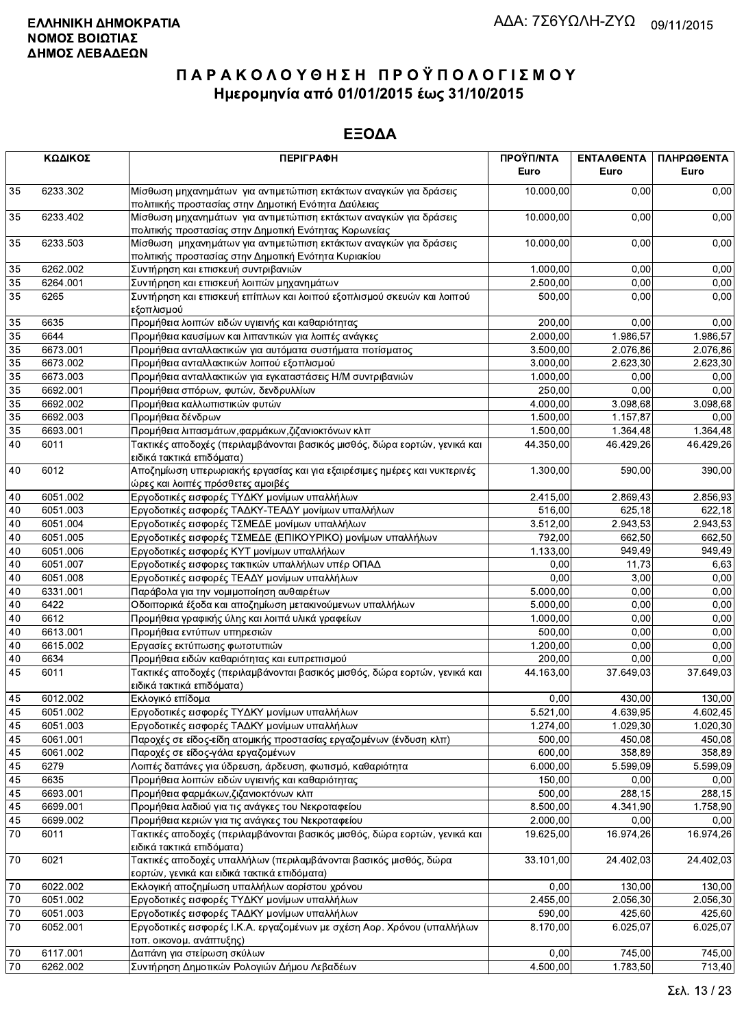|    | ΚΩΔΙΚΟΣ  | <b>ПЕРІГРАФН</b>                                                                                                           | ΠΡΟΫΠ/ΝΤΑ<br>Euro | <b>ENTAAOENTA</b><br>Euro | ΠΛΗΡΩΘΕΝΤΑ<br>Euro |
|----|----------|----------------------------------------------------------------------------------------------------------------------------|-------------------|---------------------------|--------------------|
| 35 | 6233.302 | Μίσθωση μηχανημάτων για αντιμετώπιση εκτάκτων αναγκών για δράσεις<br>πολιτιικής προστασίας στην Δημοτική Ενότητα Δαύλειας  | 10.000,00         | 0.00                      | 0,00               |
| 35 | 6233.402 | Μίσθωση μηχανημάτων για αντιμετώπιση εκτάκτων αναγκών για δράσεις<br>πολιτικής προστασίας στην Δημοτική Ενότητας Κορωνείας | 10.000,00         | 0,00                      | 0,00               |
| 35 | 6233.503 | Μίσθωση μηχανημάτων για αντιμετώπιση εκτάκτων αναγκών για δράσεις<br>πολιτικής προστασίας στην Δημοτική Ενότητα Κυριακίου  | 10.000,00         | 0,00                      | 0,00               |
| 35 | 6262.002 | Συντήρηση και επισκευή συντριβανιών                                                                                        | 1.000,00          | 0,00                      | 0,00               |
| 35 | 6264.001 | Συντήρηση και επισκευή λοιπών μηχανημάτων                                                                                  | 2.500,00          | 0,00                      | 0,00               |
| 35 | 6265     | Συντήρηση και επισκευή επίπλων και λοιπού εξοπλισμού σκευών και λοιπού<br>εξοπλισμού                                       | 500.00            | 0,00                      | 0,00               |
| 35 | 6635     | Προμήθεια λοιπών ειδών υγιεινής και καθαριότητας                                                                           | 200.00            | 0,00                      | 0,00               |
| 35 | 6644     | Προμήθεια καυσίμων και λιπαντικών για λοιπές ανάγκες                                                                       | 2.000,00          | 1.986,57                  | 1.986,57           |
| 35 | 6673.001 | Προμήθεια ανταλλακτικών για αυτόματα συστήματα ποτίσματος                                                                  | 3.500,00          | 2.076,86                  | 2.076,86           |
| 35 | 6673.002 | Προμήθεια ανταλλακτικών λοιπού εξοπλισμού                                                                                  | 3.000,00          | 2.623,30                  | 2.623,30           |
| 35 | 6673.003 | Προμήθεια ανταλλακτικών για εγκαταστάσεις Η/Μ συντριβανιών                                                                 | 1.000,00          | 0.00                      | 0,00               |
| 35 | 6692.001 | Προμήθεια σπόρων, φυτών, δενδρυλλίων                                                                                       | 250,00            | 0,00                      | 0,00               |
| 35 | 6692.002 | Προμήθεια καλλωπιστικών φυτών                                                                                              | 4.000,00          | 3.098,68                  | 3.098,68           |
| 35 | 6692.003 | Προμήθεια δένδρων                                                                                                          | 1.500,00          | 1.157,87                  | 0,00               |
| 35 | 6693.001 | Προμήθεια λιπασμάτων, φαρμάκων, ζιζανιοκτόνων κλπ                                                                          | 1.500,00          | 1.364,48                  | 1.364,48           |
| 40 | 6011     | Τακτικές αποδοχές (περιλαμβάνονται βασικός μισθός, δώρα εορτών, γενικά και<br>ειδικά τακτικά επιδόματα)                    | 44.350,00         | 46.429,26                 | 46.429,26          |
| 40 | 6012     | Αποζημίωση υπερωριακής εργασίας και για εξαιρέσιμες ημέρες και νυκτερινές<br>ώρες και λοιπές πρόσθετες αμοιβές             | 1.300,00          | 590,00                    | 390,00             |
| 40 | 6051.002 | Εργοδοτικές εισφορές ΤΥΔΚΥ μονίμων υπαλλήλων                                                                               | 2.415,00          | 2.869,43                  | 2.856,93           |
| 40 | 6051.003 | Εργοδοτικές εισφορές ΤΑΔΚΥ-ΤΕΑΔΥ μονίμων υπαλλήλων                                                                         | 516,00            | 625,18                    | 622,18             |
| 40 | 6051.004 | Εργοδοτικές εισφορές ΤΣΜΕΔΕ μονίμων υπαλλήλων                                                                              | 3.512,00          | 2.943,53                  | 2.943,53           |
| 40 | 6051.005 | Εργοδοτικές εισφορές ΤΣΜΕΔΕ (ΕΠΙΚΟΥΡΙΚΟ) μονίμων υπαλλήλων                                                                 | 792,00            | 662,50                    | 662,50             |
| 40 | 6051.006 | Εργοδοτικές εισφορές ΚΥΤ μονίμων υπαλλήλων                                                                                 | 1.133,00          | 949,49                    | 949,49             |
| 40 | 6051.007 | Εργοδοτικές εισφορες τακτικών υπαλλήλων υπέρ ΟΠΑΔ                                                                          | 0,00              | 11,73                     | 6,63               |
| 40 | 6051.008 | Εργοδοτικές εισφορές ΤΕΑΔΥ μονίμων υπαλλήλων                                                                               | 0,00              | 3,00                      | 0,00               |
| 40 | 6331.001 | Παράβολα για την νομιμοποίηση αυθαιρέτων                                                                                   | 5.000,00          | 0,00                      | 0,00               |
| 40 | 6422     | Οδοιπορικά έξοδα και αποζημίωση μετακινούμενων υπαλλήλων                                                                   | 5.000,00          | 0,00                      | 0,00               |
| 40 | 6612     | Προμήθεια γραφικής ύλης και λοιπά υλικά γραφείων                                                                           | 1.000,00          | 0,00                      | 0,00               |
| 40 | 6613.001 | Προμήθεια εντύπων υπηρεσιών                                                                                                | 500,00            | 0,00                      | 0,00               |
| 40 | 6615.002 | Εργασίες εκτύπωσης φωτοτυπιών                                                                                              | 1.200,00          | 0,00                      | 0,00               |
| 40 | 6634     | Προμήθεια ειδών καθαριότητας και ευπρεπισμού                                                                               | 200,00            | 0,00                      | 0,00               |
| 45 | 6011     | Τακτικές αποδοχές (περιλαμβάνονται βασικός μισθός, δώρα εορτών, γενικά και<br>ειδικά τακτικά επιδόματα)                    | 44.163,00         | 37.649,03                 | 37.649,03          |
| 45 | 6012.002 | Εκλογικό επίδομα                                                                                                           | 0,00              | 430,00                    | 130,00             |
| 45 | 6051.002 | Εργοδοτικές εισφορές ΤΥΔΚΥ μονίμων υπαλλήλων                                                                               | 5.521,00          | 4.639,95                  | 4.602,45           |
| 45 | 6051.003 | Εργοδοτικές εισφορές ΤΑΔΚΥ μονίμων υπαλλήλων                                                                               | 1.274,00          | 1.029,30                  | 1.020,30           |
| 45 | 6061.001 | Παροχές σε είδος-είδη ατομικής προστασίας εργαζομένων (ένδυση κλπ)                                                         | 500,00            | 450,08                    | 450,08             |
| 45 | 6061.002 | Παροχές σε είδος-γάλα εργαζομένων                                                                                          | 600,00            | 358,89                    | 358,89             |
| 45 | 6279     | Λοιπές δαπάνες για ύδρευση, άρδευση, φωτισμό, καθαριότητα                                                                  | 6.000,00          | 5.599,09                  | 5.599,09           |
| 45 | 6635     | Προμήθεια λοιπών ειδών υγιεινής και καθαριότητας                                                                           | 150,00            | 0,00                      | 0,00               |
| 45 | 6693.001 | Προμήθεια φαρμάκων, ζιζανιοκτόνων κλπ                                                                                      | 500,00            | 288,15                    | 288,15             |
| 45 | 6699.001 | Προμήθεια λαδιού για τις ανάγκες του Νεκροταφείου                                                                          | 8.500,00          | 4.341,90                  | 1.758,90           |
| 45 | 6699.002 | Προμήθεια κεριών για τις ανάγκες του Νεκροταφείου                                                                          | 2.000,00          | 0,00                      | 0,00               |
| 70 | 6011     | Τακτικές αποδοχές (περιλαμβάνονται βασικός μισθός, δώρα εορτών, γενικά και<br>ειδικά τακτικά επιδόματα)                    | 19.625,00         | 16.974,26                 | 16.974,26          |
| 70 | 6021     | Τακτικές αποδοχές υπαλλήλων (περιλαμβάνονται βασικός μισθός, δώρα<br>εορτών, γενικά και ειδικά τακτικά επιδόματα)          | 33.101,00         | 24.402,03                 | 24.402,03          |
| 70 | 6022.002 | Εκλογική αποζημίωση υπαλλήλων αορίστου χρόνου                                                                              | 0,00              | 130,00                    | 130,00             |
| 70 | 6051.002 | Εργοδοτικές εισφορές ΤΥΔΚΥ μονίμων υπαλλήλων                                                                               | 2.455,00          | 2.056,30                  | 2.056,30           |
| 70 | 6051.003 | Εργοδοτικές εισφορές ΤΑΔΚΥ μονίμων υπαλλήλων                                                                               | 590,00            | 425,60                    | 425,60             |
| 70 | 6052.001 | Εργοδοτικές εισφορές Ι.Κ.Α. εργαζομένων με σχέση Αορ. Χρόνου (υπαλλήλων<br>τοπ. οικονομ. ανάπτυξης)                        | 8.170,00          | 6.025,07                  | 6.025,07           |
| 70 | 6117.001 | Δαπάνη για στείρωση σκύλων                                                                                                 | 0,00              | 745,00                    | 745,00             |
| 70 | 6262.002 | Συντήρηση Δημοτικών Ρολογιών Δήμου Λεβαδέων                                                                                | 4.500,00          | 1.783,50                  | 713,40             |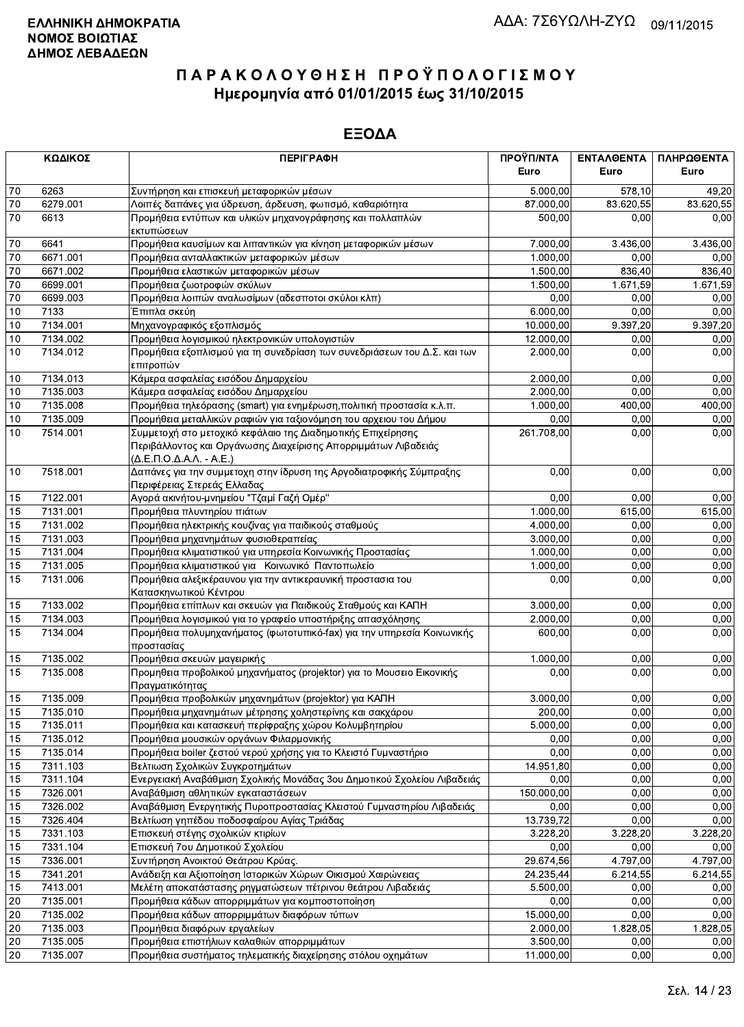|                 | ΚΩΔΙΚΟΣ              | <b>ПЕРІГРАФН</b>                                                                                                                                                                           | ΠΡΟΫΠ/ΝΤΑ<br>Euro  | ΕΝΤΑΛΘΕΝΤΑ<br>Euro | ΠΛΗΡΩΘΕΝΤΑ<br>Euro |
|-----------------|----------------------|--------------------------------------------------------------------------------------------------------------------------------------------------------------------------------------------|--------------------|--------------------|--------------------|
| 70              | 6263                 | Συντήρηση και επισκευή μεταφορικών μέσων                                                                                                                                                   | 5.000,00           | 578,10             | 49,20              |
| 70              | 6279.001             | Λοιπές δαπάνες για ύδρευση, άρδευση, φωτισμό, καθαριότητα                                                                                                                                  | 87.000,00          | 83.620,55          | 83.620,55          |
| 70              | 6613                 | Προμήθεια εντύπων και υλικών μηχανογράφησης και πολλαπλών<br>εκτυπώσεων                                                                                                                    | 500,00             | 0,00               | 0,00               |
| 70              | 6641                 | Προμήθεια καυσίμων και λιπαντικών για κίνηση μεταφορικών μέσων                                                                                                                             | 7.000,00           | 3.436,00           | 3.436,00           |
| 70              | 6671.001             | Προμήθεια ανταλλακτικών μεταφορικών μέσων                                                                                                                                                  | 1.000,00           | 0,00               | 0,00               |
| 70              | 6671.002             | Προμήθεια ελαστικών μεταφορικών μέσων                                                                                                                                                      | 1.500,00           | 836,40             | 836,40             |
| $\overline{70}$ | 6699.001             | Προμήθεια ζωοτροφών σκύλων                                                                                                                                                                 | 1.500,00           | 1.671,59           | 1.671,59           |
| $\overline{70}$ | 6699.003             | Προμήθεια λοιπών αναλωσίμων (αδεσποτοι σκύλοι κλπ)                                                                                                                                         | 0,00               | 0,00               | 0,00               |
| 10              | 7133                 | Έπιπλα σκεύη                                                                                                                                                                               | 6.000,00           | 0,00               | 0,00               |
| 10              | 7134.001             | Μηχανογραφικός εξοπλισμός                                                                                                                                                                  | 10.000,00          | 9.397,20           | 9.397,20           |
| 10              | 7134.002             | Προμήθεια λογισμικού ηλεκτρονικών υπολογιστών                                                                                                                                              | 12.000,00          | 0,00               | 0,00               |
| 10              | 7134.012             | Προμήθεια εξοπλισμού για τη συνεδρίαση των συνεδριάσεων του Δ.Σ. και των<br>επιτροπών                                                                                                      | 2.000,00           | 0,00               | 0,00               |
| 10              | 7134.013             | Κάμερα ασφαλείας εισόδου Δημαρχείου                                                                                                                                                        | 2.000,00           | 0,00               | 0,00               |
| $10$            | 7135.003             | Κάμερα ασφαλείας εισόδου Δημαρχείου                                                                                                                                                        | 2.000,00           | 0,00               | 0,00               |
| 10              | 7135.008             | Προμήθεια τηλεόρασης (smart) για ενημέρωση, πολιτική προστασία κ.λ.π.                                                                                                                      | 1.000,00           | 400,00             | 400,00             |
| 10              | 7135.009             | Προμήθεια μεταλλικών ραφιών για ταξιονόμηση του αρχειου του Δήμου                                                                                                                          | 0,00               | 0.00               | 0,00               |
| 10              | 7514.001             | Συμμετοχή στο μετοχικό κεφάλαιο της Διαδημοτικής Επιχείρησης<br>Περιβάλλοντος και Οργάνωσης Διαχείρισης Απορριμμάτων Λιβαδειάς<br>$(\Delta$ .E. $\Pi$ .O. $\Delta$ .A. $\Lambda$ . - A.E.) | 261.708,00         | 0,00               | 0,00               |
| 10              | 7518.001             | Δαπάνες για την συμμετοχη στην ίδρυση της Αργοδιατροφικής Σύμπραξης<br>Περιφέρειας Στερεάς Ελλαδας                                                                                         | 0,00               | 0,00               | 0,00               |
| 15              | 7122.001             | Αγορά ακινήτου-μνημείου "Τζαμί Γαζή Ομέρ"                                                                                                                                                  | 0,00               | 0,00               | 0,00               |
| 15              | 7131.001             | Προμήθεια πλυντηρίου πιάτων                                                                                                                                                                | 1.000,00           | 615,00             | 615,00             |
| 15              | 7131.002             | Προμήθεια ηλεκτρικής κουζίνας για παιδικούς σταθμούς                                                                                                                                       | 4.000,00           | 0,00               | 0,00               |
| 15              | 7131.003             | Προμήθεια μηχανημάτων φυσιοθεραπείας                                                                                                                                                       | 3.000,00           | 0,00               | 0,00               |
| 15              | 7131.004             | Προμήθεια κλιματιστικού για υπηρεσία Κοινωνικής Προστασίας                                                                                                                                 | 1.000,00           | 0,00               | 0,00               |
| 15              | 7131.005             | Προμήθεια κλιματιστικού για Κοινωνικό Παντοπωλείο                                                                                                                                          | 1.000,00           | 0,00               | 0,00               |
| $\overline{15}$ | 7131.006             | Προμήθεια αλεξικέραυνου για την αντικεραυνική προστασια του<br>Κατασκηνωτικού Κέντρου                                                                                                      | 0,00               | 0,00               | 0,00               |
| 15              | 7133.002             | Προμήθεια επίπλων και σκευών για Παιδικούς Σταθμούς και ΚΑΠΗ                                                                                                                               | 3.000,00           | 0,00               | 0,00               |
| 15              | 7134.003             | Προμήθεια λογισμικού για το γραφείο υποστήριξης απασχόλησης                                                                                                                                | 2.000,00           | 0,00               | 0,00               |
| 15              | 7134.004             | Προμήθεια πολυμηχανήματος (φωτοτυπικό-fax) για την υπηρεσία Κοινωνικής<br>προστασίας                                                                                                       | 600,00             | 0,00               | 0,00               |
| 15              | 7135.002             | Προμήθεια σκευών μαγειρικής                                                                                                                                                                | 1.000,00           | 0,00               | 0,00               |
| 15              | 7135.008             | Προμηθεια προβολικού μηχανήματος (projektor) για το Μουσειο Εικονικής<br>Πραγματικότητας                                                                                                   | 0,00               | 0,00               | 0,00               |
| 15              | 7135.009             | Προμήθεια προβολικών μηχανημάτων (projektor) για ΚΑΠΗ                                                                                                                                      | 3.000,00           | 0,00               | 0,00               |
| 15              | 7135.010             | Προμήθεια μηχανημάτων μέτρησης χοληστερίνης και σακχάρου                                                                                                                                   | 200,00             | 0,00               | 0,00               |
| 15              | 7135.011             | Προμήθεια και κατασκευή περίφραξης χώρου Κολυμβητηρίου                                                                                                                                     | 5.000,00           | 0,00               | 0,00               |
| 15              | 7135.012             | Προμήθεια μουσικών οργάνων Φιλαρμονικής                                                                                                                                                    | 0,00               | 0,00               | 0,00               |
| 15              | 7135.014             | Προμήθεια boiler ζεστού νερού χρήσης για το Κλειστό Γυμναστήριο                                                                                                                            | 0,00               | 0,00               | 0,00               |
| 15              | 7311.103             | Βελτιωση Σχολικών Συγκροτημάτων                                                                                                                                                            | 14.951,80          | 0,00               | 0,00               |
| 15              | 7311.104             | Ενεργειακή Αναβάθμιση Σχολικής Μονάδας 3ου Δημοτικού Σχολείου Λιβαδειάς                                                                                                                    | 0,00               | 0,00               | 0,00               |
| 15<br>15        | 7326.001<br>7326.002 | Αναβάθμιση αθλητικών εγκαταστάσεων<br>Αναβάθμιση Ενεργητικής Πυροπροστασίας Κλειστού Γυμναστηρίου Λιβαδειάς                                                                                | 150.000,00<br>0,00 | 0,00<br>0,00       | 0,00<br>0,00       |
| 15              | 7326.404             | Βελτίωση γηπέδου ποδοσφαίρου Αγίας Τριάδας                                                                                                                                                 | 13.739,72          | 0,00               | 0,00               |
| 15              | 7331.103             | Επισκευή στέγης σχολικών κτιρίων                                                                                                                                                           | 3.228,20           | 3.228,20           | 3.228,20           |
| 15              | 7331.104             | Επισκευή 7ου Δημοτικού Σχολείου                                                                                                                                                            | 0,00               | 0,00               | 0,00               |
| 15              | 7336.001             | Συντήρηση Ανοικτού Θεάτρου Κρύας.                                                                                                                                                          | 29.674,56          | 4.797,00           | 4.797,00           |
| 15              | 7341.201             | Ανάδειξη και Αξιοποίηση Ιστορικών Χώρων Οικισμού Χαιρώνειας                                                                                                                                | 24.235,44          | 6.214,55           | 6.214,55           |
| 15              | 7413.001             | Μελέτη αποκατάστασης ρηγματώσεων πέτρινου θεάτρου Λιβαδειάς                                                                                                                                | 5.500,00           | 0,00               | 0,00               |
| $20\,$          | 7135.001             | Προμήθεια κάδων απορριμμάτων για κομποστοποίηση                                                                                                                                            | 0,00               | 0,00               | 0,00               |
| $20\,$          | 7135.002             | Προμήθεια κάδων απορριμμάτων διαφόρων τύπων                                                                                                                                                | 15.000,00          | 0,00               | 0,00               |
| 20              | 7135.003             | Προμήθεια διαφόρων εργαλείων                                                                                                                                                               | 2.000,00           | 1.828,05           | 1.828,05           |
| 20              | 7135.005             | Προμήθεια επιστήλιων καλαθιών απορριμμάτων                                                                                                                                                 | 3.500,00           | 0,00               | 0,00               |
| 20              | 7135.007             | Προμήθεια συστήματος τηλεματικής διαχείρησης στόλου οχημάτων                                                                                                                               | 11.000,00          | 0,00               | 0,00               |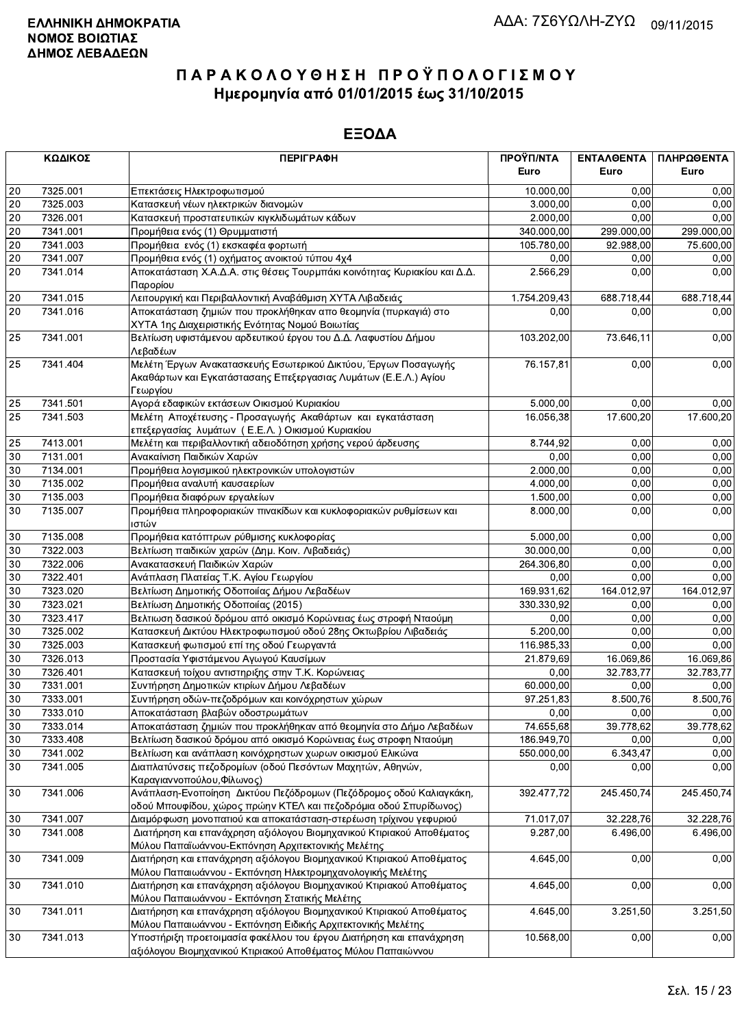|                 | ΚΩΔΙΚΟΣ  | <b>ПЕРІГРАФН</b>                                                          | ΠΡΟΫΠ/ΝΤΑ<br>Euro | ΕΝΤΑΛΘΕΝΤΑ<br>Euro | ΠΛΗΡΩΘΕΝΤΑ<br>Euro |
|-----------------|----------|---------------------------------------------------------------------------|-------------------|--------------------|--------------------|
|                 |          |                                                                           |                   |                    |                    |
| 20              | 7325.001 | Επεκτάσεις Ηλεκτροφωτισμού                                                | 10.000,00         | 0.00               | 0,00               |
| 20              | 7325.003 | Κατασκευή νέων ηλεκτρικών διανομών                                        | 3.000,00          | 0,00               | 0,00               |
| 20              | 7326.001 | Κατασκευή προστατευτικών κιγκλιδωμάτων κάδων                              | 2.000,00          | 0.00               | 0,00               |
| 20              | 7341.001 | Προμήθεια ενός (1) Θρυμματιστή                                            | 340.000,00        | 299.000,00         | 299.000,00         |
| 20              | 7341.003 | Προμήθεια ενός (1) εκσκαφέα φορτωτή                                       | 105.780,00        | 92.988,00          | 75.600,00          |
| 20              | 7341.007 | Προμήθεια ενός (1) οχήματος ανοικτού τύπου 4χ4                            | 0,00              | 0,00               | 0,00               |
| 20              | 7341.014 | Αποκατάσταση Χ.Α.Δ.Α. στις θέσεις Τουρμπάκι κοινότητας Κυριακίου και Δ.Δ. | 2.566,29          | 0,00               | 0,00               |
|                 |          | Παρορίου                                                                  |                   |                    |                    |
| 20              | 7341.015 | Λειτουργική και Περιβαλλοντική Αναβάθμιση ΧΥΤΑ Λιβαδειάς                  | 1.754.209,43      | 688.718,44         | 688.718,44         |
| 20              | 7341.016 | Αποκατάσταση ζημιών που προκλήθηκαν απο θεομηνία (πυρκαγιά) στο           | 0,00              | 0,00               | 0,00               |
|                 |          | ΧΥΤΑ 1ης Διαχειριστικής Ενότητας Νομού Βοιωτίας                           |                   |                    |                    |
| 25              | 7341.001 | Βελτίωση υφιστάμενου αρδευτικού έργου του Δ.Δ. Λαφυστίου Δήμου            | 103.202,00        | 73.646,11          | 0,00               |
|                 |          | Λεβαδέων                                                                  |                   |                    |                    |
| 25              | 7341.404 | Μελέτη Έργων Ανακατασκευής Εσωτερικού Δικτύου, Έργων Ποσαγωγής            | 76.157,81         | 0,00               | 0,00               |
|                 |          | Ακαθάρτων και Εγκατάστασαης Επεξεργασιας Λυμάτων (Ε.Ε.Λ.) Αγίου           |                   |                    |                    |
|                 |          | Γεωργίου                                                                  |                   |                    |                    |
| 25              | 7341.501 | Αγορά εδαφικών εκτάσεων Οικισμού Κυριακίου                                | 5.000,00          | 0,00               | 0,00               |
| 25              | 7341.503 | Μελέτη Αποχέτευσης - Προσαγωγής Ακαθάρτων και εγκατάσταση                 | 16.056,38         | 17.600,20          | 17.600,20          |
|                 |          | επεξεργασίας λυμάτων (Ε.Ε.Λ.) Οικισμού Κυριακίου                          |                   |                    |                    |
| 25              | 7413.001 | Μελέτη και περιβαλλοντική αδειοδότηση χρήσης νερού άρδευσης               | 8.744,92          | 0,00               | 0,00               |
| 30              | 7131.001 | Ανακαίνιση Παιδικών Χαρών                                                 | 0,00              | 0,00               | 0,00               |
| 30              | 7134.001 | Προμήθεια λογισμικού ηλεκτρονικών υπολογιστών                             | 2.000,00          | 0,00               | 0,00               |
| 30              | 7135.002 | Προμήθεια αναλυτή καυσαερίων                                              | 4.000,00          | 0.00               | 0,00               |
| 30              | 7135.003 | Προμήθεια διαφόρων εργαλείων                                              | 1.500,00          | 0,00               | 0,00               |
| 30              | 7135.007 | Προμήθεια πληροφοριακών πινακίδων και κυκλοφοριακών ρυθμίσεων και         | 8.000,00          | 0,00               | 0,00               |
|                 |          | ιστών                                                                     |                   |                    |                    |
| 30              | 7135.008 | Προμήθεια κατόπτρων ρύθμισης κυκλοφορίας                                  | 5.000,00          | 0.00               | 0,00               |
| 30              | 7322.003 | Βελτίωση παιδικών χαρών (Δημ. Κοιν. Λιβαδειάς)                            | 30.000,00         | 0,00               | 0,00               |
| 30              | 7322.006 | Ανακατασκευή Παιδικών Χαρών                                               | 264.306,80        | 0,00               | 0,00               |
| 30              | 7322.401 | Ανάπλαση Πλατείας Τ.Κ. Αγίου Γεωργίου                                     | 0,00              | 0,00               | 0,00               |
| 30              | 7323.020 | Βελτίωση Δημοτικής Οδοποιίας Δήμου Λεβαδέων                               | 169.931,62        | 164.012,97         | 164.012,97         |
| 30              | 7323.021 | Βελτίωση Δημοτικής Οδοποιίας (2015)                                       | 330.330,92        | 0,00               | 0,00               |
| 30              | 7323.417 | Βελτιωση δασικού δρόμου από οικισμό Κορώνειας έως στροφή Νταούμη          | 0,00              | 0,00               | 0,00               |
| 30              | 7325.002 | Κατασκευή Δικτύου Ηλεκτροφωτισμού οδού 28ης Οκτωβρίου Λιβαδειάς           | 5.200,00          | 0,00               | 0,00               |
| 30              | 7325.003 | Κατασκευή φωτισμού επί της οδού Γεωργαντά                                 | 116.985,33        | 0,00               | 0,00               |
| 30              | 7326.013 | Προστασία Υφιστάμενου Αγωγού Καυσίμων                                     | 21.879,69         | 16.069,86          | 16.069,86          |
| 30              | 7326.401 | Κατασκευή τοίχου αντιστηριξης στην Τ.Κ. Κορώνειας                         | 0,00              | 32.783,77          | 32.783,77          |
| 30              | 7331.001 | Συντήρηση Δημοτικών κτιρίων Δήμου Λεβαδέων                                | 60.000,00         | 0,00               | 0,00               |
| 30              | 7333.001 | Συντήρηση οδών-πεζοδρόμων και κοινόχρηστων χώρων                          | 97.251,83         | 8.500,76           | 8.500,76           |
| $\overline{30}$ | 7333.010 | Αποκατάσταση βλαβών οδοστρωμάτων                                          | 0,00              | 0,00               | 0,00               |
| 30              | 7333.014 | Αποκατάσταση ζημιών που προκλήθηκαν από θεομηνία στο Δήμο Λεβαδέων        | 74.655,68         | 39.778,62          | 39.778,62          |
| 30              | 7333.408 | Βελτίωση δασικού δρόμου από οικισμό Κορώνειας έως στροφη Νταούμη          | 186.949,70        | 0,00               | 0,00               |
| 30              | 7341.002 | Βελτίωση και ανάπλαση κοινόχρηστων χωρων οικισμού Ελικώνα                 | 550.000,00        | 6.343,47           | 0,00               |
| 30              | 7341.005 | Διαπλατύνσεις πεζοδρομίων (οδού Πεσόντων Μαχητών, Αθηνών,                 | 0,00              | 0,00               | 0,00               |
|                 |          | Καραγιαννοπούλου, Φίλωνος)                                                |                   |                    |                    |
| 30              | 7341.006 | Ανάπλαση-Ενοποίηση Δικτύου Πεζόδρομων (Πεζόδρομος οδού Καλιαγκάκη,        | 392.477,72        | 245.450,74         | 245.450,74         |
|                 |          | οδού Μπουφίδου, χώρος πρώην ΚΤΕΛ και πεζοδρόμια οδού Σπυρίδωνος)          |                   |                    |                    |
| 30              | 7341.007 | Διαμόρφωση μονοπατιού και αποκατάσταση-στερέωση τρίχινου γεφυριού         | 71.017,07         | 32.228,76          | 32.228,76          |
| 30              | 7341.008 | Διατήρηση και επανάχρηση αξιόλογου Βιομηχανικού Κτιριακού Αποθέματος      | 9.287,00          | 6.496,00           | 6.496,00           |
|                 |          | Μύλου Παπαϊωάννου-Εκπόνηση Αρχιτεκτονικής Μελέτης                         |                   |                    |                    |
| 30              | 7341.009 | Διατήρηση και επανάχρηση αξιόλογου Βιομηχανικού Κτιριακού Αποθέματος      | 4.645,00          | 0,00               | 0,00               |
|                 |          | Μύλου Παπαιωάννου - Εκπόνηση Ηλεκτρομηχανολογικής Μελέτης                 |                   |                    |                    |
| 30              | 7341.010 | Διατήρηση και επανάχρηση αξιόλογου Βιομηχανικού Κτιριακού Αποθέματος      | 4.645,00          | 0,00               | 0,00               |
|                 |          | Μύλου Παπαιωάννου - Εκπόνηση Στατικής Μελέτης                             |                   |                    |                    |
| 30              | 7341.011 | Διατήρηση και επανάχρηση αξιόλογου Βιομηχανικού Κτιριακού Αποθέματος      | 4.645,00          | 3.251,50           | 3.251,50           |
|                 |          | Μύλου Παπαιωάννου - Εκπόνηση Ειδικής Αρχιτεκτονικής Μελέτης               |                   |                    |                    |
| 30              | 7341.013 | Υποστήριξη προετοιμασία φακέλλου του έργου Διατήρηση και επανάχρηση       | 10.568,00         | 0,00               | 0,00               |
|                 |          | αξιόλογου Βιομηχανικού Κτιριακού Αποθέματος Μύλου Παπαιώννου              |                   |                    |                    |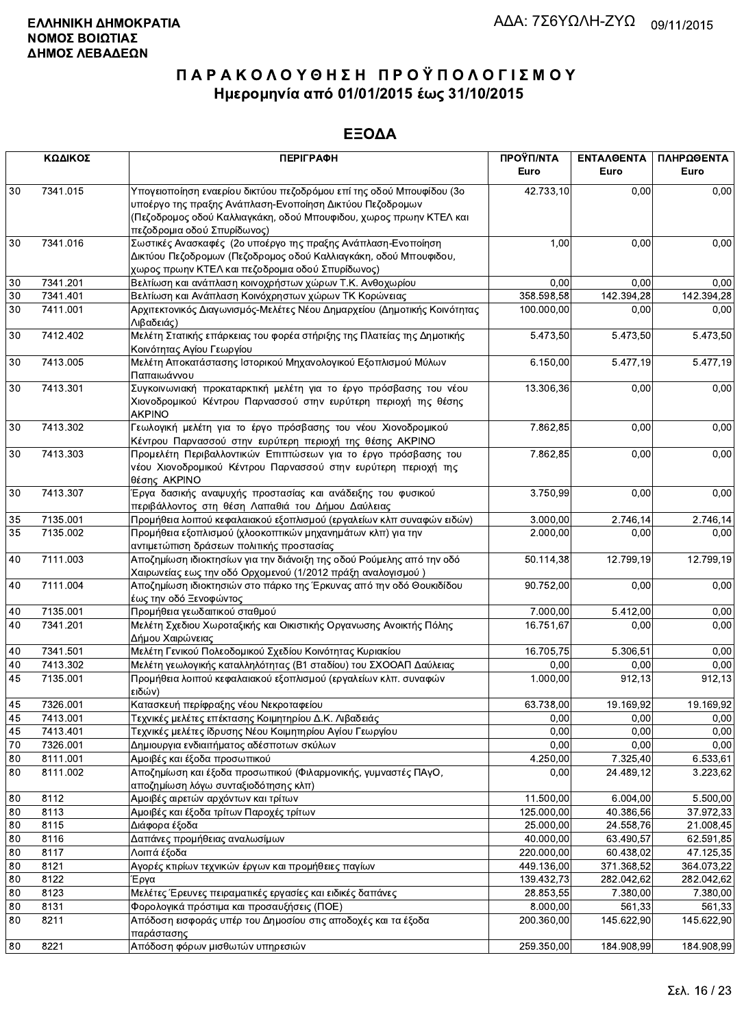|          | ΚΩΔΙΚΟΣ              | <b>ПЕРІГРАФН</b>                                                                                                                                                                                                                      | ΠΡΟΫΠ/ΝΤΑ<br>Euro       | <b>ENTAAGENTA</b><br>Euro | ΠΛΗΡΩΘΕΝΤΑ<br>Euro     |
|----------|----------------------|---------------------------------------------------------------------------------------------------------------------------------------------------------------------------------------------------------------------------------------|-------------------------|---------------------------|------------------------|
| 30       | 7341.015             | Υπογειοποίηση εναερίου δικτύου πεζοδρόμου επί της οδού Μπουφίδου (3ο<br>υποέργο της πραξης Ανάπλαση-Ενοποίηση Δικτύου Πεζοδρομων<br>(Πεζοδρομος οδού Καλλιαγκάκη, οδού Μπουφιδου, χωρος πρωην ΚΤΕΛ και<br>πεζοδρομια οδού Σπυρίδωνος) | 42.733,10               | 0,00                      | 0,00                   |
| 30       | 7341.016             | Σωστικές Ανασκαφές (2ο υποέργο της πραξης Ανάπλαση-Ενοποίηση<br>Δικτύου Πεζοδρομων (Πεζοδρομος οδού Καλλιαγκάκη, οδού Μπουφιδου,<br>χωρος πρωην ΚΤΕΛ και πεζοδρομια οδού Σπυρίδωνος)                                                  | 1,00                    | 0,00                      | 0,00                   |
| 30       | 7341.201             | Βελτίωση και ανάπλαση κοινοχρήστων χώρων Τ.Κ. Ανθοχωρίου                                                                                                                                                                              | 0,00                    | 0.00                      | 0,00                   |
| 30       | 7341.401             | Βελτίωση και Ανάπλαση Κοινόχρηστων χώρων ΤΚ Κορώνειας                                                                                                                                                                                 | 358.598,58              | 142.394,28                | 142.394,28             |
| 30       | 7411.001             | Αρχιτεκτονικός Διαγωνισμός-Μελέτες Νέου Δημαρχείου (Δημοτικής Κοινότητας<br>Λιβαδειάς)                                                                                                                                                | 100.000,00              | 0,00                      | 0,00                   |
| 30       | 7412.402             | Μελέτη Στατικής επάρκειας του φορέα στήριξης της Πλατείας της Δημοτικής<br>Κοινότητας Αγίου Γεωργίου                                                                                                                                  | 5.473,50                | 5.473,50                  | $\overline{5.473,50}$  |
| 30       | 7413.005             | Μελέτη Αποκατάστασης Ιστορικού Μηχανολογικού Εξοπλισμού Μύλων<br>Παπαιωάννου                                                                                                                                                          | 6.150,00                | 5.477,19                  | 5.477,19               |
| 30       | 7413.301             | Συγκοινωνιακή προκαταρκτική μελέτη για το έργο πρόσβασης του νέου<br>Χιονοδρομικού Κέντρου Παρνασσού στην ευρύτερη περιοχή της θέσης<br><b>AKPINO</b>                                                                                 | 13.306,36               | 0,00                      | 0,00                   |
| 30       | 7413.302             | Γεωλογική μελέτη για το έργο πρόσβασης του νέου Χιονοδρομικού<br>Κέντρου Παρνασσού στην ευρύτερη περιοχή της θέσης ΑΚΡΙΝΟ                                                                                                             | 7.862,85                | 0,00                      | 0,00                   |
| 30       | 7413.303             | Προμελέτη Περιβαλλοντικών Επιπτώσεων για το έργο πρόσβασης του<br>νέου Χιονοδρομικού Κέντρου Παρνασσού στην ευρύτερη περιοχή της<br>θέσης AKPINO                                                                                      | 7.862,85                | 0,00                      | 0,00                   |
| 30       | 7413.307             | Έργα δασικής αναψυχής προστασίας και ανάδειξης του φυσικού<br>περιβάλλοντος στη θέση Λαπαθιά του Δήμου Δαύλειας                                                                                                                       | 3.750,99                | 0,00                      | 0,00                   |
| 35       | 7135.001             | Προμήθεια λοιπού κεφαλαιακού εξοπλισμού (εργαλείων κλπ συναφών ειδών)                                                                                                                                                                 | 3.000,00                | 2.746,14                  | 2.746,14               |
| 35       | 7135.002             | Προμήθεια εξοπλισμού (χλοοκοπτικών μηχανημάτων κλπ) για την<br>αντιμετώπιση δράσεων πολιτικής προστασίας                                                                                                                              | 2.000,00                | 0,00                      | 0,00                   |
| 40       | 7111.003             | Αποζημίωση ιδιοκτησίων για την διάνοιξη της οδού Ρούμελης από την οδό<br>Χαιρωνείας εως την οδό Ορχομενού (1/2012 πράξη αναλογισμού )                                                                                                 | 50.114,38               | 12.799,19                 | 12.799,19              |
| 40       | 7111.004             | Αποζημίωση ιδιοκτησιών στο πάρκο της Έρκυνας από την οδό Θουκιδίδου<br>έως την οδό Ξενοφώντος                                                                                                                                         | 90.752,00               | 0,00                      | 0,00                   |
| 40       | 7135.001             | Προμήθεια γεωδαιτικού σταθμού                                                                                                                                                                                                         | 7.000,00                | 5.412,00                  | 0,00                   |
| 40       | 7341.201             | Μελέτη Σχεδιου Χωροταξικής και Οικιστικής Οργανωσης Ανοικτής Πόλης<br>Δήμου Χαιρώνειας                                                                                                                                                | 16.751,67               | 0,00                      | 0,00                   |
| 40       | 7341.501             | Μελέτη Γενικού Πολεοδομικού Σχεδίου Κοινότητας Κυριακίου                                                                                                                                                                              | 16.705,75               | 5.306,51                  | 0,00                   |
| 40       | 7413.302             | Μελέτη γεωλογικής καταλληλότητας (Β1 σταδίου) του ΣΧΟΟΑΠ Δαύλειας                                                                                                                                                                     | 0,00                    | 0,00                      | 0,00                   |
| 45       | 7135.001             | Προμήθεια λοιπού κεφαλαιακού εξοπλισμού (εργαλείων κλπ. συναφών<br>ειδών)                                                                                                                                                             | 1.000,00                | 912,13                    | 912,13                 |
| 45       | 7326.001             | Κατασκευή περίφραξης νέου Νεκροταφείου                                                                                                                                                                                                | 63.738,00               | 19.169,92                 | 19.169,92              |
| 45       | 7413.001             | Τεχνικές μελέτες επέκτασης Κοιμητηρίου Δ.Κ. Λιβαδειάς                                                                                                                                                                                 | 0,00                    | 0,00                      | 0,00                   |
| 45       | 7413.401             | Τεχνικές μελέτες ίδρυσης Νέου Κοιμητηρίου Αγίου Γεωργίου                                                                                                                                                                              | 0,00                    | 0,00                      | 0,00                   |
| 70       | 7326.001             | Δημιουργια ενδιαιτήματος αδέσποτων σκύλων                                                                                                                                                                                             | 0,00                    | 0,00                      | 0,00                   |
| 80<br>80 | 8111.001<br>8111.002 | Αμοιβές και έξοδα προσωπικού<br>Αποζημίωση και έξοδα προσωπικού (Φιλαρμονικής, γυμναστές ΠΑγΟ,                                                                                                                                        | 4.250,00<br>0,00        | 7.325,40<br>24.489,12     | 6.533,61<br>3.223,62   |
|          |                      | αποζημίωση λόγω συνταξιοδότησης κλπ)                                                                                                                                                                                                  |                         |                           |                        |
| 80       | 8112                 | Αμοιβές αιρετών αρχόντων και τρίτων<br>Αμοιβές και έξοδα τρίτων Παροχές τρίτων                                                                                                                                                        | 11.500,00<br>125.000,00 | 6.004,00                  | 5.500,00               |
| 80<br>80 | 8113<br>8115         | Διάφορα έξοδα                                                                                                                                                                                                                         | 25.000,00               | 40.386,56<br>24.558,76    | 37.972,33<br>21.008,45 |
| 80       | 8116                 | Δαπάνες προμήθειας αναλωσίμων                                                                                                                                                                                                         | 40.000,00               | 63.490,57                 | 62.591,85              |
| 80       | 8117                 | Λοιπά έξοδα                                                                                                                                                                                                                           | 220.000,00              | 60.438,02                 | 47.125,35              |
| 80       | 8121                 | Αγορές κτιρίων τεχνικών έργων και προμήθειες παγίων                                                                                                                                                                                   | 449.136,00              | 371.368,52                | 364.073,22             |
| 80       | 8122                 | Έργα                                                                                                                                                                                                                                  | 139.432,73              | 282.042,62                | 282.042,62             |
| 80       | 8123                 | Μελέτες Έρευνες πειραματικές εργασίες και ειδικές δαπάνες                                                                                                                                                                             | 28.853,55               | 7.380,00                  | 7.380,00               |
| 80       | 8131                 | Φορολογικά πρόστιμα και προσαυξήσεις (ΠΟΕ)                                                                                                                                                                                            | 8.000,00                | 561,33                    | 561,33                 |
| 80       | 8211                 | Απόδοση εισφοράς υπέρ του Δημοσίου στις αποδοχές και τα έξοδα<br>παράστασης                                                                                                                                                           | 200.360,00              | 145.622,90                | 145.622,90             |
| 80       | 8221                 | Απόδοση φόρων μισθωτών υπηρεσιών                                                                                                                                                                                                      | 259.350,00              | 184.908,99                | 184.908,99             |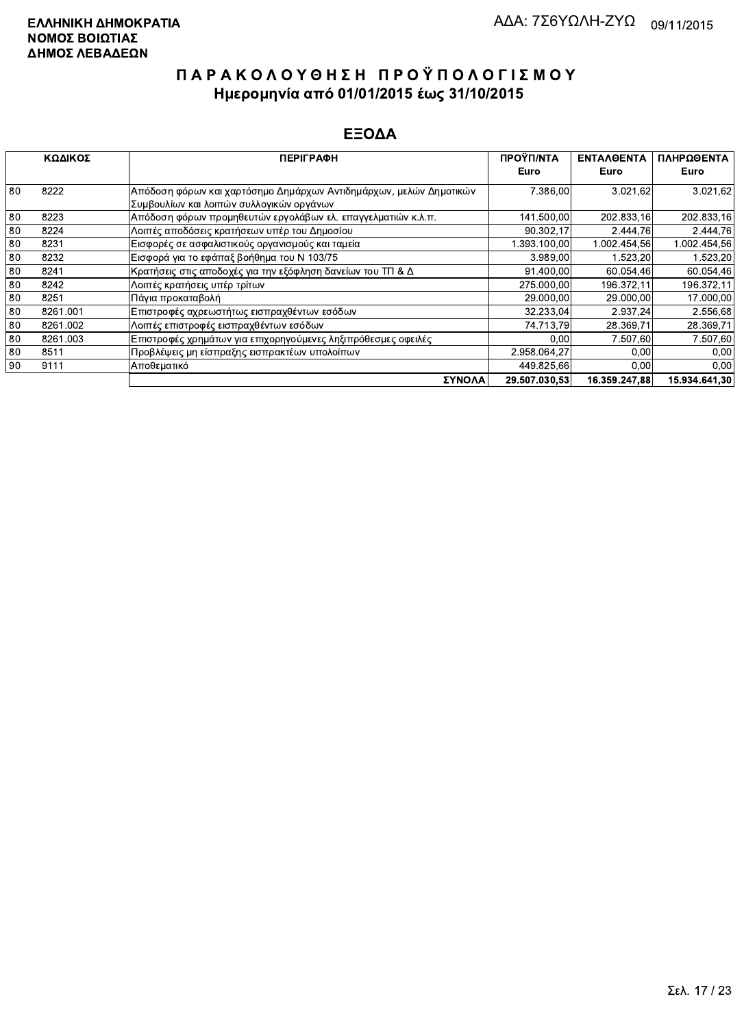|    | ΚΩΔΙΚΟΣ  | <b>ПЕРІГРАФН</b>                                                                                                | ΠΡΟΫΠ/ΝΤΑ     | <b>ENTAAOENTA</b> | ΠΛΗΡΩΘΕΝΤΑ    |
|----|----------|-----------------------------------------------------------------------------------------------------------------|---------------|-------------------|---------------|
|    |          |                                                                                                                 | Euro          | Euro              | Euro          |
| 80 | 8222     | Απόδοση φόρων και χαρτόσημο Δημάρχων Αντιδημάρχων, μελών Δημοτικών <br>Συμβουλίων και λοιπών συλλογικών οργάνων | 7.386,00      | 3.021.62          | 3.021,62      |
| 80 | 8223     | Απόδοση φόρων προμηθευτών εργολάβων ελ. επαγγελματιών κ.λ.π.                                                    | 141.500,00    | 202.833.16        | 202.833,16    |
| 80 | 8224     | Λοιπές αποδόσεις κρατήσεων υπέρ του Δημοσίου                                                                    | 90.302,17     | 2.444.76          | 2.444.76      |
| 80 | 8231     | Εισφορές σε ασφαλιστικούς οργανισμούς και ταμεία                                                                | 1.393.100.00  | 1.002.454.56      | 1.002.454.56  |
| 80 | 8232     | Εισφορά για το εφάπαξ βοήθημα του Ν 103/75                                                                      | 3.989.00      | 1.523.20          | 1.523.20      |
| 80 | 8241     | Κρατήσεις στις αποδοχές για την εξόφληση δανείων του ΤΠ & Δ                                                     | 91.400.00     | 60.054,46         | 60.054,46     |
| 80 | 8242     | Λοιπές κρατήσεις υπέρ τρίτων                                                                                    | 275.000,00    | 196.372,11        | 196.372.11    |
| 80 | 8251     | Πάνια προκαταβολή                                                                                               | 29.000,00     | 29.000,00         | 17.000,00     |
| 80 | 8261.001 | Επιστροφές αχρεωστήτως εισπραχθέντων εσόδων                                                                     | 32.233,04     | 2.937.24          | 2.556,68      |
| 80 | 8261.002 | Λοιπές επιστροφές εισπραχθέντων εσόδων                                                                          | 74.713,79     | 28.369.71         | 28.369,71     |
| 80 | 8261.003 | Επιστροφές χρημάτων για επιχορηγούμενες ληξιπρόθεσμες οφειλές                                                   | 0.00          | 7.507,60          | 7.507,60      |
| 80 | 8511     | Προβλέψεις μη είσπραξης εισπρακτέων υπολοίπων                                                                   | 2.958.064.27  | 0.00              | 0.00          |
| 90 | 9111     | Αποθεματικό                                                                                                     | 449.825,66    | 0,00              | 0.00          |
|    |          | ΣΥΝΟΛΑ                                                                                                          | 29.507.030.53 | 16.359.247.88     | 15.934.641.30 |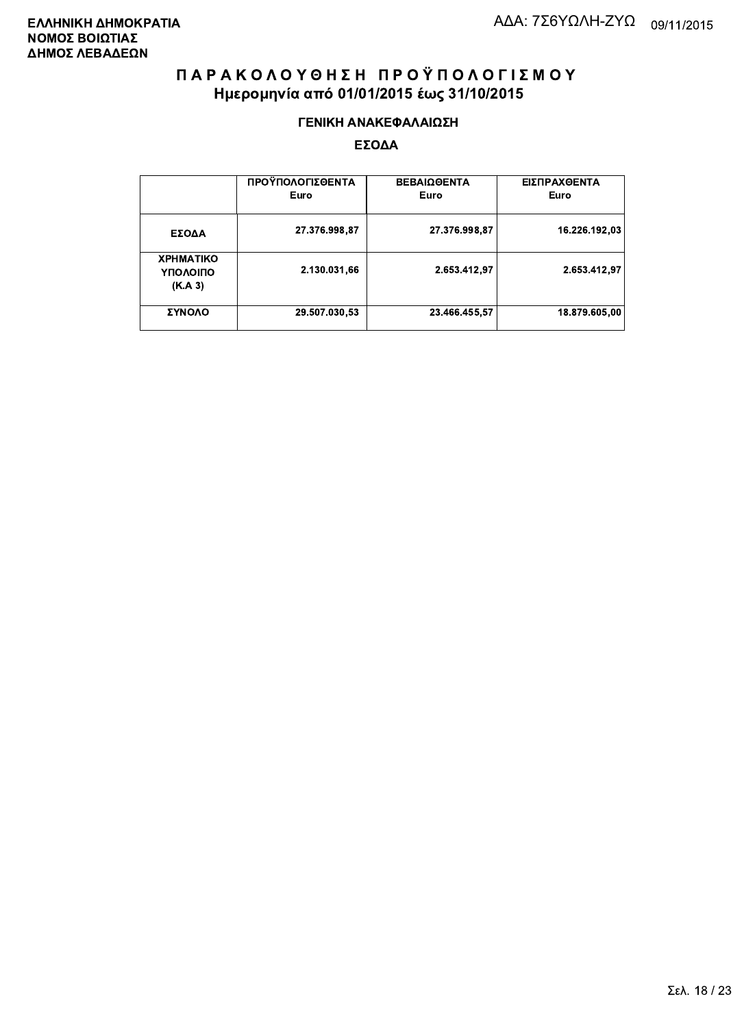#### ΓΕΝΙΚΗ ΑΝΑΚΕΦΑΛΑΙΩΣΗ

|                                         | ΠΡΟΫΠΟΛΟΓΙΣΘΕΝΤΑ<br>Euro | <b>ΒΕΒΑΙΩΘΕΝΤΑ</b><br>Euro | ΕΙΣΠΡΑΧΘΕΝΤΑ<br>Euro |
|-----------------------------------------|--------------------------|----------------------------|----------------------|
| ΕΣΟΔΑ                                   | 27.376.998,87            | 27.376.998,87              | 16.226.192.03        |
| <b>XPHMATIKO</b><br>ΥΠΟΛΟΙΠΟ<br>(K.A.3) | 2.130.031,66             | 2.653.412.97               | 2.653.412,97         |
| ΣΥΝΟΛΟ                                  | 29.507.030,53            | 23.466.455,57              | 18.879.605,00        |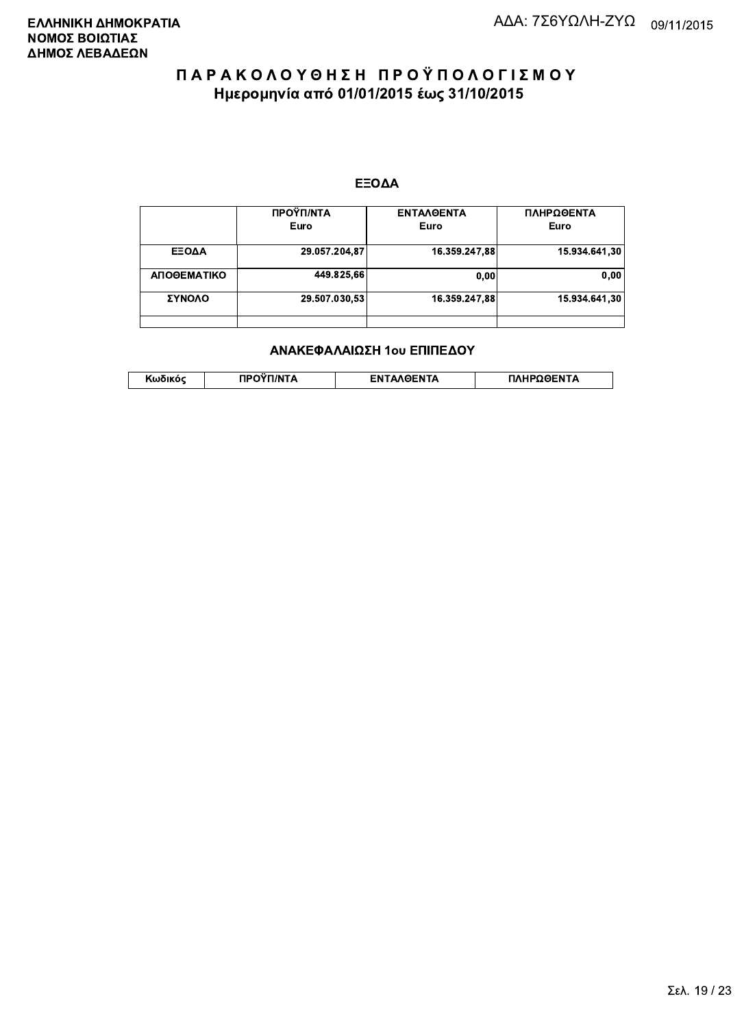#### ΕΞΟΔΑ

|             | ΠΡΟΫΠ/ΝΤΑ<br>Euro | <b>ENTAAGENTA</b><br>Euro | ΠΛΗΡΩΘΕΝΤΑ<br>Euro |
|-------------|-------------------|---------------------------|--------------------|
| ΕΞΟΔΑ       | 29.057.204,87     | 16.359.247,88             | 15.934.641.30      |
| ΑΠΟΘΕΜΑΤΙΚΟ | 449.825,66        | 0.00                      | 0.00               |
| ΣΥΝΟΛΟ      | 29.507.030,53     | 16.359.247.88             | 15.934.641.30      |
|             |                   |                           |                    |

#### ΑΝΑΚΕΦΑΛΑΙΩΣΗ 1ου ΕΠΙΠΕΔΟΥ

| <b>ATIVITY</b>   | ΠΛΗΡΩΘΕΝΤΑ        |
|------------------|-------------------|
| τυ <u>ν</u> ικυς | <b>ENTAAGENTA</b> |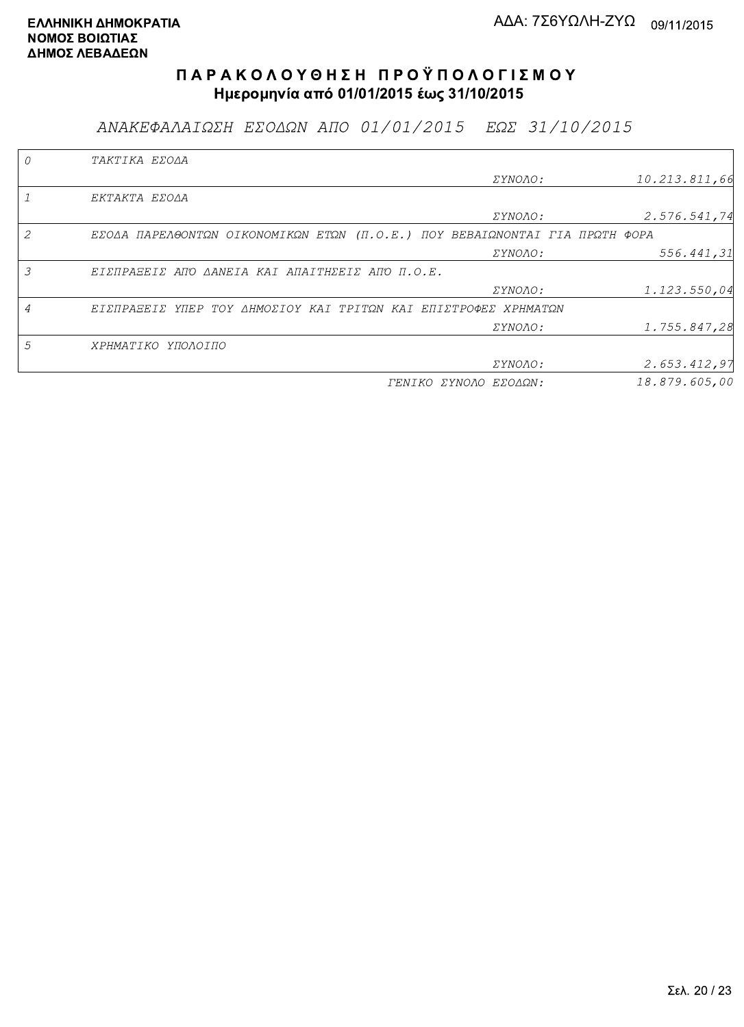ΑΝΑΚΕΦΑΛΑΙΩΣΗ ΕΣΟΔΩΝ ΑΠΟ 01/01/2015 ΕΩΣ 31/10/2015

|   | TAKTIKA EZOAA                                                               |                       |               |
|---|-----------------------------------------------------------------------------|-----------------------|---------------|
|   |                                                                             | <i>EYNOAO:</i>        | 10.213.811,66 |
|   | EKTAKTA EZOAA                                                               |                       |               |
|   |                                                                             | ΣΥΝΟΛΟ:               | 2.576.541,74  |
|   | ΕΣΟΔΑ ΠΑΡΕΛΘΟΝΤΩΝ ΟΙΚΟΝΟΜΙΚΩΝ ΕΤΩΝ (Π.Ο.Ε.) ΠΟΥ ΒΕΒΑΙΩΝΟΝΤΑΙ ΓΙΑ ΠΡΩΤΗ ΦΟΡΑ |                       |               |
|   |                                                                             | <i>EYNOAO:</i>        | 556.441,31    |
| 3 | ΕΙΣΠΡΑΞΕΙΣ ΑΠΌ ΔΑΝΕΙΑ ΚΑΙ ΑΠΑΙΤΗΣΕΙΣ ΑΠΌ Π.Ο.Ε.                             |                       |               |
|   |                                                                             | ΣΥΝΟΛΟ:               | 1.123.550,04  |
|   | ΕΙΣΠΡΑΞΕΙΣ ΥΠΕΡ ΤΟΥ ΔΗΜΟΣΙΟΥ ΚΑΙ ΤΡΙΤΩΝ ΚΑΙ ΕΠΙΣΤΡΟΦΕΣ ΧΡΗΜΑΤΩΝ             |                       |               |
|   |                                                                             | ΣΥΝΟΛΟ:               | 1.755.847,28  |
| 5 | ΧΡΗΜΑΤΙΚΟ ΥΠΟΛΟΙΠΟ                                                          |                       |               |
|   |                                                                             | <i>EYNOAO:</i>        | 2.653.412,97  |
|   |                                                                             | ΓΕΝΙΚΟ ΣΥΝΟΛΟ ΕΣΟΔΩΝ: | 18.879.605,00 |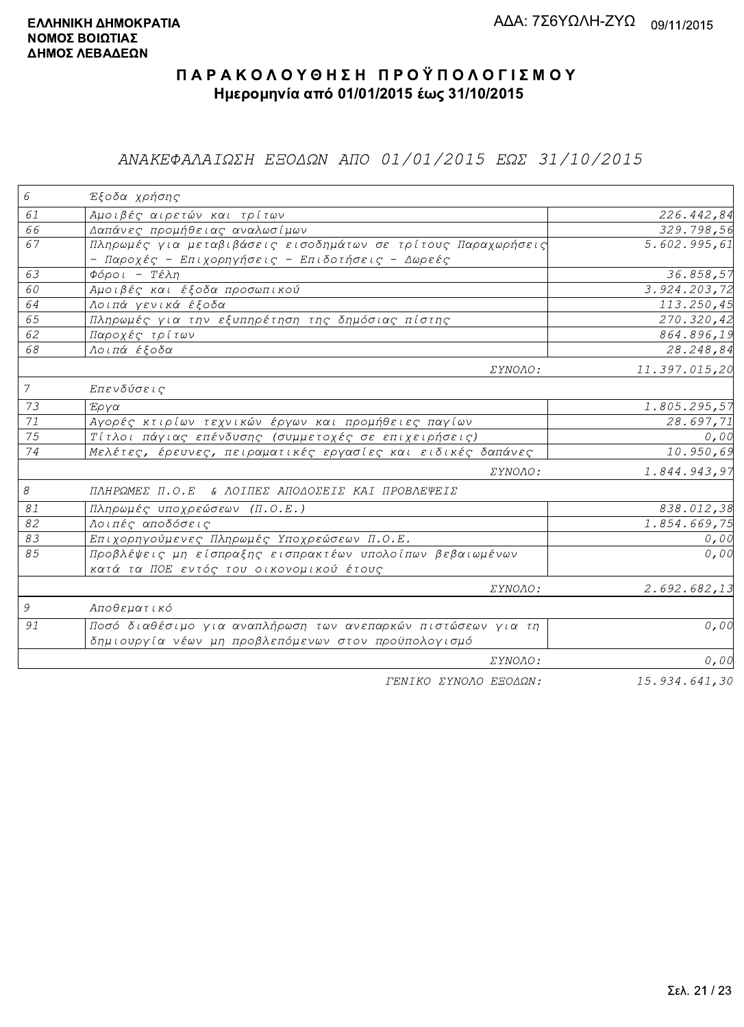## ΑΝΑΚΕΦΑΛΑΙΩΣΗ ΕΞΟΔΩΝ ΑΠΟ 01/01/2015 ΕΩΣ 31/10/2015

| 6             | Έξοδα χρήσης                                                  |               |
|---------------|---------------------------------------------------------------|---------------|
| 61            | Αμοιβές αιρετών και τρίτων                                    | 226.442,84    |
| 66            | Δαπάνες προμήθειας αναλωσίμων                                 | 329.798,56    |
| 67            | Πληρωμές για μεταβιβάσεις εισοδημάτων σε τρίτους Παραχωρήσεις | 5.602.995,61  |
|               | - Παροχές - Επιχορηγήσεις - Επιδοτήσεις - Δωρεές              |               |
| 63            | Φόροι - Τέλη                                                  | 36.858,57     |
| 60            | Αμοιβές και έξοδα προσωπικού                                  | 3.924.203,72  |
| 64            | Λοιπά γενικά έξοδα                                            | 113.250,45    |
| 65            | Πληρωμές για την εξυπηρέτηση της δημόσιας πίστης              | 270.320,42    |
| 62            | Παροχές τρίτων                                                | 864.896,19    |
| 68            | Λοιπά έξοδα                                                   | 28.248,84     |
|               | ΣΥΝΟΛΟ:                                                       | 11.397.015,20 |
| $\mathcal{I}$ | Επενδύσεις                                                    |               |
| 73            | Έργα                                                          | 1.805.295,57  |
| 71            | Αγορές κτιρίων τεχνικών έργων και προμήθειες παγίων           | 28.697,71     |
| 75            | Τίτλοι πάγιας επένδυσης (συμμετοχές σε επιχειρήσεις)          | 0,00          |
| 74            | Μελέτες, έρευνες, πειραματικές εργασίες και ειδικές δαπάνες   | 10.950,69     |
|               | ΣΥΝΟΛΟ:                                                       | 1.844.943,97  |
| 8             | ΠΛΗΡΩΜΕΣ Π.Ο.Ε & ΛΟΙΠΕΣ ΑΠΟΔΟΣΕΙΣ ΚΑΙ ΠΡΟΒΛΕΨΕΙΣ              |               |
| 81            | Πληρωμές υποχρεώσεων (Π.Ο.Ε.)                                 | 838.012,38    |
| 82            | Λοιπές αποδόσεις                                              | 1.854.669,75  |
| 83            | Επιχορηγούμενες Πληρωμές Υποχρεώσεων Π.Ο.Ε.                   | 0,00          |
| 85            | Προβλέψεις μη είσπραξης εισπρακτέων υπολοίπων βεβαιωμένων     | 0,00          |
|               | κατά τα ΠΟΕ εντός του οικονομικού έτους                       |               |
|               | ΣΥΝΟΛΟ:                                                       | 2.692.682,13  |
| 9             | Αποθεματικό                                                   |               |
| 91            | Ποσό διαθέσιμο για αναπλήρωση των ανεπαρκών πιστώσεων για τη  | 0,00          |
|               | δημιουργία νέων μη προβλεπόμενων στον προϋπολογισμό           |               |
|               | ΣΥΝΟΛΟ:                                                       | 0,00          |
|               | FENIKO SYNOAO ESOAON:                                         | 15.934.641.30 |

ΓENIKO ΣΥΝΟΛΟ ΕΞΟΔΩΝ:

15.934.641,30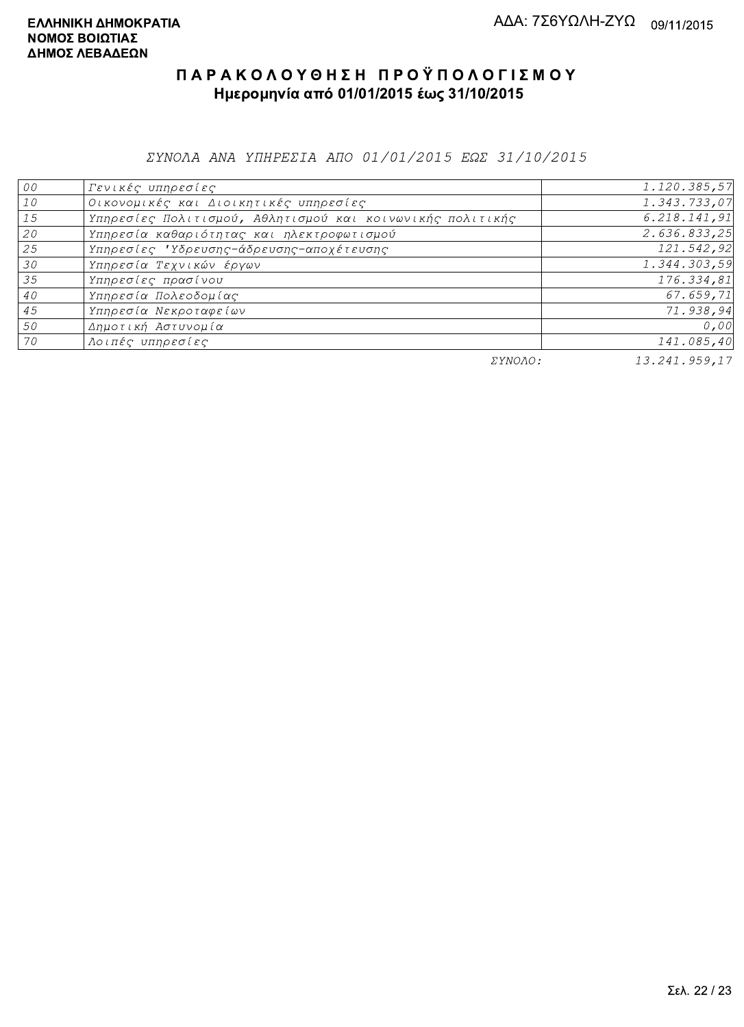ΣΥΝΟΛΑ ΑΝΑ ΥΠΗΡΕΣΙΑ ΑΠΟ 01/01/2015 ΕΩΣ 31/10/2015

| 00 | Γενικές υπηρεσίες                                         | 1.120.385,57  |
|----|-----------------------------------------------------------|---------------|
| 10 | Οικονομικές και Διοικητικές υπηρεσίες                     | 1.343.733,07  |
| 15 | Υπηρεσίες Πολιτισμού, Αθλητισμού και κοινωνικής πολιτικής | 6.218.141,91  |
| 20 | Υπηρεσία καθαριότητας και ηλεκτροφωτισμού                 | 2.636.833,25  |
| 25 | Υπηρεσίες 'Υδρευσης-άδρευσης-αποχέτευσης                  | 121.542,92    |
| 30 | Υπηρεσία Τεχνικών έργων                                   | 1.344.303,59  |
| 35 | Υπηρεσίες πρασίνου                                        | 176.334,81    |
| 40 | Υπηρεσία Πολεοδομίας                                      | 67.659,71     |
| 45 | Υπηρεσία Νεκροταφείων                                     | 71.938,94     |
| 50 | Δημοτική Αστυνομία                                        | 0,00          |
| 70 | Λοιπές υπηρεσίες                                          | 141.085,40    |
|    | ΣΥΝΟΛΟ:                                                   | 13.241.959,17 |